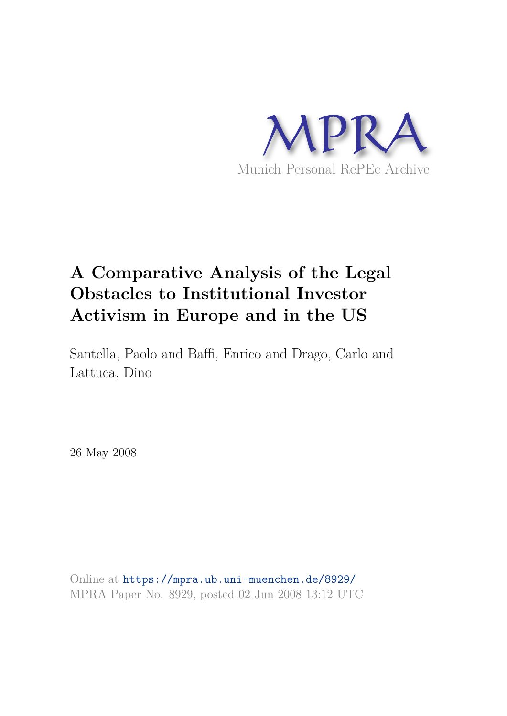

# **A Comparative Analysis of the Legal Obstacles to Institutional Investor Activism in Europe and in the US**

Santella, Paolo and Baffi, Enrico and Drago, Carlo and Lattuca, Dino

26 May 2008

Online at https://mpra.ub.uni-muenchen.de/8929/ MPRA Paper No. 8929, posted 02 Jun 2008 13:12 UTC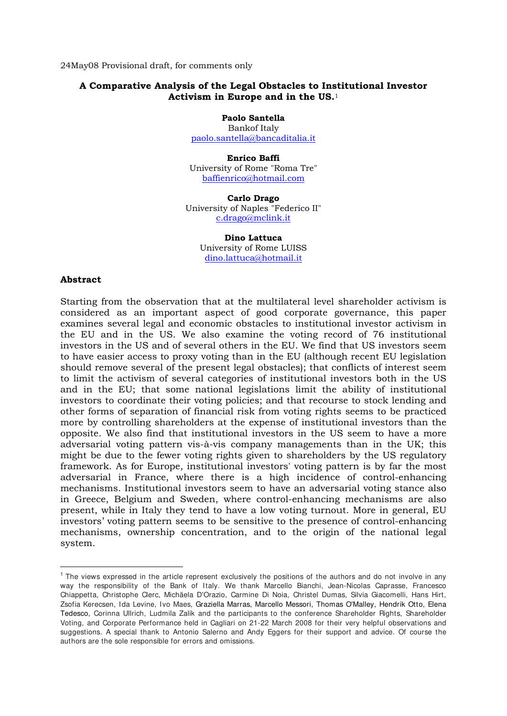24May08 Provisional draft, for comments only

#### **A Comparative Analysis of the Legal Obstacles to Institutional Investor Activism in Europe and in the US.**<sup>1</sup>

**Paolo Santella**  Bankof Italy

paolo.santella@bancaditalia.it

**Enrico Baffi**  University of Rome "Roma Tre" baffienrico@hotmail.com

**Carlo Drago**  University of Naples "Federico II" c.drago@mclink.it

> **Dino Lattuca**  University of Rome LUISS dino.lattuca@hotmail.it

#### **Abstract**

-

Starting from the observation that at the multilateral level shareholder activism is considered as an important aspect of good corporate governance, this paper examines several legal and economic obstacles to institutional investor activism in the EU and in the US. We also examine the voting record of 76 institutional investors in the US and of several others in the EU. We find that US investors seem to have easier access to proxy voting than in the EU (although recent EU legislation should remove several of the present legal obstacles); that conflicts of interest seem to limit the activism of several categories of institutional investors both in the US and in the EU; that some national legislations limit the ability of institutional investors to coordinate their voting policies; and that recourse to stock lending and other forms of separation of financial risk from voting rights seems to be practiced more by controlling shareholders at the expense of institutional investors than the opposite. We also find that institutional investors in the US seem to have a more adversarial voting pattern vis-à-vis company managements than in the UK; this might be due to the fewer voting rights given to shareholders by the US regulatory framework. As for Europe, institutional investors' voting pattern is by far the most adversarial in France, where there is a high incidence of control-enhancing mechanisms. Institutional investors seem to have an adversarial voting stance also in Greece, Belgium and Sweden, where control-enhancing mechanisms are also present, while in Italy they tend to have a low voting turnout. More in general, EU investors' voting pattern seems to be sensitive to the presence of control-enhancing mechanisms, ownership concentration, and to the origin of the national legal system.

<sup>&</sup>lt;sup>1</sup> The views expressed in the article represent exclusively the positions of the authors and do not involve in any way the responsibility of the Bank of Italy. We thank Marcello Bianchi, Jean-Nicolas Caprasse, Francesco Chiappetta, Christophe Clerc, Michäela D'Orazio, Carmine Di Noia, Christel Dumas, Silvia Giacomelli, Hans Hirt, Zsofia Kerecsen, Ida Levine, Ivo Maes, Graziella Marras, Marcello Messori, Thomas O'Malley, Hendrik Otto, Elena Tedesco, Corinna Ullrich, Ludmila Zalik and the participants to the conference Shareholder Rights, Shareholder Voting, and Corporate Performance held in Cagliari on 21-22 March 2008 for their very helpful observations and suggestions. A special thank to Antonio Salerno and Andy Eggers for their support and advice. Of course the authors are the sole responsible for errors and omissions.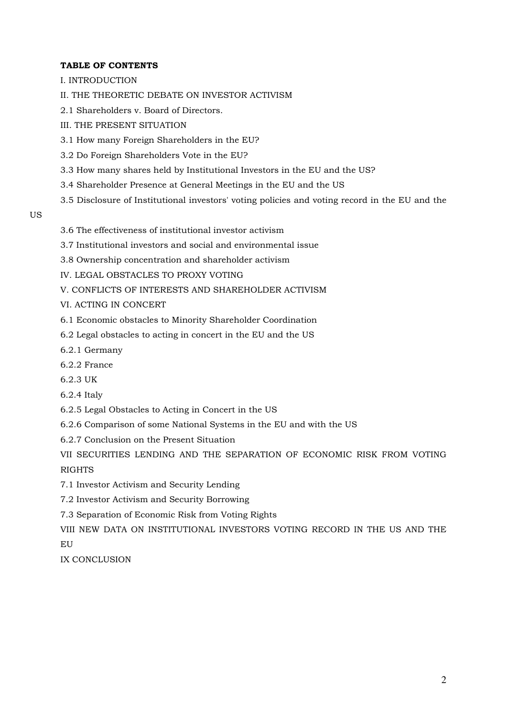#### **TABLE OF CONTENTS**

- I. INTRODUCTION
- II. THE THEORETIC DEBATE ON INVESTOR ACTIVISM
- 2.1 Shareholders v. Board of Directors.
- III. THE PRESENT SITUATION
- 3.1 How many Foreign Shareholders in the EU?
- 3.2 Do Foreign Shareholders Vote in the EU?
- 3.3 How many shares held by Institutional Investors in the EU and the US?
- 3.4 Shareholder Presence at General Meetings in the EU and the US
- 3.5 Disclosure of Institutional investors' voting policies and voting record in the EU and the
- US
- 3.6 The effectiveness of institutional investor activism
- 3.7 Institutional investors and social and environmental issue
- 3.8 Ownership concentration and shareholder activism
- IV. LEGAL OBSTACLES TO PROXY VOTING
- V. CONFLICTS OF INTERESTS AND SHAREHOLDER ACTIVISM
- VI. ACTING IN CONCERT
- 6.1 Economic obstacles to Minority Shareholder Coordination
- 6.2 Legal obstacles to acting in concert in the EU and the US
- 6.2.1 Germany
- 6.2.2 France
- 6.2.3 UK
- 6.2.4 Italy
- 6.2.5 Legal Obstacles to Acting in Concert in the US
- 6.2.6 Comparison of some National Systems in the EU and with the US
- 6.2.7 Conclusion on the Present Situation
- VII SECURITIES LENDING AND THE SEPARATION OF ECONOMIC RISK FROM VOTING RIGHTS
- 7.1 Investor Activism and Security Lending
- 7.2 Investor Activism and Security Borrowing
- 7.3 Separation of Economic Risk from Voting Rights
- VIII NEW DATA ON INSTITUTIONAL INVESTORS VOTING RECORD IN THE US AND THE EU

IX CONCLUSION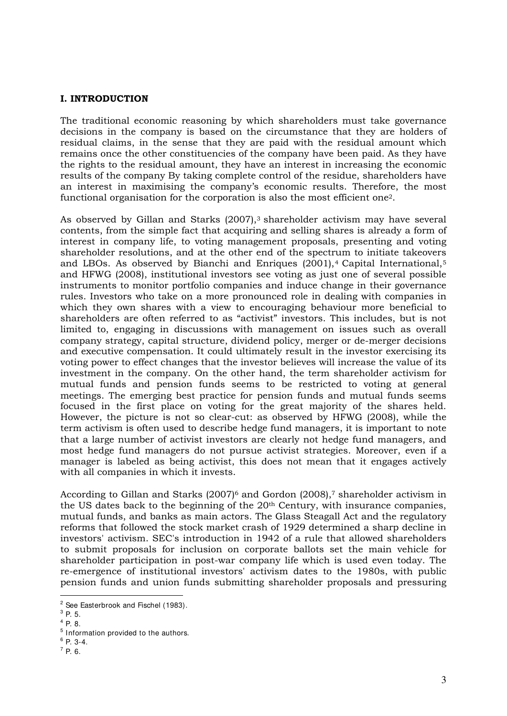#### **I. INTRODUCTION**

The traditional economic reasoning by which shareholders must take governance decisions in the company is based on the circumstance that they are holders of residual claims, in the sense that they are paid with the residual amount which remains once the other constituencies of the company have been paid. As they have the rights to the residual amount, they have an interest in increasing the economic results of the company By taking complete control of the residue, shareholders have an interest in maximising the company's economic results. Therefore, the most functional organisation for the corporation is also the most efficient one2.

As observed by Gillan and Starks (2007),<sup>3</sup> shareholder activism may have several contents, from the simple fact that acquiring and selling shares is already a form of interest in company life, to voting management proposals, presenting and voting shareholder resolutions, and at the other end of the spectrum to initiate takeovers and LBOs. As observed by Bianchi and Enriques  $(2001)$ ,<sup>4</sup> Capital International,<sup>5</sup> and HFWG (2008), institutional investors see voting as just one of several possible instruments to monitor portfolio companies and induce change in their governance rules. Investors who take on a more pronounced role in dealing with companies in which they own shares with a view to encouraging behaviour more beneficial to shareholders are often referred to as "activist" investors. This includes, but is not limited to, engaging in discussions with management on issues such as overall company strategy, capital structure, dividend policy, merger or de-merger decisions and executive compensation. It could ultimately result in the investor exercising its voting power to effect changes that the investor believes will increase the value of its investment in the company. On the other hand, the term shareholder activism for mutual funds and pension funds seems to be restricted to voting at general meetings. The emerging best practice for pension funds and mutual funds seems focused in the first place on voting for the great majority of the shares held. However, the picture is not so clear-cut: as observed by HFWG (2008), while the term activism is often used to describe hedge fund managers, it is important to note that a large number of activist investors are clearly not hedge fund managers, and most hedge fund managers do not pursue activist strategies. Moreover, even if a manager is labeled as being activist, this does not mean that it engages actively with all companies in which it invests.

According to Gillan and Starks  $(2007)^6$  and Gordon  $(2008)$ ,<sup>7</sup> shareholder activism in the US dates back to the beginning of the 20<sup>th</sup> Century, with insurance companies, mutual funds, and banks as main actors. The Glass Steagall Act and the regulatory reforms that followed the stock market crash of 1929 determined a sharp decline in investors' activism. SEC's introduction in 1942 of a rule that allowed shareholders to submit proposals for inclusion on corporate ballots set the main vehicle for shareholder participation in post-war company life which is used even today. The re-emergence of institutional investors' activism dates to the 1980s, with public pension funds and union funds submitting shareholder proposals and pressuring

<sup>-</sup> $2$  See Easterbrook and Fischel (1983).

 $^3$  P. 5.

 $^{4}$  P. 8.

<sup>&</sup>lt;sup>5</sup> Information provided to the authors.

<sup>6</sup> P. 3-4.

 $^7$  P. 6.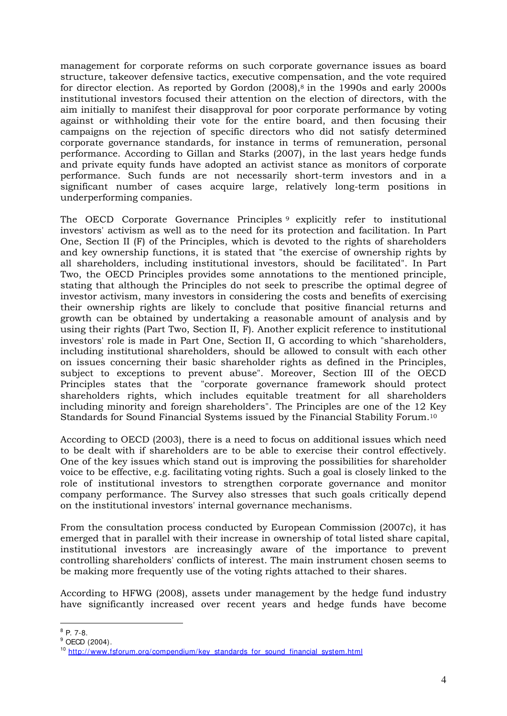management for corporate reforms on such corporate governance issues as board structure, takeover defensive tactics, executive compensation, and the vote required for director election. As reported by Gordon  $(2008)$ ,<sup>8</sup> in the 1990s and early 2000s institutional investors focused their attention on the election of directors, with the aim initially to manifest their disapproval for poor corporate performance by voting against or withholding their vote for the entire board, and then focusing their campaigns on the rejection of specific directors who did not satisfy determined corporate governance standards, for instance in terms of remuneration, personal performance. According to Gillan and Starks (2007), in the last years hedge funds and private equity funds have adopted an activist stance as monitors of corporate performance. Such funds are not necessarily short-term investors and in a significant number of cases acquire large, relatively long-term positions in underperforming companies.

The OECD Corporate Governance Principles <sup>9</sup> explicitly refer to institutional investors' activism as well as to the need for its protection and facilitation. In Part One, Section II (F) of the Principles, which is devoted to the rights of shareholders and key ownership functions, it is stated that "the exercise of ownership rights by all shareholders, including institutional investors, should be facilitated". In Part Two, the OECD Principles provides some annotations to the mentioned principle, stating that although the Principles do not seek to prescribe the optimal degree of investor activism, many investors in considering the costs and benefits of exercising their ownership rights are likely to conclude that positive financial returns and growth can be obtained by undertaking a reasonable amount of analysis and by using their rights (Part Two, Section II, F). Another explicit reference to institutional investors' role is made in Part One, Section II, G according to which "shareholders, including institutional shareholders, should be allowed to consult with each other on issues concerning their basic shareholder rights as defined in the Principles, subject to exceptions to prevent abuse". Moreover, Section III of the OECD Principles states that the "corporate governance framework should protect shareholders rights, which includes equitable treatment for all shareholders including minority and foreign shareholders". The Principles are one of the 12 Key Standards for Sound Financial Systems issued by the Financial Stability Forum.<sup>10</sup>

According to OECD (2003), there is a need to focus on additional issues which need to be dealt with if shareholders are to be able to exercise their control effectively. One of the key issues which stand out is improving the possibilities for shareholder voice to be effective, e.g. facilitating voting rights. Such a goal is closely linked to the role of institutional investors to strengthen corporate governance and monitor company performance. The Survey also stresses that such goals critically depend on the institutional investors' internal governance mechanisms.

From the consultation process conducted by European Commission (2007c), it has emerged that in parallel with their increase in ownership of total listed share capital, institutional investors are increasingly aware of the importance to prevent controlling shareholders' conflicts of interest. The main instrument chosen seems to be making more frequently use of the voting rights attached to their shares.

According to HFWG (2008), assets under management by the hedge fund industry have significantly increased over recent years and hedge funds have become

 $\frac{1}{8}$  P. 7-8.

 $^9$  OECD (2004).

<sup>&</sup>lt;sup>10</sup> http://www.fsforum.org/compendium/key\_standards\_for\_sound\_financial\_system.html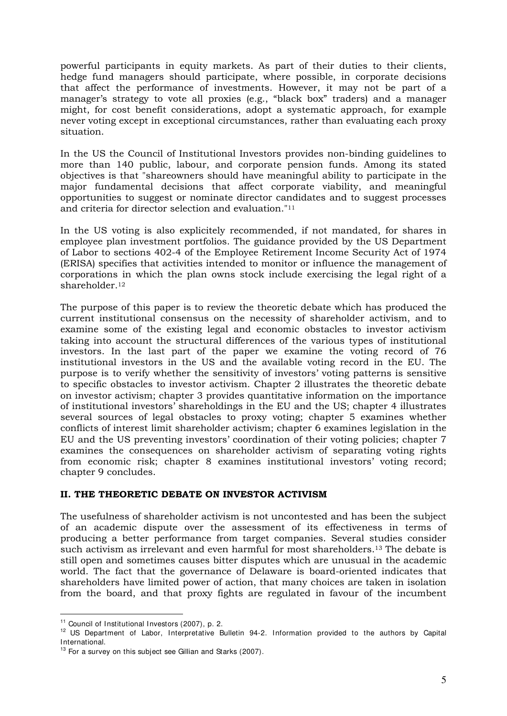powerful participants in equity markets. As part of their duties to their clients, hedge fund managers should participate, where possible, in corporate decisions that affect the performance of investments. However, it may not be part of a manager's strategy to vote all proxies (e.g., "black box" traders) and a manager might, for cost benefit considerations, adopt a systematic approach, for example never voting except in exceptional circumstances, rather than evaluating each proxy situation.

In the US the Council of Institutional Investors provides non-binding guidelines to more than 140 public, labour, and corporate pension funds. Among its stated objectives is that "shareowners should have meaningful ability to participate in the major fundamental decisions that affect corporate viability, and meaningful opportunities to suggest or nominate director candidates and to suggest processes and criteria for director selection and evaluation."<sup>11</sup>

In the US voting is also explicitely recommended, if not mandated, for shares in employee plan investment portfolios. The guidance provided by the US Department of Labor to sections 402-4 of the Employee Retirement Income Security Act of 1974 (ERISA) specifies that activities intended to monitor or influence the management of corporations in which the plan owns stock include exercising the legal right of a shareholder.<sup>12</sup>

The purpose of this paper is to review the theoretic debate which has produced the current institutional consensus on the necessity of shareholder activism, and to examine some of the existing legal and economic obstacles to investor activism taking into account the structural differences of the various types of institutional investors. In the last part of the paper we examine the voting record of 76 institutional investors in the US and the available voting record in the EU. The purpose is to verify whether the sensitivity of investors' voting patterns is sensitive to specific obstacles to investor activism. Chapter 2 illustrates the theoretic debate on investor activism; chapter 3 provides quantitative information on the importance of institutional investors' shareholdings in the EU and the US; chapter 4 illustrates several sources of legal obstacles to proxy voting; chapter 5 examines whether conflicts of interest limit shareholder activism; chapter 6 examines legislation in the EU and the US preventing investors' coordination of their voting policies; chapter 7 examines the consequences on shareholder activism of separating voting rights from economic risk; chapter 8 examines institutional investors' voting record; chapter 9 concludes.

## **II. THE THEORETIC DEBATE ON INVESTOR ACTIVISM**

The usefulness of shareholder activism is not uncontested and has been the subject of an academic dispute over the assessment of its effectiveness in terms of producing a better performance from target companies. Several studies consider such activism as irrelevant and even harmful for most shareholders.13 The debate is still open and sometimes causes bitter disputes which are unusual in the academic world. The fact that the governance of Delaware is board-oriented indicates that shareholders have limited power of action, that many choices are taken in isolation from the board, and that proxy fights are regulated in favour of the incumbent

<sup>&</sup>lt;sup>11</sup> Council of Institutional Investors (2007), p. 2.

<sup>&</sup>lt;sup>12</sup> US Department of Labor, Interpretative Bulletin 94-2. Information provided to the authors by Capital International.

<sup>&</sup>lt;sup>13</sup> For a survey on this subject see Gillian and Starks (2007).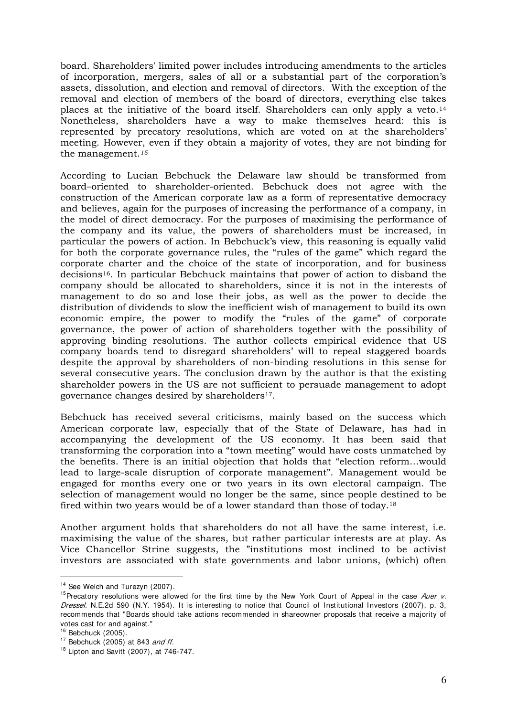board. Shareholders' limited power includes introducing amendments to the articles of incorporation, mergers, sales of all or a substantial part of the corporation's assets, dissolution, and election and removal of directors. With the exception of the removal and election of members of the board of directors, everything else takes places at the initiative of the board itself. Shareholders can only apply a veto.<sup>14</sup> Nonetheless, shareholders have a way to make themselves heard: this is represented by precatory resolutions, which are voted on at the shareholders' meeting. However, even if they obtain a majority of votes, they are not binding for the management.*<sup>15</sup>*

According to Lucian Bebchuck the Delaware law should be transformed from board–oriented to shareholder-oriented. Bebchuck does not agree with the construction of the American corporate law as a form of representative democracy and believes, again for the purposes of increasing the performance of a company, in the model of direct democracy. For the purposes of maximising the performance of the company and its value, the powers of shareholders must be increased, in particular the powers of action. In Bebchuck's view, this reasoning is equally valid for both the corporate governance rules, the "rules of the game" which regard the corporate charter and the choice of the state of incorporation, and for business decisions16. In particular Bebchuck maintains that power of action to disband the company should be allocated to shareholders, since it is not in the interests of management to do so and lose their jobs, as well as the power to decide the distribution of dividends to slow the inefficient wish of management to build its own economic empire, the power to modify the "rules of the game" of corporate governance, the power of action of shareholders together with the possibility of approving binding resolutions. The author collects empirical evidence that US company boards tend to disregard shareholders' will to repeal staggered boards despite the approval by shareholders of non-binding resolutions in this sense for several consecutive years. The conclusion drawn by the author is that the existing shareholder powers in the US are not sufficient to persuade management to adopt governance changes desired by shareholders17.

Bebchuck has received several criticisms, mainly based on the success which American corporate law, especially that of the State of Delaware, has had in accompanying the development of the US economy. It has been said that transforming the corporation into a "town meeting" would have costs unmatched by the benefits. There is an initial objection that holds that "election reform…would lead to large-scale disruption of corporate management". Management would be engaged for months every one or two years in its own electoral campaign. The selection of management would no longer be the same, since people destined to be fired within two years would be of a lower standard than those of today.<sup>18</sup>

Another argument holds that shareholders do not all have the same interest, i.e. maximising the value of the shares, but rather particular interests are at play. As Vice Chancellor Strine suggests, the "institutions most inclined to be activist investors are associated with state governments and labor unions, (which) often

<sup>&</sup>lt;sup>14</sup> See Welch and Turezyn (2007).

<sup>&</sup>lt;sup>15</sup>Precatory resolutions were allowed for the first time by the New York Court of Appeal in the case Auer  $v$ . Dressel. N.E.2d 590 (N.Y. 1954). It is interesting to notice that Council of Institutional Investors (2007), p. 3, recommends that "Boards should take actions recommended in shareowner proposals that receive a majority of votes cast for and against."

 $16$  Bebchuck (2005).

 $17$  Bebchuck (2005) at 843 and ff.

 $18$  Lipton and Savitt (2007), at 746-747.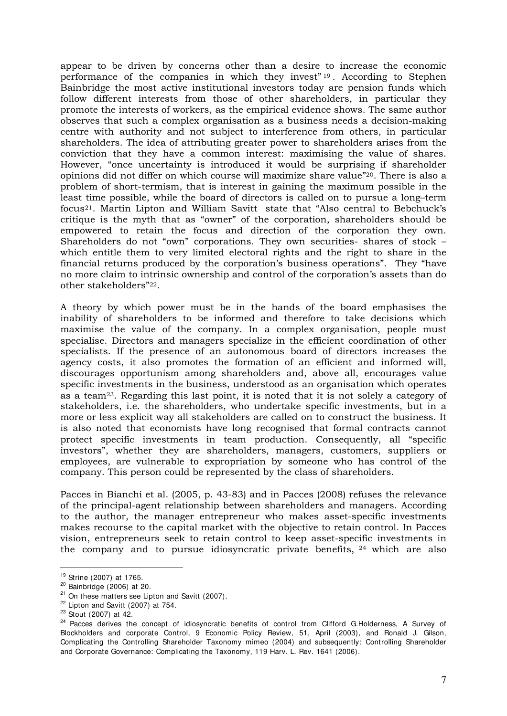appear to be driven by concerns other than a desire to increase the economic performance of the companies in which they invest" <sup>19</sup> . According to Stephen Bainbridge the most active institutional investors today are pension funds which follow different interests from those of other shareholders, in particular they promote the interests of workers, as the empirical evidence shows. The same author observes that such a complex organisation as a business needs a decision-making centre with authority and not subject to interference from others, in particular shareholders. The idea of attributing greater power to shareholders arises from the conviction that they have a common interest: maximising the value of shares. However, "once uncertainty is introduced it would be surprising if shareholder opinions did not differ on which course will maximize share value"20. There is also a problem of short-termism, that is interest in gaining the maximum possible in the least time possible, while the board of directors is called on to pursue a long–term focus21. Martin Lipton and William Savitt state that "Also central to Bebchuck's critique is the myth that as "owner" of the corporation, shareholders should be empowered to retain the focus and direction of the corporation they own. Shareholders do not "own" corporations. They own securities- shares of stock – which entitle them to very limited electoral rights and the right to share in the financial returns produced by the corporation's business operations". They "have no more claim to intrinsic ownership and control of the corporation's assets than do other stakeholders"22.

A theory by which power must be in the hands of the board emphasises the inability of shareholders to be informed and therefore to take decisions which maximise the value of the company. In a complex organisation, people must specialise. Directors and managers specialize in the efficient coordination of other specialists. If the presence of an autonomous board of directors increases the agency costs, it also promotes the formation of an efficient and informed will, discourages opportunism among shareholders and, above all, encourages value specific investments in the business, understood as an organisation which operates as a team23. Regarding this last point, it is noted that it is not solely a category of stakeholders, i.e. the shareholders, who undertake specific investments, but in a more or less explicit way all stakeholders are called on to construct the business. It is also noted that economists have long recognised that formal contracts cannot protect specific investments in team production. Consequently, all "specific investors", whether they are shareholders, managers, customers, suppliers or employees, are vulnerable to expropriation by someone who has control of the company. This person could be represented by the class of shareholders.

Pacces in Bianchi et al. (2005, p. 43-83) and in Pacces (2008) refuses the relevance of the principal-agent relationship between shareholders and managers. According to the author, the manager entrepreneur who makes asset-specific investments makes recourse to the capital market with the objective to retain control. In Pacces vision, entrepreneurs seek to retain control to keep asset-specific investments in the company and to pursue idiosyncratic private benefits, 24 which are also

<sup>19</sup> Strine (2007) at 1765.

 $20$  Bainbridge (2006) at 20.

 $21$  On these matters see Lipton and Savitt (2007).

 $22$  Lipton and Savitt (2007) at 754.

<sup>23</sup> Stout (2007) at 42.

<sup>&</sup>lt;sup>24</sup> Pacces derives the concept of idiosyncratic benefits of control from Clifford G.Holderness, A Survey of Blockholders and corporate Control, 9 Economic Policy Review, 51, April (2003), and Ronald J. Gilson, Complicating the Controlling Shareholder Taxonomy mimeo (2004) and subsequently: Controlling Shareholder and Corporate Governance: Complicating the Taxonomy, 119 Harv. L. Rev. 1641 (2006).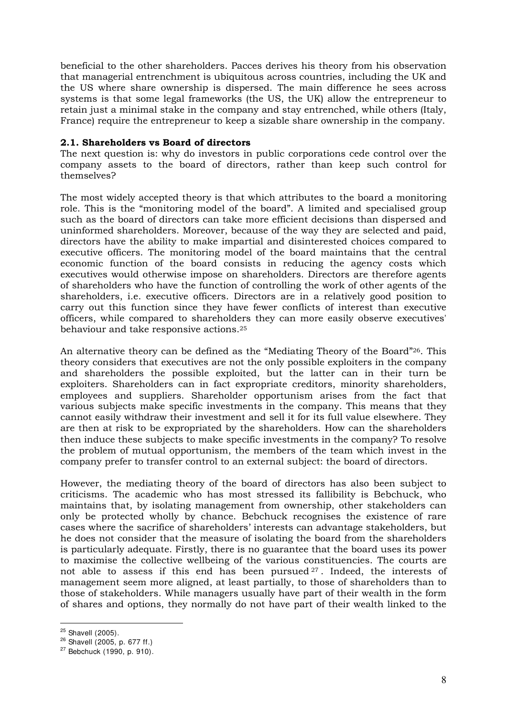beneficial to the other shareholders. Pacces derives his theory from his observation that managerial entrenchment is ubiquitous across countries, including the UK and the US where share ownership is dispersed. The main difference he sees across systems is that some legal frameworks (the US, the UK) allow the entrepreneur to retain just a minimal stake in the company and stay entrenched, while others (Italy, France) require the entrepreneur to keep a sizable share ownership in the company.

#### **2.1. Shareholders vs Board of directors**

The next question is: why do investors in public corporations cede control over the company assets to the board of directors, rather than keep such control for themselves?

The most widely accepted theory is that which attributes to the board a monitoring role. This is the "monitoring model of the board". A limited and specialised group such as the board of directors can take more efficient decisions than dispersed and uninformed shareholders. Moreover, because of the way they are selected and paid, directors have the ability to make impartial and disinterested choices compared to executive officers. The monitoring model of the board maintains that the central economic function of the board consists in reducing the agency costs which executives would otherwise impose on shareholders. Directors are therefore agents of shareholders who have the function of controlling the work of other agents of the shareholders, i.e. executive officers. Directors are in a relatively good position to carry out this function since they have fewer conflicts of interest than executive officers, while compared to shareholders they can more easily observe executives' behaviour and take responsive actions.<sup>25</sup>

An alternative theory can be defined as the "Mediating Theory of the Board"26. This theory considers that executives are not the only possible exploiters in the company and shareholders the possible exploited, but the latter can in their turn be exploiters. Shareholders can in fact expropriate creditors, minority shareholders, employees and suppliers. Shareholder opportunism arises from the fact that various subjects make specific investments in the company. This means that they cannot easily withdraw their investment and sell it for its full value elsewhere. They are then at risk to be expropriated by the shareholders. How can the shareholders then induce these subjects to make specific investments in the company? To resolve the problem of mutual opportunism, the members of the team which invest in the company prefer to transfer control to an external subject: the board of directors.

However, the mediating theory of the board of directors has also been subject to criticisms. The academic who has most stressed its fallibility is Bebchuck, who maintains that, by isolating management from ownership, other stakeholders can only be protected wholly by chance. Bebchuck recognises the existence of rare cases where the sacrifice of shareholders' interests can advantage stakeholders, but he does not consider that the measure of isolating the board from the shareholders is particularly adequate. Firstly, there is no guarantee that the board uses its power to maximise the collective wellbeing of the various constituencies. The courts are not able to assess if this end has been pursued <sup>27</sup> . Indeed, the interests of management seem more aligned, at least partially, to those of shareholders than to those of stakeholders. While managers usually have part of their wealth in the form of shares and options, they normally do not have part of their wealth linked to the

<sup>&</sup>lt;sup>25</sup> Shavell (2005).

 $26$  Shavell (2005, p. 677 ff.)

<sup>27</sup> Bebchuck (1990, p. 910).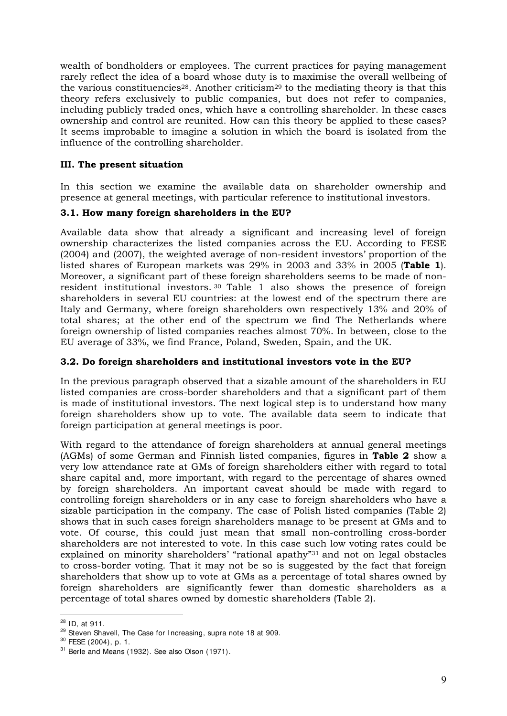wealth of bondholders or employees. The current practices for paying management rarely reflect the idea of a board whose duty is to maximise the overall wellbeing of the various constituencies<sup>28</sup>. Another criticism<sup>29</sup> to the mediating theory is that this theory refers exclusively to public companies, but does not refer to companies, including publicly traded ones, which have a controlling shareholder. In these cases ownership and control are reunited. How can this theory be applied to these cases? It seems improbable to imagine a solution in which the board is isolated from the influence of the controlling shareholder.

## **III. The present situation**

In this section we examine the available data on shareholder ownership and presence at general meetings, with particular reference to institutional investors.

## **3.1. How many foreign shareholders in the EU?**

Available data show that already a significant and increasing level of foreign ownership characterizes the listed companies across the EU. According to FESE (2004) and (2007), the weighted average of non-resident investors' proportion of the listed shares of European markets was 29% in 2003 and 33% in 2005 (**Table 1**). Moreover, a significant part of these foreign shareholders seems to be made of nonresident institutional investors. <sup>30</sup> Table 1 also shows the presence of foreign shareholders in several EU countries: at the lowest end of the spectrum there are Italy and Germany, where foreign shareholders own respectively 13% and 20% of total shares; at the other end of the spectrum we find The Netherlands where foreign ownership of listed companies reaches almost 70%. In between, close to the EU average of 33%, we find France, Poland, Sweden, Spain, and the UK.

## **3.2. Do foreign shareholders and institutional investors vote in the EU?**

In the previous paragraph observed that a sizable amount of the shareholders in EU listed companies are cross-border shareholders and that a significant part of them is made of institutional investors. The next logical step is to understand how many foreign shareholders show up to vote. The available data seem to indicate that foreign participation at general meetings is poor.

With regard to the attendance of foreign shareholders at annual general meetings (AGMs) of some German and Finnish listed companies, figures in **Table 2** show a very low attendance rate at GMs of foreign shareholders either with regard to total share capital and, more important, with regard to the percentage of shares owned by foreign shareholders. An important caveat should be made with regard to controlling foreign shareholders or in any case to foreign shareholders who have a sizable participation in the company. The case of Polish listed companies (Table 2) shows that in such cases foreign shareholders manage to be present at GMs and to vote. Of course, this could just mean that small non-controlling cross-border shareholders are not interested to vote. In this case such low voting rates could be explained on minority shareholders' "rational apathy"31 and not on legal obstacles to cross-border voting. That it may not be so is suggested by the fact that foreign shareholders that show up to vote at GMs as a percentage of total shares owned by foreign shareholders are significantly fewer than domestic shareholders as a percentage of total shares owned by domestic shareholders (Table 2).

<sup>-</sup> $28$  ID, at 911.

<sup>&</sup>lt;sup>29</sup> Steven Shavell, The Case for Increasing, supra note 18 at 909.

<sup>30</sup> FESE (2004), p. 1.

<sup>&</sup>lt;sup>31</sup> Berle and Means (1932). See also Olson (1971).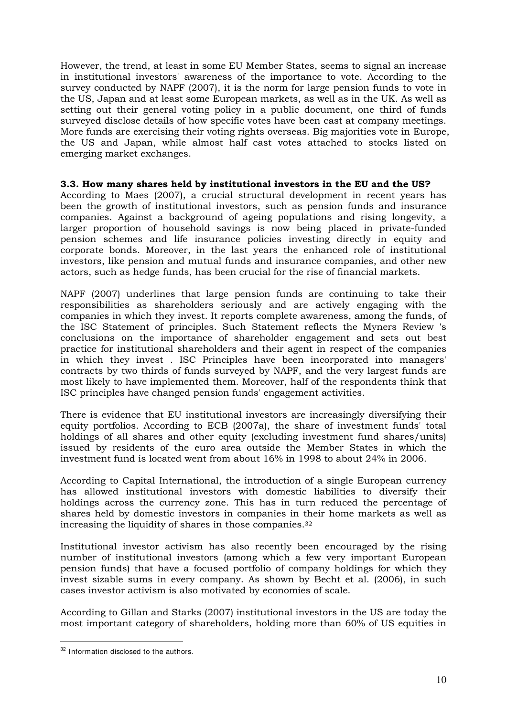However, the trend, at least in some EU Member States, seems to signal an increase in institutional investors' awareness of the importance to vote. According to the survey conducted by NAPF (2007), it is the norm for large pension funds to vote in the US, Japan and at least some European markets, as well as in the UK. As well as setting out their general voting policy in a public document, one third of funds surveyed disclose details of how specific votes have been cast at company meetings. More funds are exercising their voting rights overseas. Big majorities vote in Europe, the US and Japan, while almost half cast votes attached to stocks listed on emerging market exchanges.

#### **3.3. How many shares held by institutional investors in the EU and the US?**

According to Maes (2007), a crucial structural development in recent years has been the growth of institutional investors, such as pension funds and insurance companies. Against a background of ageing populations and rising longevity, a larger proportion of household savings is now being placed in private-funded pension schemes and life insurance policies investing directly in equity and corporate bonds. Moreover, in the last years the enhanced role of institutional investors, like pension and mutual funds and insurance companies, and other new actors, such as hedge funds, has been crucial for the rise of financial markets.

NAPF (2007) underlines that large pension funds are continuing to take their responsibilities as shareholders seriously and are actively engaging with the companies in which they invest. It reports complete awareness, among the funds, of the ISC Statement of principles. Such Statement reflects the Myners Review 's conclusions on the importance of shareholder engagement and sets out best practice for institutional shareholders and their agent in respect of the companies in which they invest . ISC Principles have been incorporated into managers' contracts by two thirds of funds surveyed by NAPF, and the very largest funds are most likely to have implemented them. Moreover, half of the respondents think that ISC principles have changed pension funds' engagement activities.

There is evidence that EU institutional investors are increasingly diversifying their equity portfolios. According to ECB (2007a), the share of investment funds' total holdings of all shares and other equity (excluding investment fund shares/units) issued by residents of the euro area outside the Member States in which the investment fund is located went from about 16% in 1998 to about 24% in 2006.

According to Capital International, the introduction of a single European currency has allowed institutional investors with domestic liabilities to diversify their holdings across the currency zone. This has in turn reduced the percentage of shares held by domestic investors in companies in their home markets as well as increasing the liquidity of shares in those companies.<sup>32</sup>

Institutional investor activism has also recently been encouraged by the rising number of institutional investors (among which a few very important European pension funds) that have a focused portfolio of company holdings for which they invest sizable sums in every company. As shown by Becht et al. (2006), in such cases investor activism is also motivated by economies of scale.

According to Gillan and Starks (2007) institutional investors in the US are today the most important category of shareholders, holding more than 60% of US equities in

<u>.</u>

<sup>&</sup>lt;sup>32</sup> Information disclosed to the authors.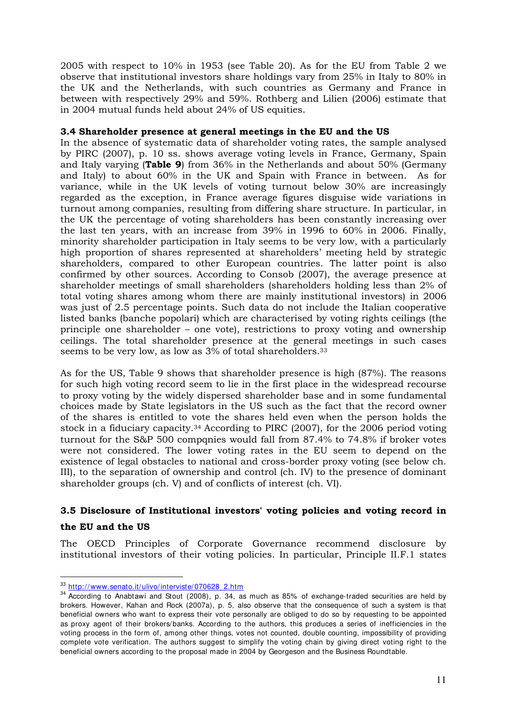2005 with respect to 10% in 1953 (see Table 20). As for the EU from Table 2 we observe that institutional investors share holdings vary from 25% in Italy to 80% in the UK and the Netherlands, with such countries as Germany and France in between with respectively 29% and 59%. Rothberg and Lilien (2006) estimate that in 2004 mutual funds held about 24% of US equities.

## **3.4 Shareholder presence at general meetings in the EU and the US**

In the absence of systematic data of shareholder voting rates, the sample analysed by PIRC (2007), p. 10 ss. shows average voting levels in France, Germany, Spain and Italy varying (**Table 9**) from 36% in the Netherlands and about 50% (Germany and Italy) to about 60% in the UK and Spain with France in between. As for variance, while in the UK levels of voting turnout below 30% are increasingly regarded as the exception, in France average figures disguise wide variations in turnout among companies, resulting from differing share structure. In particular, in the UK the percentage of voting shareholders has been constantly increasing over the last ten years, with an increase from 39% in 1996 to 60% in 2006. Finally, minority shareholder participation in Italy seems to be very low, with a particularly high proportion of shares represented at shareholders' meeting held by strategic shareholders, compared to other European countries. The latter point is also confirmed by other sources. According to Consob (2007), the average presence at shareholder meetings of small shareholders (shareholders holding less than 2% of total voting shares among whom there are mainly institutional investors) in 2006 was just of 2.5 percentage points. Such data do not include the Italian cooperative listed banks (banche popolari) which are characterised by voting rights ceilings (the principle one shareholder – one vote), restrictions to proxy voting and ownership ceilings. The total shareholder presence at the general meetings in such cases seems to be very low, as low as 3% of total shareholders.<sup>33</sup>

As for the US, Table 9 shows that shareholder presence is high (87%). The reasons for such high voting record seem to lie in the first place in the widespread recourse to proxy voting by the widely dispersed shareholder base and in some fundamental choices made by State legislators in the US such as the fact that the record owner of the shares is entitled to vote the shares held even when the person holds the stock in a fiduciary capacity.34 According to PIRC (2007), for the 2006 period voting turnout for the S&P 500 compqnies would fall from 87.4% to 74.8% if broker votes were not considered. The lower voting rates in the EU seem to depend on the existence of legal obstacles to national and cross-border proxy voting (see below ch. III), to the separation of ownership and control (ch. IV) to the presence of dominant shareholder groups (ch. V) and of conflicts of interest (ch. VI).

## **3.5 Disclosure of Institutional investors' voting policies and voting record in**

## **the EU and the US**

The OECD Principles of Corporate Governance recommend disclosure by institutional investors of their voting policies. In particular, Principle II.F.1 states

<sup>-</sup>33 http://www.senato.it/ulivo/interviste/070628\_2.htm

 $34$  According to Anabtawi and Stout (2008), p. 34, as much as 85% of exchange-traded securities are held by brokers. However, Kahan and Rock (2007a), p. 5, also observe that the consequence of such a system is that beneficial owners who want to express their vote personally are obliged to do so by requesting to be appointed as proxy agent of their brokers/banks. According to the authors, this produces a series of inefficiencies in the voting process in the form of, among other things, votes not counted, double counting, impossibility of providing complete vote verification. The authors suggest to simplify the voting chain by giving direct voting right to the beneficial owners according to the proposal made in 2004 by Georgeson and the Business Roundtable.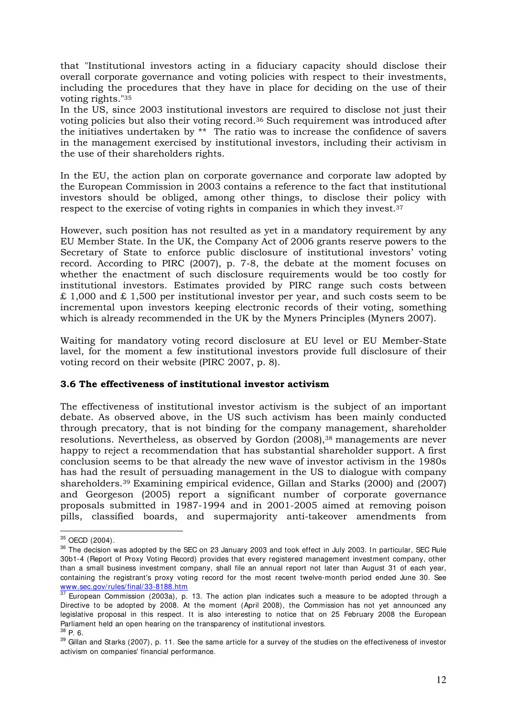that "Institutional investors acting in a fiduciary capacity should disclose their overall corporate governance and voting policies with respect to their investments, including the procedures that they have in place for deciding on the use of their voting rights."<sup>35</sup>

In the US, since 2003 institutional investors are required to disclose not just their voting policies but also their voting record.36 Such requirement was introduced after the initiatives undertaken by \*\* The ratio was to increase the confidence of savers in the management exercised by institutional investors, including their activism in the use of their shareholders rights.

In the EU, the action plan on corporate governance and corporate law adopted by the European Commission in 2003 contains a reference to the fact that institutional investors should be obliged, among other things, to disclose their policy with respect to the exercise of voting rights in companies in which they invest.<sup>37</sup>

However, such position has not resulted as yet in a mandatory requirement by any EU Member State. In the UK, the Company Act of 2006 grants reserve powers to the Secretary of State to enforce public disclosure of institutional investors' voting record. According to PIRC (2007), p. 7-8, the debate at the moment focuses on whether the enactment of such disclosure requirements would be too costly for institutional investors. Estimates provided by PIRC range such costs between £ 1,000 and £ 1,500 per institutional investor per year, and such costs seem to be incremental upon investors keeping electronic records of their voting, something which is already recommended in the UK by the Myners Principles (Myners 2007).

Waiting for mandatory voting record disclosure at EU level or EU Member-State lavel, for the moment a few institutional investors provide full disclosure of their voting record on their website (PIRC 2007, p. 8).

#### **3.6 The effectiveness of institutional investor activism**

The effectiveness of institutional investor activism is the subject of an important debate. As observed above, in the US such activism has been mainly conducted through precatory, that is not binding for the company management, shareholder resolutions. Nevertheless, as observed by Gordon (2008),<sup>38</sup> managements are never happy to reject a recommendation that has substantial shareholder support. A first conclusion seems to be that already the new wave of investor activism in the 1980s has had the result of persuading management in the US to dialogue with company shareholders.39 Examining empirical evidence, Gillan and Starks (2000) and (2007) and Georgeson (2005) report a significant number of corporate governance proposals submitted in 1987-1994 and in 2001-2005 aimed at removing poison pills, classified boards, and supermajority anti-takeover amendments from

 $35$  OECD (2004).

<sup>&</sup>lt;sup>36</sup> The decision was adopted by the SEC on 23 January 2003 and took effect in July 2003. In particular, SEC Rule 30b1-4 (Report of Proxy Voting Record) provides that every registered management investment company, other than a small business investment company, shall file an annual report not later than August 31 of each year, containing the registrant's proxy voting record for the most recent twelve-month period ended June 30. See www.sec.gov/rules/final/33-8188.htm

 $37$  European Commission (2003a), p. 13. The action plan indicates such a measure to be adopted through a Directive to be adopted by 2008. At the moment (April 2008), the Commission has not yet announced any legislative proposal in this respect. It is also interesting to notice that on 25 February 2008 the European Parliament held an open hearing on the transparency of institutional investors. <sup>38</sup> P. 6.

<sup>&</sup>lt;sup>39</sup> Gillan and Starks (2007), p. 11. See the same article for a survey of the studies on the effectiveness of investor activism on companies' financial performance.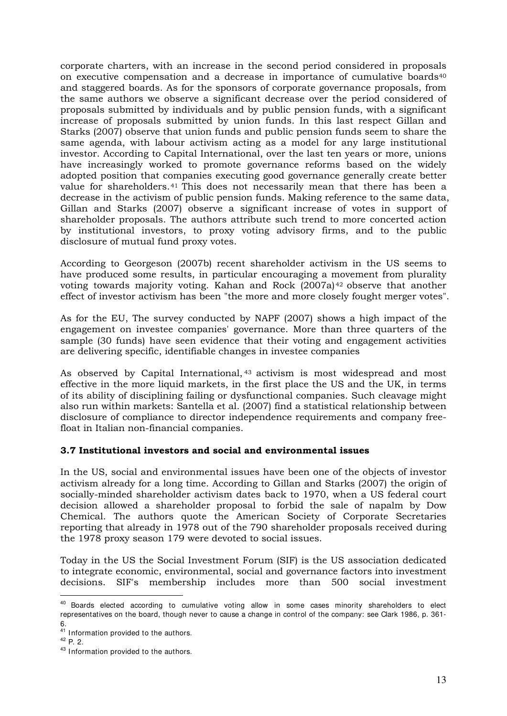corporate charters, with an increase in the second period considered in proposals on executive compensation and a decrease in importance of cumulative boards<sup>40</sup> and staggered boards. As for the sponsors of corporate governance proposals, from the same authors we observe a significant decrease over the period considered of proposals submitted by individuals and by public pension funds, with a significant increase of proposals submitted by union funds. In this last respect Gillan and Starks (2007) observe that union funds and public pension funds seem to share the same agenda, with labour activism acting as a model for any large institutional investor. According to Capital International, over the last ten years or more, unions have increasingly worked to promote governance reforms based on the widely adopted position that companies executing good governance generally create better value for shareholders.<sup>41</sup> This does not necessarily mean that there has been a decrease in the activism of public pension funds. Making reference to the same data, Gillan and Starks (2007) observe a significant increase of votes in support of shareholder proposals. The authors attribute such trend to more concerted action by institutional investors, to proxy voting advisory firms, and to the public disclosure of mutual fund proxy votes.

According to Georgeson (2007b) recent shareholder activism in the US seems to have produced some results, in particular encouraging a movement from plurality voting towards majority voting. Kahan and Rock (2007a)<sup>42</sup> observe that another effect of investor activism has been "the more and more closely fought merger votes".

As for the EU, The survey conducted by NAPF (2007) shows a high impact of the engagement on investee companies' governance. More than three quarters of the sample (30 funds) have seen evidence that their voting and engagement activities are delivering specific, identifiable changes in investee companies

As observed by Capital International, <sup>43</sup> activism is most widespread and most effective in the more liquid markets, in the first place the US and the UK, in terms of its ability of disciplining failing or dysfunctional companies. Such cleavage might also run within markets: Santella et al. (2007) find a statistical relationship between disclosure of compliance to director independence requirements and company freefloat in Italian non-financial companies.

## **3.7 Institutional investors and social and environmental issues**

In the US, social and environmental issues have been one of the objects of investor activism already for a long time. According to Gillan and Starks (2007) the origin of socially-minded shareholder activism dates back to 1970, when a US federal court decision allowed a shareholder proposal to forbid the sale of napalm by Dow Chemical. The authors quote the American Society of Corporate Secretaries reporting that already in 1978 out of the 790 shareholder proposals received during the 1978 proxy season 179 were devoted to social issues.

Today in the US the Social Investment Forum (SIF) is the US association dedicated to integrate economic, environmental, social and governance factors into investment decisions. SIF's membership includes more than 500 social investment

<sup>&</sup>lt;sup>40</sup> Boards elected according to cumulative voting allow in some cases minority shareholders to elect representatives on the board, though never to cause a change in control of the company: see Clark 1986, p. 361- 6.

<sup>&</sup>lt;sup>41</sup> Information provided to the authors.

<sup>42</sup> P. 2.

<sup>43</sup> Information provided to the authors.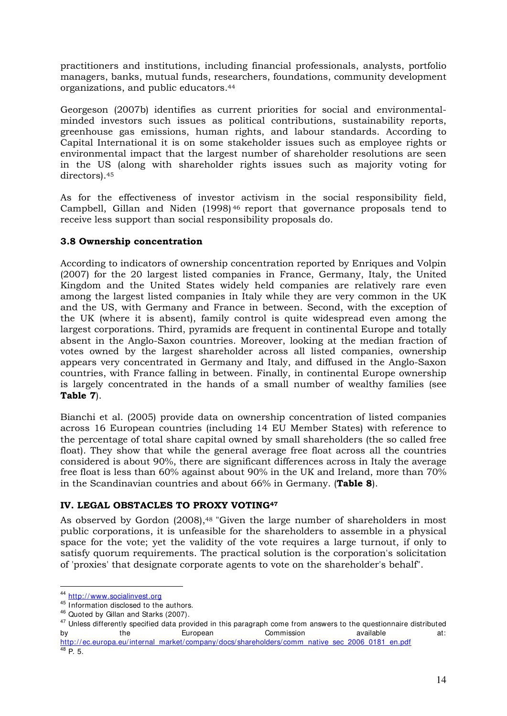practitioners and institutions, including financial professionals, analysts, portfolio managers, banks, mutual funds, researchers, foundations, community development organizations, and public educators.<sup>44</sup>

Georgeson (2007b) identifies as current priorities for social and environmentalminded investors such issues as political contributions, sustainability reports, greenhouse gas emissions, human rights, and labour standards. According to Capital International it is on some stakeholder issues such as employee rights or environmental impact that the largest number of shareholder resolutions are seen in the US (along with shareholder rights issues such as majority voting for directors).<sup>45</sup>

As for the effectiveness of investor activism in the social responsibility field, Campbell, Gillan and Niden (1998) <sup>46</sup> report that governance proposals tend to receive less support than social responsibility proposals do.

## **3.8 Ownership concentration**

According to indicators of ownership concentration reported by Enriques and Volpin (2007) for the 20 largest listed companies in France, Germany, Italy, the United Kingdom and the United States widely held companies are relatively rare even among the largest listed companies in Italy while they are very common in the UK and the US, with Germany and France in between. Second, with the exception of the UK (where it is absent), family control is quite widespread even among the largest corporations. Third, pyramids are frequent in continental Europe and totally absent in the Anglo-Saxon countries. Moreover, looking at the median fraction of votes owned by the largest shareholder across all listed companies, ownership appears very concentrated in Germany and Italy, and diffused in the Anglo-Saxon countries, with France falling in between. Finally, in continental Europe ownership is largely concentrated in the hands of a small number of wealthy families (see **Table 7**).

Bianchi et al. (2005) provide data on ownership concentration of listed companies across 16 European countries (including 14 EU Member States) with reference to the percentage of total share capital owned by small shareholders (the so called free float). They show that while the general average free float across all the countries considered is about 90%, there are significant differences across in Italy the average free float is less than 60% against about 90% in the UK and Ireland, more than 70% in the Scandinavian countries and about 66% in Germany. (**Table 8**).

## **IV. LEGAL OBSTACLES TO PROXY VOTING<sup>47</sup>**

As observed by Gordon (2008),<sup>48</sup> "Given the large number of shareholders in most public corporations, it is unfeasible for the shareholders to assemble in a physical space for the vote; yet the validity of the vote requires a large turnout, if only to satisfy quorum requirements. The practical solution is the corporation's solicitation of 'proxies' that designate corporate agents to vote on the shareholder's behalf".

<sup>44</sup> http://www.socialinvest.org

<sup>45</sup> Information disclosed to the authors.

<sup>46</sup> Quoted by Gillan and Starks (2007).

<sup>&</sup>lt;sup>47</sup> Unless differently specified data provided in this paragraph come from answers to the questionnaire distributed by the European Commission available at: http://ec.europa.eu/internal\_market/company/docs/shareholders/comm\_native\_sec\_2006\_0181\_en.pdf

 $48$  P. 5.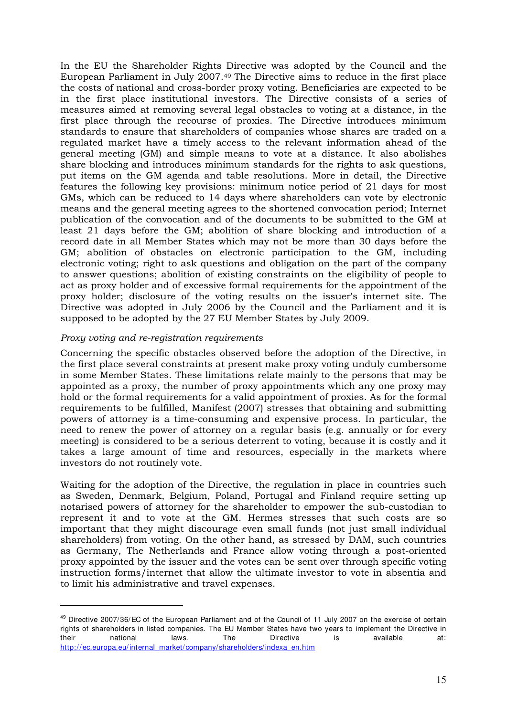In the EU the Shareholder Rights Directive was adopted by the Council and the European Parliament in July 2007.49 The Directive aims to reduce in the first place the costs of national and cross-border proxy voting. Beneficiaries are expected to be in the first place institutional investors. The Directive consists of a series of measures aimed at removing several legal obstacles to voting at a distance, in the first place through the recourse of proxies. The Directive introduces minimum standards to ensure that shareholders of companies whose shares are traded on a regulated market have a timely access to the relevant information ahead of the general meeting (GM) and simple means to vote at a distance. It also abolishes share blocking and introduces minimum standards for the rights to ask questions, put items on the GM agenda and table resolutions. More in detail, the Directive features the following key provisions: minimum notice period of 21 days for most GMs, which can be reduced to 14 days where shareholders can vote by electronic means and the general meeting agrees to the shortened convocation period; Internet publication of the convocation and of the documents to be submitted to the GM at least 21 days before the GM; abolition of share blocking and introduction of a record date in all Member States which may not be more than 30 days before the GM; abolition of obstacles on electronic participation to the GM, including electronic voting; right to ask questions and obligation on the part of the company to answer questions; abolition of existing constraints on the eligibility of people to act as proxy holder and of excessive formal requirements for the appointment of the proxy holder; disclosure of the voting results on the issuer's internet site. The Directive was adopted in July 2006 by the Council and the Parliament and it is supposed to be adopted by the 27 EU Member States by July 2009.

#### *Proxy voting and re-registration requirements*

-

Concerning the specific obstacles observed before the adoption of the Directive, in the first place several constraints at present make proxy voting unduly cumbersome in some Member States. These limitations relate mainly to the persons that may be appointed as a proxy, the number of proxy appointments which any one proxy may hold or the formal requirements for a valid appointment of proxies. As for the formal requirements to be fulfilled, Manifest (2007) stresses that obtaining and submitting powers of attorney is a time-consuming and expensive process. In particular, the need to renew the power of attorney on a regular basis (e.g. annually or for every meeting) is considered to be a serious deterrent to voting, because it is costly and it takes a large amount of time and resources, especially in the markets where investors do not routinely vote.

Waiting for the adoption of the Directive, the regulation in place in countries such as Sweden, Denmark, Belgium, Poland, Portugal and Finland require setting up notarised powers of attorney for the shareholder to empower the sub-custodian to represent it and to vote at the GM. Hermes stresses that such costs are so important that they might discourage even small funds (not just small individual shareholders) from voting. On the other hand, as stressed by DAM, such countries as Germany, The Netherlands and France allow voting through a post-oriented proxy appointed by the issuer and the votes can be sent over through specific voting instruction forms/internet that allow the ultimate investor to vote in absentia and to limit his administrative and travel expenses.

<sup>49</sup> Directive 2007/36/EC of the European Parliament and of the Council of 11 July 2007 on the exercise of certain rights of shareholders in listed companies. The EU Member States have two years to implement the Directive in their national laws. The Directive is available at: http://ec.europa.eu/internal\_market/ company/shareholders/indexa\_en.htm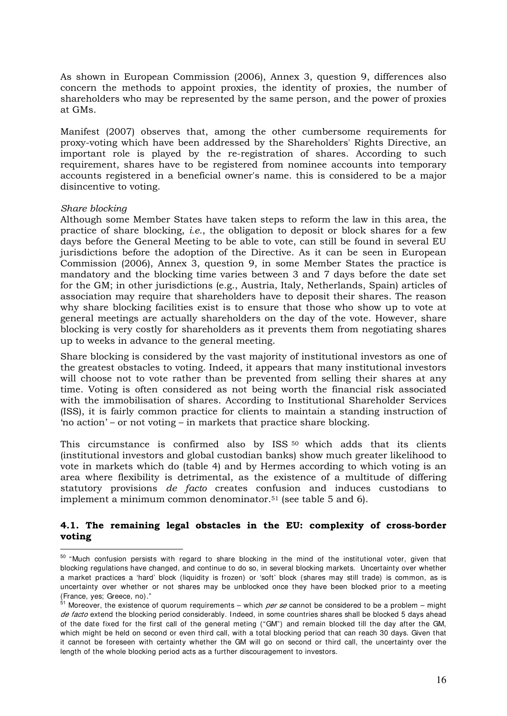As shown in European Commission (2006), Annex 3, question 9, differences also concern the methods to appoint proxies, the identity of proxies, the number of shareholders who may be represented by the same person, and the power of proxies at GMs.

Manifest (2007) observes that, among the other cumbersome requirements for proxy-voting which have been addressed by the Shareholders' Rights Directive, an important role is played by the re-registration of shares. According to such requirement, shares have to be registered from nominee accounts into temporary accounts registered in a beneficial owner's name. this is considered to be a major disincentive to voting.

#### *Share blocking*

-

Although some Member States have taken steps to reform the law in this area, the practice of share blocking, *i.e.*, the obligation to deposit or block shares for a few days before the General Meeting to be able to vote, can still be found in several EU jurisdictions before the adoption of the Directive. As it can be seen in European Commission (2006), Annex 3, question 9, in some Member States the practice is mandatory and the blocking time varies between 3 and 7 days before the date set for the GM; in other jurisdictions (e.g., Austria, Italy, Netherlands, Spain) articles of association may require that shareholders have to deposit their shares. The reason why share blocking facilities exist is to ensure that those who show up to vote at general meetings are actually shareholders on the day of the vote. However, share blocking is very costly for shareholders as it prevents them from negotiating shares up to weeks in advance to the general meeting.

Share blocking is considered by the vast majority of institutional investors as one of the greatest obstacles to voting. Indeed, it appears that many institutional investors will choose not to vote rather than be prevented from selling their shares at any time. Voting is often considered as not being worth the financial risk associated with the immobilisation of shares. According to Institutional Shareholder Services (ISS), it is fairly common practice for clients to maintain a standing instruction of 'no action' – or not voting – in markets that practice share blocking.

This circumstance is confirmed also by ISS <sup>50</sup> which adds that its clients (institutional investors and global custodian banks) show much greater likelihood to vote in markets which do (table 4) and by Hermes according to which voting is an area where flexibility is detrimental, as the existence of a multitude of differing statutory provisions *de facto* creates confusion and induces custodians to implement a minimum common denominator.51 (see table 5 and 6).

#### **4.1. The remaining legal obstacles in the EU: complexity of cross-border voting**

 $50$  "Much confusion persists with regard to share blocking in the mind of the institutional voter, given that blocking regulations have changed, and continue to do so, in several blocking markets. Uncertainty over whether a market practices a 'hard' block (liquidity is frozen) or 'soft' block (shares may still trade) is common, as is uncertainty over whether or not shares may be unblocked once they have been blocked prior to a meeting (France, yes; Greece, no)."

 $51$  Moreover, the existence of quorum requirements – which *per se* cannot be considered to be a problem – might de facto extend the blocking period considerably. Indeed, in some countries shares shall be blocked 5 days ahead of the date fixed for the first call of the general meting ("GM") and remain blocked till the day after the GM, which might be held on second or even third call, with a total blocking period that can reach 30 days. Given that it cannot be foreseen with certainty whether the GM will go on second or third call, the uncertainty over the length of the whole blocking period acts as a further discouragement to investors.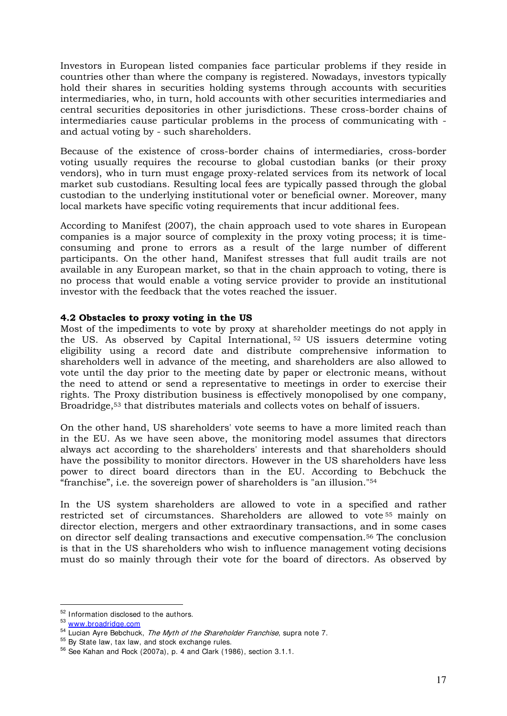Investors in European listed companies face particular problems if they reside in countries other than where the company is registered. Nowadays, investors typically hold their shares in securities holding systems through accounts with securities intermediaries, who, in turn, hold accounts with other securities intermediaries and central securities depositories in other jurisdictions. These cross-border chains of intermediaries cause particular problems in the process of communicating with and actual voting by - such shareholders.

Because of the existence of cross-border chains of intermediaries, cross-border voting usually requires the recourse to global custodian banks (or their proxy vendors), who in turn must engage proxy-related services from its network of local market sub custodians. Resulting local fees are typically passed through the global custodian to the underlying institutional voter or beneficial owner. Moreover, many local markets have specific voting requirements that incur additional fees.

According to Manifest (2007), the chain approach used to vote shares in European companies is a major source of complexity in the proxy voting process; it is timeconsuming and prone to errors as a result of the large number of different participants. On the other hand, Manifest stresses that full audit trails are not available in any European market, so that in the chain approach to voting, there is no process that would enable a voting service provider to provide an institutional investor with the feedback that the votes reached the issuer.

#### **4.2 Obstacles to proxy voting in the US**

Most of the impediments to vote by proxy at shareholder meetings do not apply in the US. As observed by Capital International, <sup>52</sup> US issuers determine voting eligibility using a record date and distribute comprehensive information to shareholders well in advance of the meeting, and shareholders are also allowed to vote until the day prior to the meeting date by paper or electronic means, without the need to attend or send a representative to meetings in order to exercise their rights. The Proxy distribution business is effectively monopolised by one company, Broadridge,53 that distributes materials and collects votes on behalf of issuers.

On the other hand, US shareholders' vote seems to have a more limited reach than in the EU. As we have seen above, the monitoring model assumes that directors always act according to the shareholders' interests and that shareholders should have the possibility to monitor directors. However in the US shareholders have less power to direct board directors than in the EU. According to Bebchuck the "franchise", i.e. the sovereign power of shareholders is "an illusion."<sup>54</sup>

In the US system shareholders are allowed to vote in a specified and rather restricted set of circumstances. Shareholders are allowed to vote <sup>55</sup> mainly on director election, mergers and other extraordinary transactions, and in some cases on director self dealing transactions and executive compensation.56 The conclusion is that in the US shareholders who wish to influence management voting decisions must do so mainly through their vote for the board of directors. As observed by

<sup>-</sup><sup>52</sup> Information disclosed to the authors.

<sup>53</sup> www.broadridge.com

<sup>54</sup> Lucian Ayre Bebchuck, The Myth of the Shareholder Franchise, supra note 7.

<sup>55</sup> By State law, tax law, and stock exchange rules.

<sup>56</sup> See Kahan and Rock (2007a), p. 4 and Clark (1986), section 3.1.1.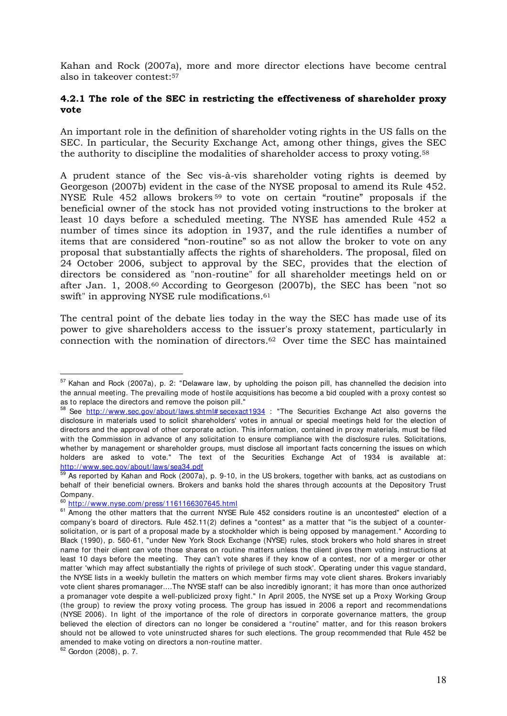Kahan and Rock (2007a), more and more director elections have become central also in takeover contest:<sup>57</sup>

#### **4.2.1 The role of the SEC in restricting the effectiveness of shareholder proxy vote**

An important role in the definition of shareholder voting rights in the US falls on the SEC. In particular, the Security Exchange Act, among other things, gives the SEC the authority to discipline the modalities of shareholder access to proxy voting.<sup>58</sup>

A prudent stance of the Sec vis-à-vis shareholder voting rights is deemed by Georgeson (2007b) evident in the case of the NYSE proposal to amend its Rule 452. NYSE Rule 452 allows brokers <sup>59</sup> to vote on certain "routine" proposals if the beneficial owner of the stock has not provided voting instructions to the broker at least 10 days before a scheduled meeting. The NYSE has amended Rule 452 a number of times since its adoption in 1937, and the rule identifies a number of items that are considered "non-routine" so as not allow the broker to vote on any proposal that substantially affects the rights of shareholders. The proposal, filed on 24 October 2006, subject to approval by the SEC, provides that the election of directors be considered as "non-routine" for all shareholder meetings held on or after Jan. 1, 2008.60 According to Georgeson (2007b), the SEC has been "not so swift" in approving NYSE rule modifications.<sup>61</sup>

The central point of the debate lies today in the way the SEC has made use of its power to give shareholders access to the issuer's proxy statement, particularly in connection with the nomination of directors.<sup>62</sup> Over time the SEC has maintained

<u>.</u>

<sup>57</sup> Kahan and Rock (2007a), p. 2: "Delaware law, by upholding the poison pill, has channelled the decision into the annual meeting. The prevailing mode of hostile acquisitions has become a bid coupled with a proxy contest so as to replace the directors and remove the poison pill."

<sup>58</sup> See http://www.sec.gov/about/laws.shtml# secexact1934 : "The Securities Exchange Act also governs the disclosure in materials used to solicit shareholders' votes in annual or special meetings held for the election of directors and the approval of other corporate action. This information, contained in proxy materials, must be filed with the Commission in advance of any solicitation to ensure compliance with the disclosure rules. Solicitations, whether by management or shareholder groups, must disclose all important facts concerning the issues on which holders are asked to vote." The text of the Securities Exchange Act of 1934 is available at: http://www.sec.gov/about/laws/sea34.pdf

<sup>59</sup> As reported by Kahan and Rock (2007a), p. 9-10, in the US brokers, together with banks, act as custodians on behalf of their beneficial owners. Brokers and banks hold the shares through accounts at the Depository Trust Company.

<sup>60</sup> http://www.nyse.com/press/1161166307645.html

<sup>&</sup>lt;sup>61</sup> Among the other matters that the current NYSE Rule 452 considers routine is an uncontested" election of a company's board of directors. Rule 452.11(2) defines a "contest" as a matter that "is the subject of a countersolicitation, or is part of a proposal made by a stockholder which is being opposed by management." According to Black (1990), p. 560-61, "under New York Stock Exchange (NYSE) rules, stock brokers who hold shares in street name for their client can vote those shares on routine matters unless the client gives them voting instructions at least 10 days before the meeting. They can't vote shares if they know of a contest, nor of a merger or other matter 'which may affect substantially the rights of privilege of such stock'. Operating under this vague standard, the NYSE lists in a weekly bulletin the matters on which member firms may vote client shares. Brokers invariably vote client shares promanager....The NYSE staff can be also incredibly ignorant; it has more than once authorized a promanager vote despite a well-publicized proxy fight." In April 2005, the NYSE set up a Proxy Working Group (the group) to review the proxy voting process. The group has issued in 2006 a report and recommendations (NYSE 2006). In light of the importance of the role of directors in corporate governance matters, the group believed the election of directors can no longer be considered a "routine" matter, and for this reason brokers should not be allowed to vote uninstructed shares for such elections. The group recommended that Rule 452 be amended to make voting on directors a non-routine matter.

<sup>62</sup> Gordon (2008), p. 7.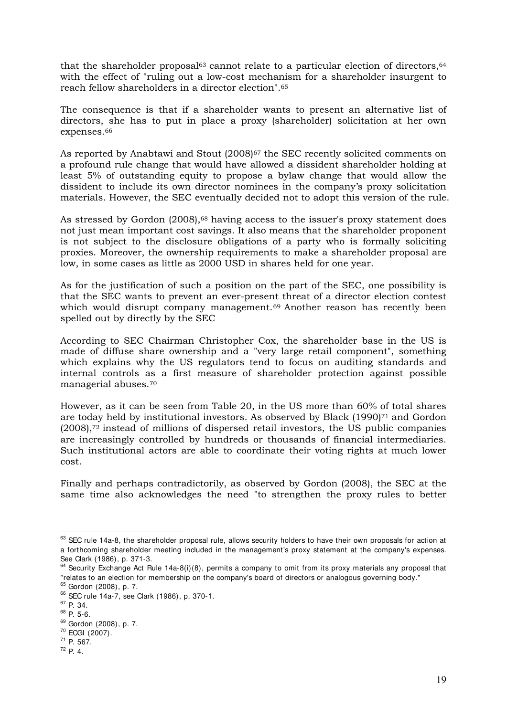that the shareholder proposal<sup>63</sup> cannot relate to a particular election of directors,  $64$ with the effect of "ruling out a low-cost mechanism for a shareholder insurgent to reach fellow shareholders in a director election".<sup>65</sup>

The consequence is that if a shareholder wants to present an alternative list of directors, she has to put in place a proxy (shareholder) solicitation at her own expenses.<sup>66</sup>

As reported by Anabtawi and Stout (2008)<sup>67</sup> the SEC recently solicited comments on a profound rule change that would have allowed a dissident shareholder holding at least 5% of outstanding equity to propose a bylaw change that would allow the dissident to include its own director nominees in the company's proxy solicitation materials. However, the SEC eventually decided not to adopt this version of the rule.

As stressed by Gordon (2008),<sup>68</sup> having access to the issuer's proxy statement does not just mean important cost savings. It also means that the shareholder proponent is not subject to the disclosure obligations of a party who is formally soliciting proxies. Moreover, the ownership requirements to make a shareholder proposal are low, in some cases as little as 2000 USD in shares held for one year.

As for the justification of such a position on the part of the SEC, one possibility is that the SEC wants to prevent an ever-present threat of a director election contest which would disrupt company management.<sup>69</sup> Another reason has recently been spelled out by directly by the SEC

According to SEC Chairman Christopher Cox, the shareholder base in the US is made of diffuse share ownership and a "very large retail component", something which explains why the US regulators tend to focus on auditing standards and internal controls as a first measure of shareholder protection against possible managerial abuses.<sup>70</sup>

However, as it can be seen from Table 20, in the US more than 60% of total shares are today held by institutional investors. As observed by Black (1990)71 and Gordon (2008),72 instead of millions of dispersed retail investors, the US public companies are increasingly controlled by hundreds or thousands of financial intermediaries. Such institutional actors are able to coordinate their voting rights at much lower cost.

Finally and perhaps contradictorily, as observed by Gordon (2008), the SEC at the same time also acknowledges the need "to strengthen the proxy rules to better

 $63$  SEC rule 14a-8, the shareholder proposal rule, allows security holders to have their own proposals for action at a forthcoming shareholder meeting included in the management's proxy statement at the company's expenses. See Clark (1986), p. 371-3.

<sup>&</sup>lt;sup>64</sup> Security Exchange Act Rule 14a-8(i)(8), permits a company to omit from its proxy materials any proposal that "relates to an election for membership on the company's board of directors or analogous governing body."

<sup>65</sup> Gordon (2008), p. 7.

<sup>66</sup> SEC rule 14a-7, see Clark (1986), p. 370-1.

<sup>67</sup> P. 34.

<sup>68</sup> P. 5-6.

<sup>69</sup> Gordon (2008), p. 7. <sup>70</sup> ECGI (2007).

<sup>71</sup> P. 567.

<sup>72</sup> P. 4.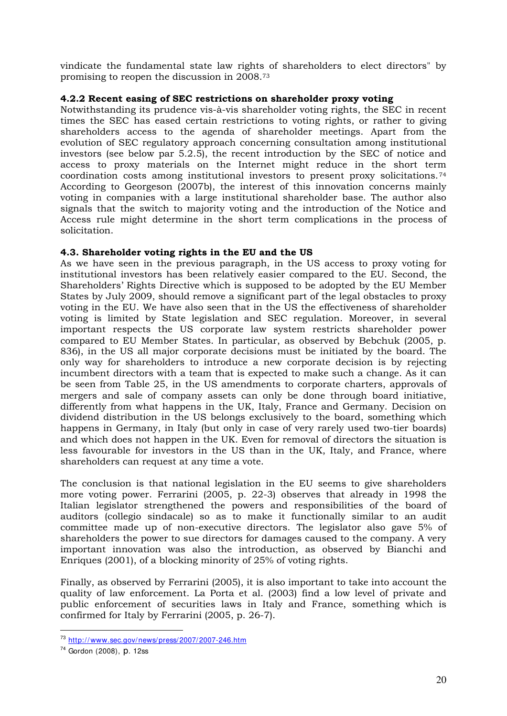vindicate the fundamental state law rights of shareholders to elect directors" by promising to reopen the discussion in 2008.<sup>73</sup>

## **4.2.2 Recent easing of SEC restrictions on shareholder proxy voting**

Notwithstanding its prudence vis-à-vis shareholder voting rights, the SEC in recent times the SEC has eased certain restrictions to voting rights, or rather to giving shareholders access to the agenda of shareholder meetings. Apart from the evolution of SEC regulatory approach concerning consultation among institutional investors (see below par 5.2.5), the recent introduction by the SEC of notice and access to proxy materials on the Internet might reduce in the short term coordination costs among institutional investors to present proxy solicitations.<sup>74</sup> According to Georgeson (2007b), the interest of this innovation concerns mainly voting in companies with a large institutional shareholder base. The author also signals that the switch to majority voting and the introduction of the Notice and Access rule might determine in the short term complications in the process of solicitation.

## **4.3. Shareholder voting rights in the EU and the US**

As we have seen in the previous paragraph, in the US access to proxy voting for institutional investors has been relatively easier compared to the EU. Second, the Shareholders' Rights Directive which is supposed to be adopted by the EU Member States by July 2009, should remove a significant part of the legal obstacles to proxy voting in the EU. We have also seen that in the US the effectiveness of shareholder voting is limited by State legislation and SEC regulation. Moreover, in several important respects the US corporate law system restricts shareholder power compared to EU Member States. In particular, as observed by Bebchuk (2005, p. 836), in the US all major corporate decisions must be initiated by the board. The only way for shareholders to introduce a new corporate decision is by rejecting incumbent directors with a team that is expected to make such a change. As it can be seen from Table 25, in the US amendments to corporate charters, approvals of mergers and sale of company assets can only be done through board initiative, differently from what happens in the UK, Italy, France and Germany. Decision on dividend distribution in the US belongs exclusively to the board, something which happens in Germany, in Italy (but only in case of very rarely used two-tier boards) and which does not happen in the UK. Even for removal of directors the situation is less favourable for investors in the US than in the UK, Italy, and France, where shareholders can request at any time a vote.

The conclusion is that national legislation in the EU seems to give shareholders more voting power. Ferrarini (2005, p. 22-3) observes that already in 1998 the Italian legislator strengthened the powers and responsibilities of the board of auditors (collegio sindacale) so as to make it functionally similar to an audit committee made up of non-executive directors. The legislator also gave 5% of shareholders the power to sue directors for damages caused to the company. A very important innovation was also the introduction, as observed by Bianchi and Enriques (2001), of a blocking minority of 25% of voting rights.

Finally, as observed by Ferrarini (2005), it is also important to take into account the quality of law enforcement. La Porta et al. (2003) find a low level of private and public enforcement of securities laws in Italy and France, something which is confirmed for Italy by Ferrarini (2005, p. 26-7).

<sup>-</sup><sup>73</sup> http://www.sec.gov/news/press/2007/2007-246.htm

<sup>74</sup> Gordon (2008), p. 12ss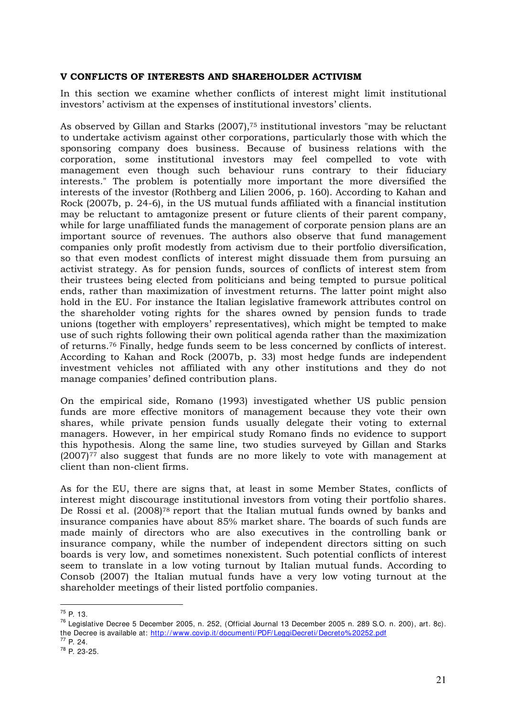#### **V CONFLICTS OF INTERESTS AND SHAREHOLDER ACTIVISM**

In this section we examine whether conflicts of interest might limit institutional investors' activism at the expenses of institutional investors' clients.

As observed by Gillan and Starks (2007),75 institutional investors "may be reluctant to undertake activism against other corporations, particularly those with which the sponsoring company does business. Because of business relations with the corporation, some institutional investors may feel compelled to vote with management even though such behaviour runs contrary to their fiduciary interests." The problem is potentially more important the more diversified the interests of the investor (Rothberg and Lilien 2006, p. 160). According to Kahan and Rock (2007b, p. 24-6), in the US mutual funds affiliated with a financial institution may be reluctant to amtagonize present or future clients of their parent company, while for large unaffiliated funds the management of corporate pension plans are an important source of revenues. The authors also observe that fund management companies only profit modestly from activism due to their portfolio diversification, so that even modest conflicts of interest might dissuade them from pursuing an activist strategy. As for pension funds, sources of conflicts of interest stem from their trustees being elected from politicians and being tempted to pursue political ends, rather than maximization of investment returns. The latter point might also hold in the EU. For instance the Italian legislative framework attributes control on the shareholder voting rights for the shares owned by pension funds to trade unions (together with employers' representatives), which might be tempted to make use of such rights following their own political agenda rather than the maximization of returns.76 Finally, hedge funds seem to be less concerned by conflicts of interest. According to Kahan and Rock (2007b, p. 33) most hedge funds are independent investment vehicles not affiliated with any other institutions and they do not manage companies' defined contribution plans.

On the empirical side, Romano (1993) investigated whether US public pension funds are more effective monitors of management because they vote their own shares, while private pension funds usually delegate their voting to external managers. However, in her empirical study Romano finds no evidence to support this hypothesis. Along the same line, two studies surveyed by Gillan and Starks  $(2007)$ <sup>77</sup> also suggest that funds are no more likely to vote with management at client than non-client firms.

As for the EU, there are signs that, at least in some Member States, conflicts of interest might discourage institutional investors from voting their portfolio shares. De Rossi et al. (2008)<sup>78</sup> report that the Italian mutual funds owned by banks and insurance companies have about 85% market share. The boards of such funds are made mainly of directors who are also executives in the controlling bank or insurance company, while the number of independent directors sitting on such boards is very low, and sometimes nonexistent. Such potential conflicts of interest seem to translate in a low voting turnout by Italian mutual funds. According to Consob (2007) the Italian mutual funds have a very low voting turnout at the shareholder meetings of their listed portfolio companies.

<sup>-</sup> $^{75}P. 13$ 

 $^{76}$  Legislative Decree 5 December 2005, n. 252, (Official Journal 13 December 2005 n. 289 S.O. n. 200), art. 8c). the Decree is available at: http://www.covip.it/documenti/PDF/LeggiDecreti/Decreto% 20252.pdf <sup>77</sup> P. 24.

<sup>78</sup> P. 23-25.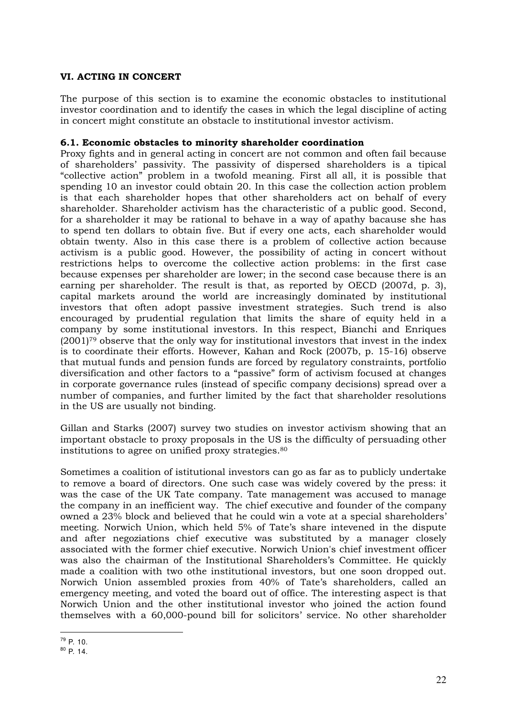## **VI. ACTING IN CONCERT**

The purpose of this section is to examine the economic obstacles to institutional investor coordination and to identify the cases in which the legal discipline of acting in concert might constitute an obstacle to institutional investor activism.

#### **6.1. Economic obstacles to minority shareholder coordination**

Proxy fights and in general acting in concert are not common and often fail because of shareholders' passivity. The passivity of dispersed shareholders is a tipical "collective action" problem in a twofold meaning. First all all, it is possible that spending 10 an investor could obtain 20. In this case the collection action problem is that each shareholder hopes that other shareholders act on behalf of every shareholder. Shareholder activism has the characteristic of a public good. Second, for a shareholder it may be rational to behave in a way of apathy bacause she has to spend ten dollars to obtain five. But if every one acts, each shareholder would obtain twenty. Also in this case there is a problem of collective action because activism is a public good. However, the possibility of acting in concert without restrictions helps to overcome the collective action problems: in the first case because expenses per shareholder are lower; in the second case because there is an earning per shareholder. The result is that, as reported by OECD (2007d, p. 3), capital markets around the world are increasingly dominated by institutional investors that often adopt passive investment strategies. Such trend is also encouraged by prudential regulation that limits the share of equity held in a company by some institutional investors. In this respect, Bianchi and Enriques  $(2001)$ <sup>79</sup> observe that the only way for institutional investors that invest in the index is to coordinate their efforts. However, Kahan and Rock (2007b, p. 15-16) observe that mutual funds and pension funds are forced by regulatory constraints, portfolio diversification and other factors to a "passive" form of activism focused at changes in corporate governance rules (instead of specific company decisions) spread over a number of companies, and further limited by the fact that shareholder resolutions in the US are usually not binding.

Gillan and Starks (2007) survey two studies on investor activism showing that an important obstacle to proxy proposals in the US is the difficulty of persuading other institutions to agree on unified proxy strategies.<sup>80</sup>

Sometimes a coalition of istitutional investors can go as far as to publicly undertake to remove a board of directors. One such case was widely covered by the press: it was the case of the UK Tate company. Tate management was accused to manage the company in an inefficient way. The chief executive and founder of the company owned a 23% block and believed that he could win a vote at a special shareholders' meeting. Norwich Union, which held 5% of Tate's share intevened in the dispute and after negoziations chief executive was substituted by a manager closely associated with the former chief executive. Norwich Union's chief investment officer was also the chairman of the Institutional Shareholders's Committee. He quickly made a coalition with two othe institutional investors, but one soon dropped out. Norwich Union assembled proxies from 40% of Tate's shareholders, called an emergency meeting, and voted the board out of office. The interesting aspect is that Norwich Union and the other institutional investor who joined the action found themselves with a 60,000-pound bill for solicitors' service. No other shareholder

<sup>-</sup> $79$  P. 10.

<sup>80</sup> P. 14.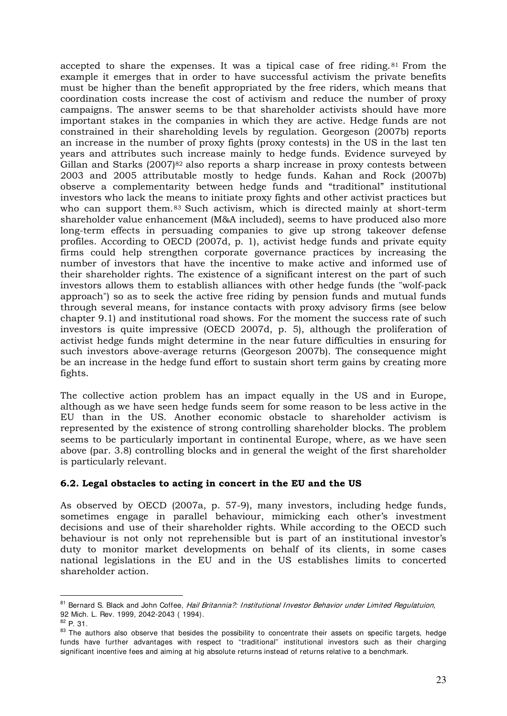accepted to share the expenses. It was a tipical case of free riding.<sup>81</sup> From the example it emerges that in order to have successful activism the private benefits must be higher than the benefit appropriated by the free riders, which means that coordination costs increase the cost of activism and reduce the number of proxy campaigns. The answer seems to be that shareholder activists should have more important stakes in the companies in which they are active. Hedge funds are not constrained in their shareholding levels by regulation. Georgeson (2007b) reports an increase in the number of proxy fights (proxy contests) in the US in the last ten years and attributes such increase mainly to hedge funds. Evidence surveyed by Gillan and Starks  $(2007)^{82}$  also reports a sharp increase in proxy contests between 2003 and 2005 attributable mostly to hedge funds. Kahan and Rock (2007b) observe a complementarity between hedge funds and "traditional" institutional investors who lack the means to initiate proxy fights and other activist practices but who can support them.<sup>83</sup> Such activism, which is directed mainly at short-term shareholder value enhancement (M&A included), seems to have produced also more long-term effects in persuading companies to give up strong takeover defense profiles. According to OECD (2007d, p. 1), activist hedge funds and private equity firms could help strengthen corporate governance practices by increasing the number of investors that have the incentive to make active and informed use of their shareholder rights. The existence of a significant interest on the part of such investors allows them to establish alliances with other hedge funds (the "wolf-pack approach") so as to seek the active free riding by pension funds and mutual funds through several means, for instance contacts with proxy advisory firms (see below chapter 9.1) and institutional road shows. For the moment the success rate of such investors is quite impressive (OECD 2007d, p. 5), although the proliferation of activist hedge funds might determine in the near future difficulties in ensuring for such investors above-average returns (Georgeson 2007b). The consequence might be an increase in the hedge fund effort to sustain short term gains by creating more fights.

The collective action problem has an impact equally in the US and in Europe, although as we have seen hedge funds seem for some reason to be less active in the EU than in the US. Another economic obstacle to shareholder activism is represented by the existence of strong controlling shareholder blocks. The problem seems to be particularly important in continental Europe, where, as we have seen above (par. 3.8) controlling blocks and in general the weight of the first shareholder is particularly relevant.

#### **6.2. Legal obstacles to acting in concert in the EU and the US**

As observed by OECD (2007a, p. 57-9), many investors, including hedge funds, sometimes engage in parallel behaviour, mimicking each other's investment decisions and use of their shareholder rights. While according to the OECD such behaviour is not only not reprehensible but is part of an institutional investor's duty to monitor market developments on behalf of its clients, in some cases national legislations in the EU and in the US establishes limits to concerted shareholder action.

<sup>-</sup><sup>81</sup> Bernard S. Black and John Coffee, Hail Britannia?: Institutional Investor Behavior under Limited Regulatuion, 92 Mich. L. Rev. 1999, 2042-2043 ( 1994).

 $82$  P. 31.

<sup>83</sup> The authors also observe that besides the possibility to concentrate their assets on specific targets, hedge funds have further advantages with respect to "traditional" institutional investors such as their charging significant incentive fees and aiming at hig absolute returns instead of returns relative to a benchmark.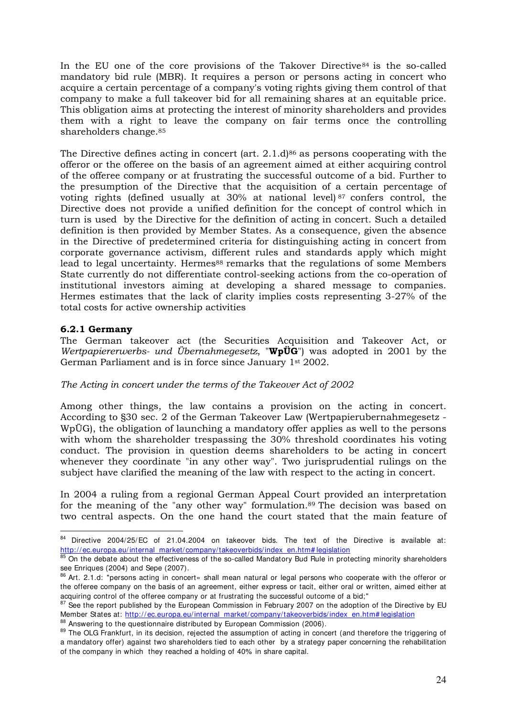In the EU one of the core provisions of the Takover Directive<sup>84</sup> is the so-called mandatory bid rule (MBR). It requires a person or persons acting in concert who acquire a certain percentage of a company's voting rights giving them control of that company to make a full takeover bid for all remaining shares at an equitable price. This obligation aims at protecting the interest of minority shareholders and provides them with a right to leave the company on fair terms once the controlling shareholders change.<sup>85</sup>

The Directive defines acting in concert (art.  $2.1 \text{ d}$ )<sup>86</sup> as persons cooperating with the offeror or the offeree on the basis of an agreement aimed at either acquiring control of the offeree company or at frustrating the successful outcome of a bid. Further to the presumption of the Directive that the acquisition of a certain percentage of voting rights (defined usually at  $30\%$  at national level)  $87$  confers control, the Directive does not provide a unified definition for the concept of control which in turn is used by the Directive for the definition of acting in concert. Such a detailed definition is then provided by Member States. As a consequence, given the absence in the Directive of predetermined criteria for distinguishing acting in concert from corporate governance activism, different rules and standards apply which might lead to legal uncertainty. Hermes<sup>88</sup> remarks that the regulations of some Members State currently do not differentiate control-seeking actions from the co-operation of institutional investors aiming at developing a shared message to companies. Hermes estimates that the lack of clarity implies costs representing 3-27% of the total costs for active ownership activities

## **6.2.1 Germany**

The German takeover act (the Securities Acquisition and Takeover Act, or *Wertpapiererwerbs- und Übernahmegesetz*, "**WpÜG**") was adopted in 2001 by the German Parliament and is in force since January 1st 2002.

#### *The Acting in concert under the terms of the Takeover Act of 2002*

Among other things, the law contains a provision on the acting in concert. According to §30 sec. 2 of the German Takeover Law (Wertpapierubernahmegesetz - WpÜG), the obligation of launching a mandatory offer applies as well to the persons with whom the shareholder trespassing the 30% threshold coordinates his voting conduct. The provision in question deems shareholders to be acting in concert whenever they coordinate "in any other way". Two jurisprudential rulings on the subject have clarified the meaning of the law with respect to the acting in concert.

In 2004 a ruling from a regional German Appeal Court provided an interpretation for the meaning of the "any other way" formulation.89 The decision was based on two central aspects. On the one hand the court stated that the main feature of

<sup>-</sup><sup>84</sup> Directive 2004/25/EC of 21.04.2004 on takeover bids. The text of the Directive is available at: http://ec.europa.eu/internal\_market/company/takeoverbids/index\_en.htm# legislation

<sup>&</sup>lt;sup>85</sup> On the debate about the effectiveness of the so-called Mandatory Bud Rule in protecting minority shareholders see Enriques (2004) and Sepe (2007).

<sup>&</sup>lt;sup>86</sup> Art. 2.1.d: "persons acting in concert» shall mean natural or legal persons who cooperate with the offeror or the offeree company on the basis of an agreement, either express or tacit, either oral or written, aimed either at acquiring control of the offeree company or at frustrating the successful outcome of a bid;"

<sup>&</sup>lt;sup>87</sup> See the report published by the European Commission in February 2007 on the adoption of the Directive by EU Member States at: http://ec.europa.eu/internal\_market/company/takeoverbids/index\_en.htm# legislation

<sup>88</sup> Answering to the questionnaire distributed by European Commission (2006).

<sup>89</sup> The OLG Frankfurt, in its decision, rejected the assumption of acting in concert (and therefore the triggering of a mandatory offer) against two shareholders tied to each other by a strategy paper concerning the rehabilitation of the company in which they reached a holding of 40% in share capital.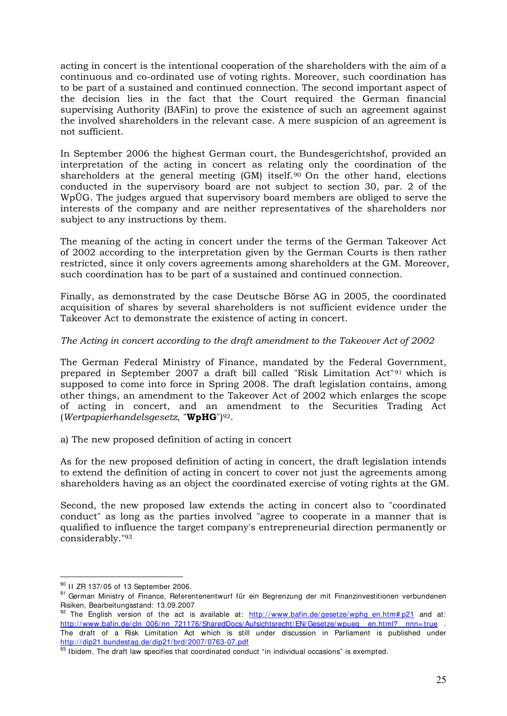acting in concert is the intentional cooperation of the shareholders with the aim of a continuous and co-ordinated use of voting rights. Moreover, such coordination has to be part of a sustained and continued connection. The second important aspect of the decision lies in the fact that the Court required the German financial supervising Authority (BAFin) to prove the existence of such an agreement against the involved shareholders in the relevant case. A mere suspicion of an agreement is not sufficient.

In September 2006 the highest German court, the Bundesgerichtshof, provided an interpretation of the acting in concert as relating only the coordination of the shareholders at the general meeting (GM) itself. <sup>90</sup> On the other hand, elections conducted in the supervisory board are not subject to section 30, par. 2 of the WpÜG. The judges argued that supervisory board members are obliged to serve the interests of the company and are neither representatives of the shareholders nor subject to any instructions by them.

The meaning of the acting in concert under the terms of the German Takeover Act of 2002 according to the interpretation given by the German Courts is then rather restricted, since it only covers agreements among shareholders at the GM. Moreover, such coordination has to be part of a sustained and continued connection.

Finally, as demonstrated by the case Deutsche Börse AG in 2005, the coordinated acquisition of shares by several shareholders is not sufficient evidence under the Takeover Act to demonstrate the existence of acting in concert.

## *The Acting in concert according to the draft amendment to the Takeover Act of 2002*

The German Federal Ministry of Finance, mandated by the Federal Government, prepared in September 2007 a draft bill called "Risk Limitation Act"91 which is supposed to come into force in Spring 2008. The draft legislation contains, among other things, an amendment to the Takeover Act of 2002 which enlarges the scope of acting in concert, and an amendment to the Securities Trading Act (*Wertpapierhandelsgesetz*, "**WpHG**")92.

a) The new proposed definition of acting in concert

As for the new proposed definition of acting in concert, the draft legislation intends to extend the definition of acting in concert to cover not just the agreements among shareholders having as an object the coordinated exercise of voting rights at the GM.

Second, the new proposed law extends the acting in concert also to "coordinated conduct" as long as the parties involved "agree to cooperate in a manner that is qualified to influence the target company's entrepreneurial direction permanently or considerably."<sup>93</sup>

<sup>-</sup>90 II ZR 137/05 of 13 September 2006.

<sup>91</sup> German Ministry of Finance, Referentenentwurf für ein Begrenzung der mit Finanzinvestitionen verbundenen Risiken, Bearbeitungsstand: 13.09.2007

<sup>&</sup>lt;sup>92</sup> The English version of the act is available at: http://www.bafin.de/gesetze/wphg\_en.htm# p21 and at: http://www.bafin.de/cln\_006/nn\_721176/SharedDocs/Aufsichtsrecht/EN/Gesetze/wpueg\_\_en.html?\_\_nnn= true The draft of a Risk Limitation Act which is still under discussion in Parliament is published under http://dip21.bundestag.de/dip21/brd/2007/0763-07.pdf

<sup>93</sup> Ibidem. The draft law specifies that coordinated conduct "in individual occasions" is exempted.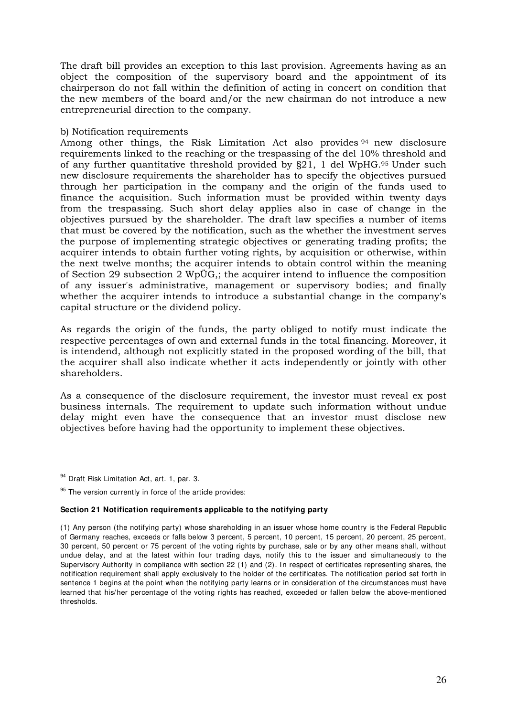The draft bill provides an exception to this last provision. Agreements having as an object the composition of the supervisory board and the appointment of its chairperson do not fall within the definition of acting in concert on condition that the new members of the board and/or the new chairman do not introduce a new entrepreneurial direction to the company.

#### b) Notification requirements

Among other things, the Risk Limitation Act also provides <sup>94</sup> new disclosure requirements linked to the reaching or the trespassing of the del 10% threshold and of any further quantitative threshold provided by §21, 1 del WpHG.95 Under such new disclosure requirements the shareholder has to specify the objectives pursued through her participation in the company and the origin of the funds used to finance the acquisition. Such information must be provided within twenty days from the trespassing. Such short delay applies also in case of change in the objectives pursued by the shareholder. The draft law specifies a number of items that must be covered by the notification, such as the whether the investment serves the purpose of implementing strategic objectives or generating trading profits; the acquirer intends to obtain further voting rights, by acquisition or otherwise, within the next twelve months; the acquirer intends to obtain control within the meaning of Section 29 subsection 2 WpÜG,; the acquirer intend to influence the composition of any issuer's administrative, management or supervisory bodies; and finally whether the acquirer intends to introduce a substantial change in the company's capital structure or the dividend policy.

As regards the origin of the funds, the party obliged to notify must indicate the respective percentages of own and external funds in the total financing. Moreover, it is intendend, although not explicitly stated in the proposed wording of the bill, that the acquirer shall also indicate whether it acts independently or jointly with other shareholders.

As a consequence of the disclosure requirement, the investor must reveal ex post business internals. The requirement to update such information without undue delay might even have the consequence that an investor must disclose new objectives before having had the opportunity to implement these objectives.

<u>.</u>

#### **Section 21 Notification requirements applicable to the notifying party**

<sup>94</sup> Draft Risk Limitation Act, art. 1, par. 3.

 $95$  The version currently in force of the article provides:

<sup>(1)</sup> Any person (the notifying party) whose shareholding in an issuer whose home country is the Federal Republic of Germany reaches, exceeds or falls below 3 percent, 5 percent, 10 percent, 15 percent, 20 percent, 25 percent, 30 percent, 50 percent or 75 percent of the voting rights by purchase, sale or by any other means shall, without undue delay, and at the latest within four trading days, notify this to the issuer and simultaneously to the Supervisory Authority in compliance with section 22 (1) and (2). In respect of certificates representing shares, the notification requirement shall apply exclusively to the holder of the certificates. The notification period set forth in sentence 1 begins at the point when the notifying party learns or in consideration of the circumstances must have learned that his/her percentage of the voting rights has reached, exceeded or fallen below the above-mentioned thresholds.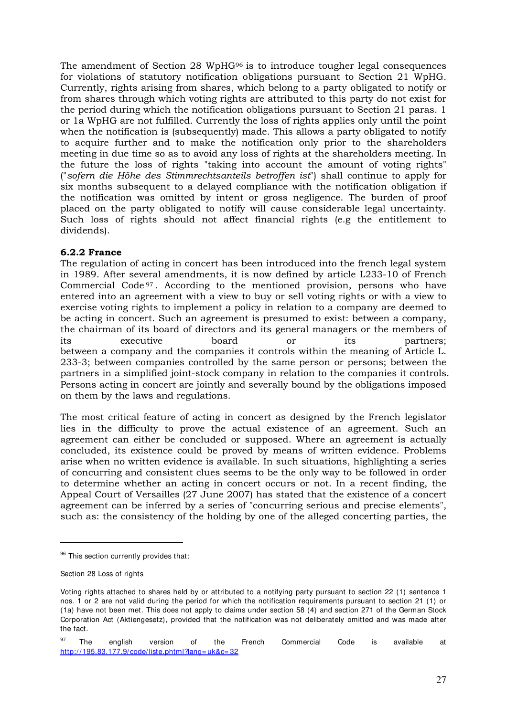The amendment of Section 28 WpHG96 is to introduce tougher legal consequences for violations of statutory notification obligations pursuant to Section 21 WpHG. Currently, rights arising from shares, which belong to a party obligated to notify or from shares through which voting rights are attributed to this party do not exist for the period during which the notification obligations pursuant to Section 21 paras. 1 or 1a WpHG are not fulfilled. Currently the loss of rights applies only until the point when the notification is (subsequently) made. This allows a party obligated to notify to acquire further and to make the notification only prior to the shareholders meeting in due time so as to avoid any loss of rights at the shareholders meeting. In the future the loss of rights "taking into account the amount of voting rights" ("*sofern die Höhe des Stimmrechtsanteils betroffen ist*") shall continue to apply for six months subsequent to a delayed compliance with the notification obligation if the notification was omitted by intent or gross negligence. The burden of proof placed on the party obligated to notify will cause considerable legal uncertainty. Such loss of rights should not affect financial rights (e.g the entitlement to dividends).

## **6.2.2 France**

The regulation of acting in concert has been introduced into the french legal system in 1989. After several amendments, it is now defined by article L233-10 of French Commercial Code <sup>97</sup> . According to the mentioned provision, persons who have entered into an agreement with a view to buy or sell voting rights or with a view to exercise voting rights to implement a policy in relation to a company are deemed to be acting in concert. Such an agreement is presumed to exist: between a company, the chairman of its board of directors and its general managers or the members of its executive board or its partners; between a company and the companies it controls within the meaning of Article L. 233-3; between companies controlled by the same person or persons; between the partners in a simplified joint-stock company in relation to the companies it controls. Persons acting in concert are jointly and severally bound by the obligations imposed on them by the laws and regulations.

The most critical feature of acting in concert as designed by the French legislator lies in the difficulty to prove the actual existence of an agreement. Such an agreement can either be concluded or supposed. Where an agreement is actually concluded, its existence could be proved by means of written evidence. Problems arise when no written evidence is available. In such situations, highlighting a series of concurring and consistent clues seems to be the only way to be followed in order to determine whether an acting in concert occurs or not. In a recent finding, the Appeal Court of Versailles (27 June 2007) has stated that the existence of a concert agreement can be inferred by a series of "concurring serious and precise elements", such as: the consistency of the holding by one of the alleged concerting parties, the

<sup>&</sup>lt;sup>96</sup> This section currently provides that:

Section 28 Loss of rights

Voting rights attached to shares held by or attributed to a notifying party pursuant to section 22 (1) sentence 1 nos. 1 or 2 are not valid during the period for which the notification requirements pursuant to section 21 (1) or (1a) have not been met. This does not apply to claims under section 58 (4) and section 271 of the German Stock Corporation Act (Aktiengesetz), provided that the notification was not deliberately omitted and was made after the fact.

<sup>&</sup>lt;sup>97</sup> The english version of the French Commercial Code is available at http://195.83.177.9/code/liste.phtml?lang= uk&c= 32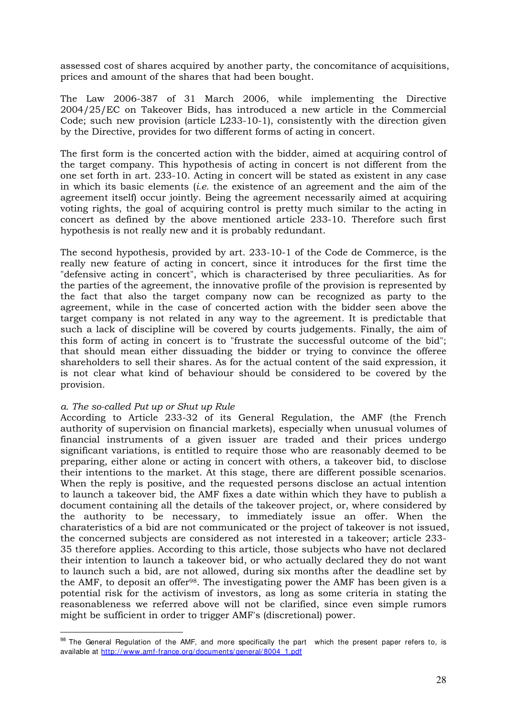assessed cost of shares acquired by another party, the concomitance of acquisitions, prices and amount of the shares that had been bought.

The Law 2006-387 of 31 March 2006, while implementing the Directive 2004/25/EC on Takeover Bids, has introduced a new article in the Commercial Code; such new provision (article L233-10-1), consistently with the direction given by the Directive, provides for two different forms of acting in concert.

The first form is the concerted action with the bidder, aimed at acquiring control of the target company. This hypothesis of acting in concert is not different from the one set forth in art. 233-10. Acting in concert will be stated as existent in any case in which its basic elements (*i.e.* the existence of an agreement and the aim of the agreement itself) occur jointly. Being the agreement necessarily aimed at acquiring voting rights, the goal of acquiring control is pretty much similar to the acting in concert as defined by the above mentioned article 233-10. Therefore such first hypothesis is not really new and it is probably redundant.

The second hypothesis, provided by art. 233-10-1 of the Code de Commerce, is the really new feature of acting in concert, since it introduces for the first time the "defensive acting in concert", which is characterised by three peculiarities. As for the parties of the agreement, the innovative profile of the provision is represented by the fact that also the target company now can be recognized as party to the agreement, while in the case of concerted action with the bidder seen above the target company is not related in any way to the agreement. It is predictable that such a lack of discipline will be covered by courts judgements. Finally, the aim of this form of acting in concert is to "frustrate the successful outcome of the bid"; that should mean either dissuading the bidder or trying to convince the offeree shareholders to sell their shares. As for the actual content of the said expression, it is not clear what kind of behaviour should be considered to be covered by the provision*.* 

#### *a. The so-called Put up or Shut up Rule*

-

According to Article 233-32 of its General Regulation, the AMF (the French authority of supervision on financial markets), especially when unusual volumes of financial instruments of a given issuer are traded and their prices undergo significant variations, is entitled to require those who are reasonably deemed to be preparing, either alone or acting in concert with others, a takeover bid, to disclose their intentions to the market. At this stage, there are different possible scenarios. When the reply is positive, and the requested persons disclose an actual intention to launch a takeover bid, the AMF fixes a date within which they have to publish a document containing all the details of the takeover project, or, where considered by the authority to be necessary, to immediately issue an offer. When the charateristics of a bid are not communicated or the project of takeover is not issued, the concerned subjects are considered as not interested in a takeover; article 233- 35 therefore applies. According to this article, those subjects who have not declared their intention to launch a takeover bid, or who actually declared they do not want to launch such a bid, are not allowed, during six months after the deadline set by the AMF, to deposit an offer98. The investigating power the AMF has been given is a potential risk for the activism of investors, as long as some criteria in stating the reasonableness we referred above will not be clarified, since even simple rumors might be sufficient in order to trigger AMF's (discretional) power.

<sup>&</sup>lt;sup>98</sup> The General Regulation of the AMF, and more specifically the part which the present paper refers to, is available at http://www.amf-france.org/documents/general/8004\_1.pdf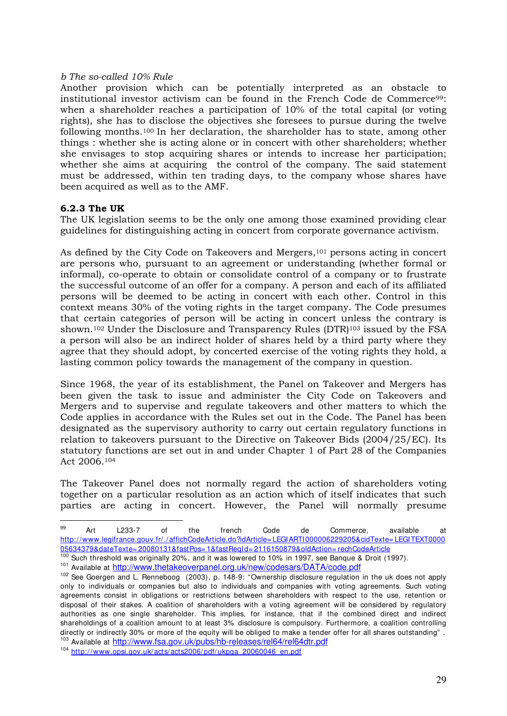#### *b The so-called 10% Rule*

Another provision which can be potentially interpreted as an obstacle to institutional investor activism can be found in the French Code de Commerce<sup>99</sup>: when a shareholder reaches a participation of 10% of the total capital (or voting rights), she has to disclose the objectives she foresees to pursue during the twelve following months.100 In her declaration, the shareholder has to state, among other things : whether she is acting alone or in concert with other shareholders; whether she envisages to stop acquiring shares or intends to increase her participation; whether she aims at acquiring the control of the company. The said statement must be addressed, within ten trading days, to the company whose shares have been acquired as well as to the AMF.

#### **6.2.3 The UK**

The UK legislation seems to be the only one among those examined providing clear guidelines for distinguishing acting in concert from corporate governance activism.

As defined by the City Code on Takeovers and Mergers,101 persons acting in concert are persons who, pursuant to an agreement or understanding (whether formal or informal), co-operate to obtain or consolidate control of a company or to frustrate the successful outcome of an offer for a company. A person and each of its affiliated persons will be deemed to be acting in concert with each other. Control in this context means 30% of the voting rights in the target company. The Code presumes that certain categories of person will be acting in concert unless the contrary is shown.102 Under the Disclosure and Transparency Rules (DTR)103 issued by the FSA a person will also be an indirect holder of shares held by a third party where they agree that they should adopt, by concerted exercise of the voting rights they hold, a lasting common policy towards the management of the company in question.

Since 1968, the year of its establishment, the Panel on Takeover and Mergers has been given the task to issue and administer the City Code on Takeovers and Mergers and to supervise and regulate takeovers and other matters to which the Code applies in accordance with the Rules set out in the Code. The Panel has been designated as the supervisory authority to carry out certain regulatory functions in relation to takeovers pursuant to the Directive on Takeover Bids (2004/25/EC). Its statutory functions are set out in and under Chapter 1 of Part 28 of the Companies Act 2006.<sup>104</sup>

The Takeover Panel does not normally regard the action of shareholders voting together on a particular resolution as an action which of itself indicates that such parties are acting in concert. However, the Panel will normally presume

101 Available at http://www.thetakeoverpanel.org.uk/new/codesars/DATA/code.pdf

<sup>99</sup> <sup>99</sup> Art L233-7 of the french Code de Commerce, available at http://www.legifrance.gouv.fr/./affichCodeArticle.do?idArticle= LEGIARTI000006229205&cidTexte= LEGITEXT0000 05634379&dateTexte= 20080131&fastPos= 1&fastReqId= 2116150879&oldAction= rechCodeArticle

<sup>&</sup>lt;sup>100</sup> Such threshold was originally 20%, and it was lowered to 10% in 1997, see Banque & Droit (1997).

<sup>102</sup> See Goergen and L. Renneboog (2003), p. 148-9: "Ownership disclosure regulation in the uk does not apply only to individuals or companies but also to individuals and companies with voting agreements. Such voting agreements consist in obligations or restrictions between shareholders with respect to the use, retention or disposal of their stakes. A coalition of shareholders with a voting agreement will be considered by regulatory authorities as one single shareholder. This implies, for instance, that if the combined direct and indirect shareholdings of a coalition amount to at least 3% disclosure is compulsory. Furthermore, a coalition controlling directly or indirectly 30% or more of the equity will be obliged to make a tender offer for all shares outstanding" . 103 Available at http://www.fsa.gov.uk/pubs/hb-releases/rel64/rel64dtr.pdf

<sup>104</sup> http://www.opsi.gov.uk/acts/acts2006/pdf/ukpga\_20060046\_en.pdf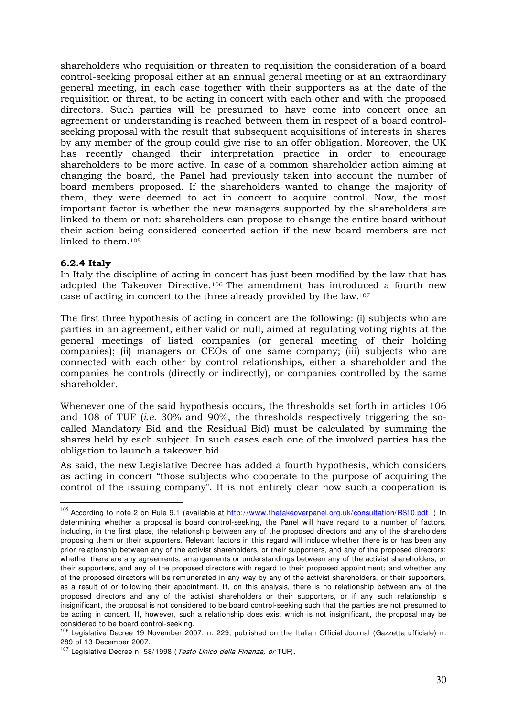shareholders who requisition or threaten to requisition the consideration of a board control-seeking proposal either at an annual general meeting or at an extraordinary general meeting, in each case together with their supporters as at the date of the requisition or threat, to be acting in concert with each other and with the proposed directors. Such parties will be presumed to have come into concert once an agreement or understanding is reached between them in respect of a board controlseeking proposal with the result that subsequent acquisitions of interests in shares by any member of the group could give rise to an offer obligation. Moreover, the UK has recently changed their interpretation practice in order to encourage shareholders to be more active. In case of a common shareholder action aiming at changing the board, the Panel had previously taken into account the number of board members proposed. If the shareholders wanted to change the majority of them, they were deemed to act in concert to acquire control. Now, the most important factor is whether the new managers supported by the shareholders are linked to them or not: shareholders can propose to change the entire board without their action being considered concerted action if the new board members are not linked to them.<sup>105</sup>

#### **6.2.4 Italy**

-

In Italy the discipline of acting in concert has just been modified by the law that has adopted the Takeover Directive.106 The amendment has introduced a fourth new case of acting in concert to the three already provided by the law.<sup>107</sup>

The first three hypothesis of acting in concert are the following: (i) subjects who are parties in an agreement, either valid or null, aimed at regulating voting rights at the general meetings of listed companies (or general meeting of their holding companies); (ii) managers or CEOs of one same company; (iii) subjects who are connected with each other by control relationships, either a shareholder and the companies he controls (directly or indirectly), or companies controlled by the same shareholder.

Whenever one of the said hypothesis occurs, the thresholds set forth in articles 106 and 108 of TUF (*i.e.* 30% and 90%, the thresholds respectively triggering the socalled Mandatory Bid and the Residual Bid) must be calculated by summing the shares held by each subject. In such cases each one of the involved parties has the obligation to launch a takeover bid.

As said, the new Legislative Decree has added a fourth hypothesis, which considers as acting in concert "those subjects who cooperate to the purpose of acquiring the control of the issuing company". It is not entirely clear how such a cooperation is

<sup>&</sup>lt;sup>105</sup> According to note 2 on Rule 9.1 (available at http://www.thetakeoverpanel.org.uk/consultation/RS10.pdf ) In determining whether a proposal is board control-seeking, the Panel will have regard to a number of factors, including, in the first place, the relationship between any of the proposed directors and any of the shareholders proposing them or their supporters. Relevant factors in this regard will include whether there is or has been any prior relationship between any of the activist shareholders, or their supporters, and any of the proposed directors; whether there are any agreements, arrangements or understandings between any of the activist shareholders, or their supporters, and any of the proposed directors with regard to their proposed appointment; and whether any of the proposed directors will be remunerated in any way by any of the activist shareholders, or their supporters, as a result of or following their appointment. If, on this analysis, there is no relationship between any of the proposed directors and any of the activist shareholders or their supporters, or if any such relationship is insignificant, the proposal is not considered to be board control-seeking such that the parties are not presumed to be acting in concert. If, however, such a relationship does exist which is not insignificant, the proposal may be considered to be board control-seeking.

<sup>106</sup> Legislative Decree 19 November 2007, n. 229, published on the Italian Official Journal (Gazzetta ufficiale) n. 289 of 13 December 2007.

<sup>&</sup>lt;sup>107</sup> Legislative Decree n. 58/1998 (Testo Unico della Finanza, or TUF).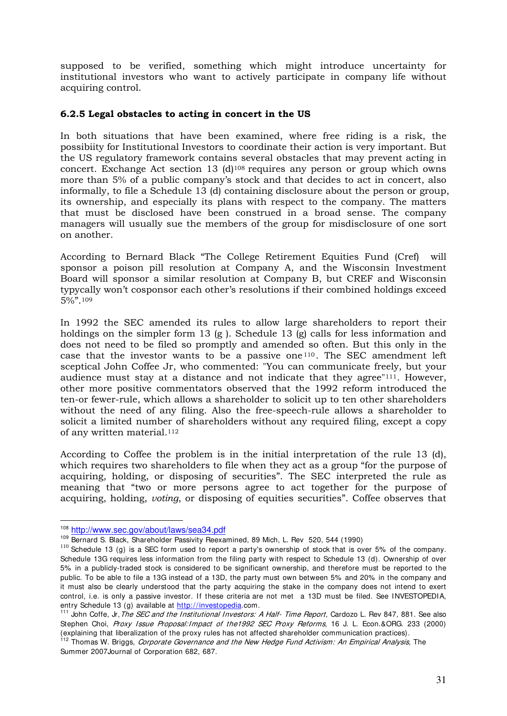supposed to be verified, something which might introduce uncertainty for institutional investors who want to actively participate in company life without acquiring control.

## **6.2.5 Legal obstacles to acting in concert in the US**

In both situations that have been examined, where free riding is a risk, the possibiity for Institutional Investors to coordinate their action is very important. But the US regulatory framework contains several obstacles that may prevent acting in concert. Exchange Act section 13 (d)<sup>108</sup> requires any person or group which owns more than 5% of a public company's stock and that decides to act in concert, also informally, to file a Schedule 13 (d) containing disclosure about the person or group, its ownership, and especially its plans with respect to the company. The matters that must be disclosed have been construed in a broad sense. The company managers will usually sue the members of the group for misdisclosure of one sort on another.

According to Bernard Black "The College Retirement Equities Fund (Cref) will sponsor a poison pill resolution at Company A, and the Wisconsin Investment Board will sponsor a similar resolution at Company B, but CREF and Wisconsin typycally won't cosponsor each other's resolutions if their combined holdings exceed 5%".<sup>109</sup>

In 1992 the SEC amended its rules to allow large shareholders to report their holdings on the simpler form 13 (g ). Schedule 13 (g) calls for less information and does not need to be filed so promptly and amended so often. But this only in the case that the investor wants to be a passive one  $110$ . The SEC amendment left sceptical John Coffee Jr, who commented: "You can communicate freely, but your audience must stay at a distance and not indicate that they agree"111. However, other more positive commentators observed that the 1992 reform introduced the ten-or fewer-rule, which allows a shareholder to solicit up to ten other shareholders without the need of any filing. Also the free-speech-rule allows a shareholder to solicit a limited number of shareholders without any required filing, except a copy of any written material.<sup>112</sup>

According to Coffee the problem is in the initial interpretation of the rule 13 (d), which requires two shareholders to file when they act as a group "for the purpose of acquiring, holding, or disposing of securities". The SEC interpreted the rule as meaning that "two or more persons agree to act together for the purpose of acquiring, holding, *voting*, or disposing of equities securities". Coffee observes that

<u>.</u>

<sup>108</sup> http://www.sec.gov/about/laws/sea34.pdf

<sup>109</sup> Bernard S. Black, Shareholder Passivity Reexamined, 89 Mich, L. Rev 520, 544 (1990)

 $110$  Schedule 13 (g) is a SEC form used to report a party's ownership of stock that is over 5% of the company. Schedule 13G requires less information from the filing party with respect to Schedule 13 (d). Ownership of over 5% in a publicly-traded stock is considered to be significant ownership, and therefore must be reported to the public. To be able to file a 13G instead of a 13D, the party must own between 5% and 20% in the company and it must also be clearly understood that the party acquiring the stake in the company does not intend to exert control, i.e. is only a passive investor. If these criteria are not met a 13D must be filed. See INVESTOPEDIA, entry Schedule 13 (g) available at http://investopedia.com.

<sup>&</sup>lt;sup>111</sup> John Coffe, Jr, The SEC and the Institutional Investors: A Half- Time Report, Cardozo L. Rev 847, 881. See also Stephen Choi, Proxy Issue Proposal: Impact of the 1992 SEC Proxy Reforms, 16 J. L. Econ.& ORG. 233 (2000) (explaining that liberalization of the proxy rules has not affected shareholder communication practices).

<sup>&</sup>lt;sup>112</sup> Thomas W. Briggs, Corporate Governance and the New Hedge Fund Activism: An Empirical Analysis, The Summer 2007Journal of Corporation 682, 687.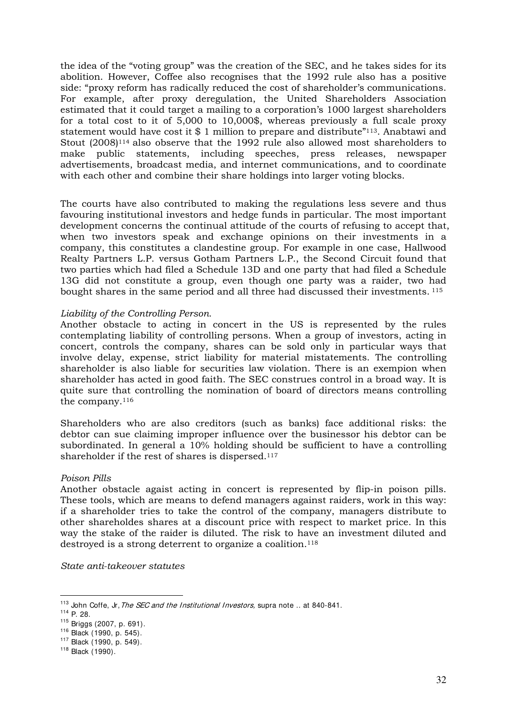the idea of the "voting group" was the creation of the SEC, and he takes sides for its abolition. However, Coffee also recognises that the 1992 rule also has a positive side: "proxy reform has radically reduced the cost of shareholder's communications. For example, after proxy deregulation, the United Shareholders Association estimated that it could target a mailing to a corporation's 1000 largest shareholders for a total cost to it of 5,000 to 10,000\$, whereas previously a full scale proxy statement would have cost it \$ 1 million to prepare and distribute"<sup>113</sup>. Anabtawi and Stout (2008)114 also observe that the 1992 rule also allowed most shareholders to make public statements, including speeches, press releases, newspaper advertisements, broadcast media, and internet communications, and to coordinate with each other and combine their share holdings into larger voting blocks.

The courts have also contributed to making the regulations less severe and thus favouring institutional investors and hedge funds in particular. The most important development concerns the continual attitude of the courts of refusing to accept that, when two investors speak and exchange opinions on their investments in a company, this constitutes a clandestine group. For example in one case, Hallwood Realty Partners L.P. versus Gotham Partners L.P., the Second Circuit found that two parties which had filed a Schedule 13D and one party that had filed a Schedule 13G did not constitute a group, even though one party was a raider, two had bought shares in the same period and all three had discussed their investments.<sup>115</sup>

#### *Liability of the Controlling Person.*

Another obstacle to acting in concert in the US is represented by the rules contemplating liability of controlling persons. When a group of investors, acting in concert, controls the company, shares can be sold only in particular ways that involve delay, expense, strict liability for material mistatements. The controlling shareholder is also liable for securities law violation. There is an exempion when shareholder has acted in good faith. The SEC construes control in a broad way. It is quite sure that controlling the nomination of board of directors means controlling the company.<sup>116</sup>

Shareholders who are also creditors (such as banks) face additional risks: the debtor can sue claiming improper influence over the businessor his debtor can be subordinated. In general a 10% holding should be sufficient to have a controlling shareholder if the rest of shares is dispersed.<sup>117</sup>

#### *Poison Pills*

Another obstacle agaist acting in concert is represented by flip-in poison pills. These tools, which are means to defend managers against raiders, work in this way: if a shareholder tries to take the control of the company, managers distribute to other shareholdes shares at a discount price with respect to market price. In this way the stake of the raider is diluted. The risk to have an investment diluted and destroyed is a strong deterrent to organize a coalition.<sup>118</sup>

*State anti-takeover statutes* 

<sup>&</sup>lt;sup>113</sup> John Coffe, Jr, The SEC and the Institutional Investors, supra note .. at 840-841.

<sup>114</sup> P. 28.

<sup>115</sup> Briggs (2007, p. 691).

<sup>116</sup> Black (1990, p. 545).

<sup>117</sup> Black (1990, p. 549).

<sup>118</sup> Black (1990).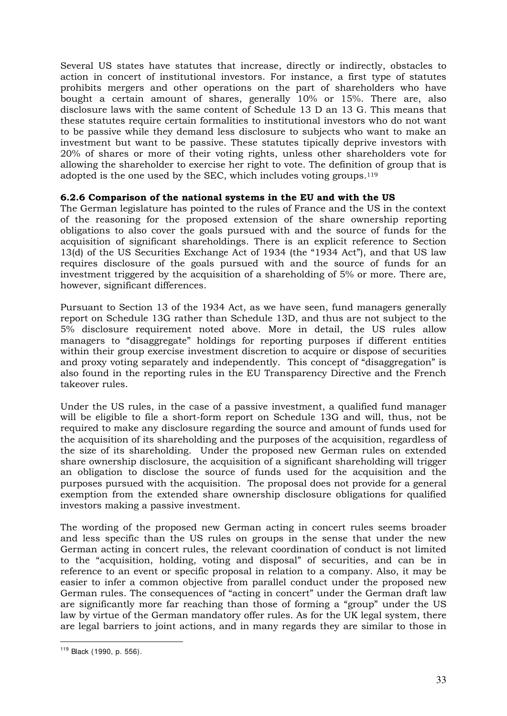Several US states have statutes that increase, directly or indirectly, obstacles to action in concert of institutional investors. For instance, a first type of statutes prohibits mergers and other operations on the part of shareholders who have bought a certain amount of shares, generally 10% or 15%. There are, also disclosure laws with the same content of Schedule 13 D an 13 G. This means that these statutes require certain formalities to institutional investors who do not want to be passive while they demand less disclosure to subjects who want to make an investment but want to be passive. These statutes tipically deprive investors with 20% of shares or more of their voting rights, unless other shareholders vote for allowing the shareholder to exercise her right to vote. The definition of group that is adopted is the one used by the SEC, which includes voting groups.<sup>119</sup>

#### **6.2.6 Comparison of the national systems in the EU and with the US**

The German legislature has pointed to the rules of France and the US in the context of the reasoning for the proposed extension of the share ownership reporting obligations to also cover the goals pursued with and the source of funds for the acquisition of significant shareholdings. There is an explicit reference to Section 13(d) of the US Securities Exchange Act of 1934 (the "1934 Act"), and that US law requires disclosure of the goals pursued with and the source of funds for an investment triggered by the acquisition of a shareholding of 5% or more. There are, however, significant differences.

Pursuant to Section 13 of the 1934 Act, as we have seen, fund managers generally report on Schedule 13G rather than Schedule 13D, and thus are not subject to the 5% disclosure requirement noted above. More in detail, the US rules allow managers to "disaggregate" holdings for reporting purposes if different entities within their group exercise investment discretion to acquire or dispose of securities and proxy voting separately and independently. This concept of "disaggregation" is also found in the reporting rules in the EU Transparency Directive and the French takeover rules.

Under the US rules, in the case of a passive investment, a qualified fund manager will be eligible to file a short-form report on Schedule 13G and will, thus, not be required to make any disclosure regarding the source and amount of funds used for the acquisition of its shareholding and the purposes of the acquisition, regardless of the size of its shareholding. Under the proposed new German rules on extended share ownership disclosure, the acquisition of a significant shareholding will trigger an obligation to disclose the source of funds used for the acquisition and the purposes pursued with the acquisition. The proposal does not provide for a general exemption from the extended share ownership disclosure obligations for qualified investors making a passive investment.

The wording of the proposed new German acting in concert rules seems broader and less specific than the US rules on groups in the sense that under the new German acting in concert rules, the relevant coordination of conduct is not limited to the "acquisition, holding, voting and disposal" of securities, and can be in reference to an event or specific proposal in relation to a company. Also, it may be easier to infer a common objective from parallel conduct under the proposed new German rules. The consequences of "acting in concert" under the German draft law are significantly more far reaching than those of forming a "group" under the US law by virtue of the German mandatory offer rules. As for the UK legal system, there are legal barriers to joint actions, and in many regards they are similar to those in

<sup>&</sup>lt;u>.</u> <sup>119</sup> Black (1990, p. 556).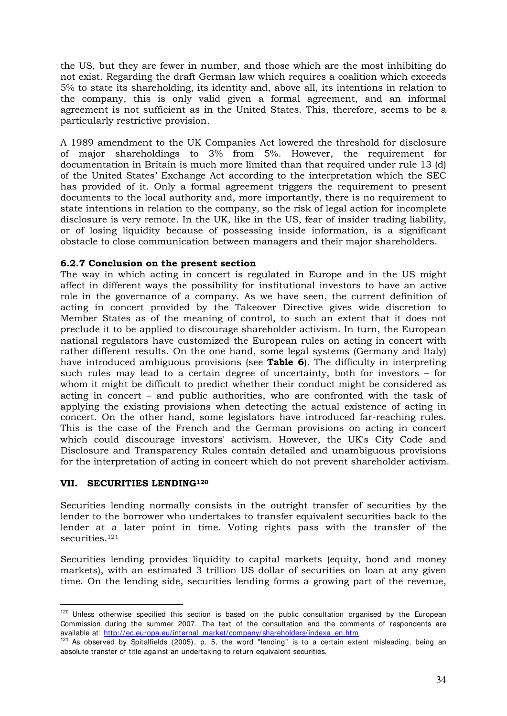the US, but they are fewer in number, and those which are the most inhibiting do not exist. Regarding the draft German law which requires a coalition which exceeds 5% to state its shareholding, its identity and, above all, its intentions in relation to the company, this is only valid given a formal agreement, and an informal agreement is not sufficient as in the United States. This, therefore, seems to be a particularly restrictive provision.

A 1989 amendment to the UK Companies Act lowered the threshold for disclosure of major shareholdings to 3% from 5%. However, the requirement for documentation in Britain is much more limited than that required under rule 13 (d) of the United States' Exchange Act according to the interpretation which the SEC has provided of it. Only a formal agreement triggers the requirement to present documents to the local authority and, more importantly, there is no requirement to state intentions in relation to the company, so the risk of legal action for incomplete disclosure is very remote. In the UK, like in the US, fear of insider trading liability, or of losing liquidity because of possessing inside information, is a significant obstacle to close communication between managers and their major shareholders.

## **6.2.7 Conclusion on the present section**

The way in which acting in concert is regulated in Europe and in the US might affect in different ways the possibility for institutional investors to have an active role in the governance of a company. As we have seen, the current definition of acting in concert provided by the Takeover Directive gives wide discretion to Member States as of the meaning of control, to such an extent that it does not preclude it to be applied to discourage shareholder activism. In turn, the European national regulators have customized the European rules on acting in concert with rather different results. On the one hand, some legal systems (Germany and Italy) have introduced ambiguous provisions (see **Table 6**). The difficulty in interpreting such rules may lead to a certain degree of uncertainty, both for investors – for whom it might be difficult to predict whether their conduct might be considered as acting in concert – and public authorities, who are confronted with the task of applying the existing provisions when detecting the actual existence of acting in concert. On the other hand, some legislators have introduced far-reaching rules. This is the case of the French and the German provisions on acting in concert which could discourage investors' activism. However, the UK's City Code and Disclosure and Transparency Rules contain detailed and unambiguous provisions for the interpretation of acting in concert which do not prevent shareholder activism.

#### **VII. SECURITIES LENDING<sup>120</sup>**

-

Securities lending normally consists in the outright transfer of securities by the lender to the borrower who undertakes to transfer equivalent securities back to the lender at a later point in time. Voting rights pass with the transfer of the securities.<sup>121</sup>

Securities lending provides liquidity to capital markets (equity, bond and money markets), with an estimated 3 trillion US dollar of securities on loan at any given time. On the lending side, securities lending forms a growing part of the revenue,

<sup>&</sup>lt;sup>120</sup> Unless otherwise specified this section is based on the public consultation organised by the European Commission during the summer 2007. The text of the consultation and the comments of respondents are available at: http://ec.europa.eu/internal\_market/company/shareholders/indexa\_en.htm

<sup>121</sup> As observed by Spitalfields (2005), p. 5, the word "lending" is to a certain extent misleading, being an absolute transfer of title against an undertaking to return equivalent securities.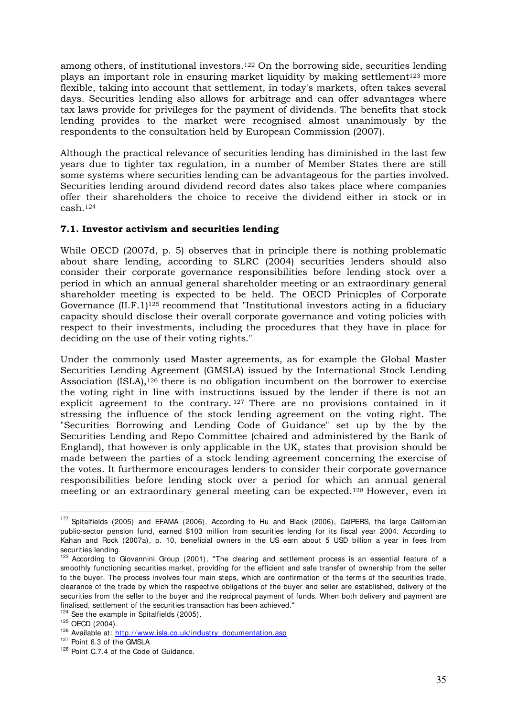among others, of institutional investors.122 On the borrowing side, securities lending plays an important role in ensuring market liquidity by making settlement<sup>123</sup> more flexible, taking into account that settlement, in today's markets, often takes several days. Securities lending also allows for arbitrage and can offer advantages where tax laws provide for privileges for the payment of dividends. The benefits that stock lending provides to the market were recognised almost unanimously by the respondents to the consultation held by European Commission (2007).

Although the practical relevance of securities lending has diminished in the last few years due to tighter tax regulation, in a number of Member States there are still some systems where securities lending can be advantageous for the parties involved. Securities lending around dividend record dates also takes place where companies offer their shareholders the choice to receive the dividend either in stock or in cash.<sup>124</sup>

## **7.1. Investor activism and securities lending**

While OECD (2007d, p. 5) observes that in principle there is nothing problematic about share lending, according to SLRC (2004) securities lenders should also consider their corporate governance responsibilities before lending stock over a period in which an annual general shareholder meeting or an extraordinary general shareholder meeting is expected to be held. The OECD Prinicples of Corporate Governance (II.F.1)<sup>125</sup> recommend that "Institutional investors acting in a fiduciary capacity should disclose their overall corporate governance and voting policies with respect to their investments, including the procedures that they have in place for deciding on the use of their voting rights."

Under the commonly used Master agreements, as for example the Global Master Securities Lending Agreement (GMSLA) issued by the International Stock Lending Association (ISLA),126 there is no obligation incumbent on the borrower to exercise the voting right in line with instructions issued by the lender if there is not an explicit agreement to the contrary. <sup>127</sup> There are no provisions contained in it stressing the influence of the stock lending agreement on the voting right. The "Securities Borrowing and Lending Code of Guidance" set up by the by the Securities Lending and Repo Committee (chaired and administered by the Bank of England), that however is only applicable in the UK, states that provision should be made between the parties of a stock lending agreement concerning the exercise of the votes. It furthermore encourages lenders to consider their corporate governance responsibilities before lending stock over a period for which an annual general meeting or an extraordinary general meeting can be expected.128 However, even in

<sup>-</sup> $122$  Spitalfields (2005) and EFAMA (2006). According to Hu and Black (2006), CalPERS, the large Californian public-sector pension fund, earned \$103 million from securities lending for its fiscal year 2004. According to Kahan and Rock (2007a), p. 10, beneficial owners in the US earn about 5 USD billion a year in fees from securities lending.

<sup>&</sup>lt;sup>123</sup> According to Giovannini Group (2001), "The clearing and settlement process is an essential feature of a smoothly functioning securities market, providing for the efficient and safe transfer of ownership from the seller to the buyer. The process involves four main steps, which are confirmation of the terms of the securities trade, clearance of the trade by which the respective obligations of the buyer and seller are established, delivery of the securities from the seller to the buyer and the reciprocal payment of funds. When both delivery and payment are finalised, settlement of the securities transaction has been achieved."

 $124$  See the example in Spitalfields (2005).

<sup>125</sup> OECD (2004).

<sup>&</sup>lt;sup>126</sup> Available at: http://www.isla.co.uk/industry\_documentation.asp

<sup>&</sup>lt;sup>127</sup> Point 6.3 of the GMSLA

<sup>128</sup> Point C.7.4 of the Code of Guidance.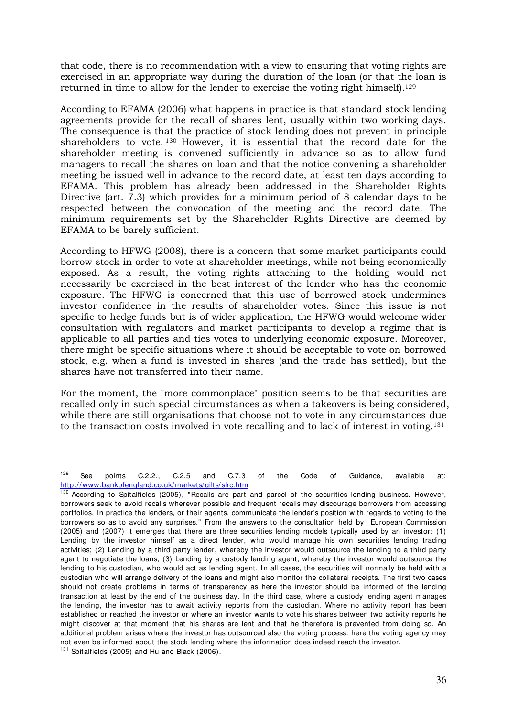that code, there is no recommendation with a view to ensuring that voting rights are exercised in an appropriate way during the duration of the loan (or that the loan is returned in time to allow for the lender to exercise the voting right himself).<sup>129</sup>

According to EFAMA (2006) what happens in practice is that standard stock lending agreements provide for the recall of shares lent, usually within two working days. The consequence is that the practice of stock lending does not prevent in principle shareholders to vote. <sup>130</sup> However, it is essential that the record date for the shareholder meeting is convened sufficiently in advance so as to allow fund managers to recall the shares on loan and that the notice convening a shareholder meeting be issued well in advance to the record date, at least ten days according to EFAMA. This problem has already been addressed in the Shareholder Rights Directive (art. 7.3) which provides for a minimum period of 8 calendar days to be respected between the convocation of the meeting and the record date. The minimum requirements set by the Shareholder Rights Directive are deemed by EFAMA to be barely sufficient.

According to HFWG (2008), there is a concern that some market participants could borrow stock in order to vote at shareholder meetings, while not being economically exposed. As a result, the voting rights attaching to the holding would not necessarily be exercised in the best interest of the lender who has the economic exposure. The HFWG is concerned that this use of borrowed stock undermines investor confidence in the results of shareholder votes. Since this issue is not specific to hedge funds but is of wider application, the HFWG would welcome wider consultation with regulators and market participants to develop a regime that is applicable to all parties and ties votes to underlying economic exposure. Moreover, there might be specific situations where it should be acceptable to vote on borrowed stock, e.g. when a fund is invested in shares (and the trade has settled), but the shares have not transferred into their name.

For the moment, the "more commonplace" position seems to be that securities are recalled only in such special circumstances as when a takeovers is being considered, while there are still organisations that choose not to vote in any circumstances due to the transaction costs involved in vote recalling and to lack of interest in voting.<sup>131</sup>

 $129$  $129$  See points C.2.2., C.2.5 and C.7.3 of the Code of Guidance, available at: http://www.bankofengland.co.uk/markets/gilts/slrc.htm

According to Spitalfields (2005), "Recalls are part and parcel of the securities lending business. However, borrowers seek to avoid recalls wherever possible and frequent recalls may discourage borrowers from accessing portfolios. In practice the lenders, or their agents, communicate the lender's position with regards to voting to the borrowers so as to avoid any surprises." From the answers to the consultation held by European Commission (2005) and (2007) it emerges that there are three securities lending models typically used by an investor: (1) Lending by the investor himself as a direct lender, who would manage his own securities lending trading activities; (2) Lending by a third party lender, whereby the investor would outsource the lending to a third party agent to negotiate the loans; (3) Lending by a custody lending agent, whereby the investor would outsource the lending to his custodian, who would act as lending agent. In all cases, the securities will normally be held with a custodian who will arrange delivery of the loans and might also monitor the collateral receipts. The first two cases should not create problems in terms of transparency as here the investor should be informed of the lending transaction at least by the end of the business day. In the third case, where a custody lending agent manages the lending, the investor has to await activity reports from the custodian. Where no activity report has been established or reached the investor or where an investor wants to vote his shares between two activity reports he might discover at that moment that his shares are lent and that he therefore is prevented from doing so. An additional problem arises where the investor has outsourced also the voting process: here the voting agency may not even be informed about the stock lending where the information does indeed reach the investor.  $131$  Spitalfields (2005) and Hu and Black (2006).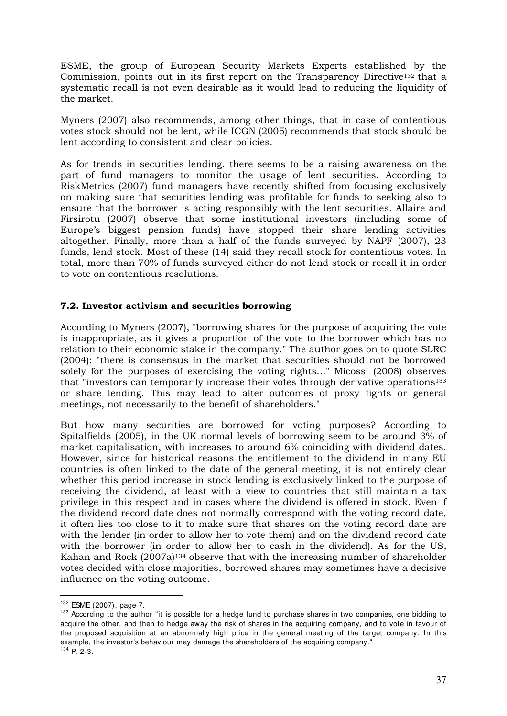ESME, the group of European Security Markets Experts established by the Commission, points out in its first report on the Transparency Directive132 that a systematic recall is not even desirable as it would lead to reducing the liquidity of the market.

Myners (2007) also recommends, among other things, that in case of contentious votes stock should not be lent, while ICGN (2005) recommends that stock should be lent according to consistent and clear policies.

As for trends in securities lending, there seems to be a raising awareness on the part of fund managers to monitor the usage of lent securities. According to RiskMetrics (2007) fund managers have recently shifted from focusing exclusively on making sure that securities lending was profitable for funds to seeking also to ensure that the borrower is acting responsibly with the lent securities. Allaire and Firsirotu (2007) observe that some institutional investors (including some of Europe's biggest pension funds) have stopped their share lending activities altogether. Finally, more than a half of the funds surveyed by NAPF (2007), 23 funds, lend stock. Most of these (14) said they recall stock for contentious votes. In total, more than 70% of funds surveyed either do not lend stock or recall it in order to vote on contentious resolutions.

# **7.2. Investor activism and securities borrowing**

According to Myners (2007), "borrowing shares for the purpose of acquiring the vote is inappropriate, as it gives a proportion of the vote to the borrower which has no relation to their economic stake in the company." The author goes on to quote SLRC (2004): "there is consensus in the market that securities should not be borrowed solely for the purposes of exercising the voting rights…" Micossi (2008) observes that "investors can temporarily increase their votes through derivative operations<sup>133</sup> or share lending. This may lead to alter outcomes of proxy fights or general meetings, not necessarily to the benefit of shareholders."

But how many securities are borrowed for voting purposes? According to Spitalfields (2005), in the UK normal levels of borrowing seem to be around 3% of market capitalisation, with increases to around 6% coinciding with dividend dates. However, since for historical reasons the entitlement to the dividend in many EU countries is often linked to the date of the general meeting, it is not entirely clear whether this period increase in stock lending is exclusively linked to the purpose of receiving the dividend, at least with a view to countries that still maintain a tax privilege in this respect and in cases where the dividend is offered in stock. Even if the dividend record date does not normally correspond with the voting record date, it often lies too close to it to make sure that shares on the voting record date are with the lender (in order to allow her to vote them) and on the dividend record date with the borrower (in order to allow her to cash in the dividend). As for the US, Kahan and Rock (2007a)<sup>134</sup> observe that with the increasing number of shareholder votes decided with close majorities, borrowed shares may sometimes have a decisive influence on the voting outcome.

<sup>-</sup><sup>132</sup> ESME (2007), page 7.

<sup>&</sup>lt;sup>133</sup> According to the author "it is possible for a hedge fund to purchase shares in two companies, one bidding to acquire the other, and then to hedge away the risk of shares in the acquiring company, and to vote in favour of the proposed acquisition at an abnormally high price in the general meeting of the target company. In this example, the investor's behaviour may damage the shareholders of the acquiring company."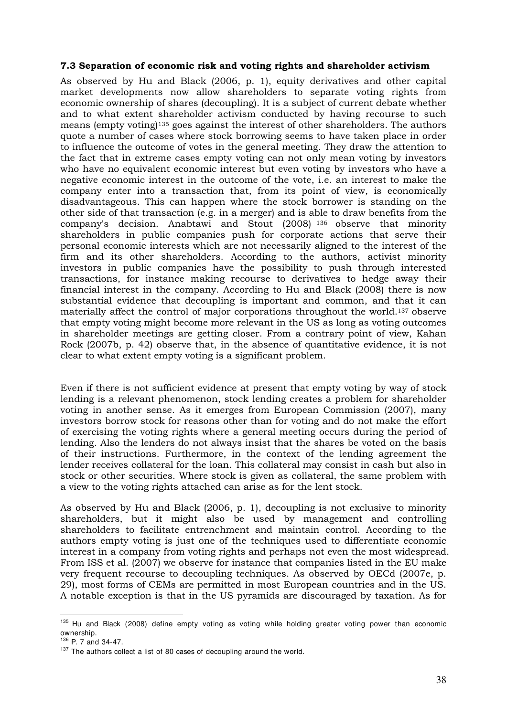# **7.3 Separation of economic risk and voting rights and shareholder activism**

As observed by Hu and Black (2006, p. 1), equity derivatives and other capital market developments now allow shareholders to separate voting rights from economic ownership of shares (decoupling). It is a subject of current debate whether and to what extent shareholder activism conducted by having recourse to such means (empty voting)135 goes against the interest of other shareholders. The authors quote a number of cases where stock borrowing seems to have taken place in order to influence the outcome of votes in the general meeting. They draw the attention to the fact that in extreme cases empty voting can not only mean voting by investors who have no equivalent economic interest but even voting by investors who have a negative economic interest in the outcome of the vote, i.e. an interest to make the company enter into a transaction that, from its point of view, is economically disadvantageous. This can happen where the stock borrower is standing on the other side of that transaction (e.g. in a merger) and is able to draw benefits from the company's decision. Anabtawi and Stout (2008) <sup>136</sup> observe that minority shareholders in public companies push for corporate actions that serve their personal economic interests which are not necessarily aligned to the interest of the firm and its other shareholders. According to the authors, activist minority investors in public companies have the possibility to push through interested transactions, for instance making recourse to derivatives to hedge away their financial interest in the company. According to Hu and Black (2008) there is now substantial evidence that decoupling is important and common, and that it can materially affect the control of major corporations throughout the world.137 observe that empty voting might become more relevant in the US as long as voting outcomes in shareholder meetings are getting closer. From a contrary point of view, Kahan Rock (2007b, p. 42) observe that, in the absence of quantitative evidence, it is not clear to what extent empty voting is a significant problem.

Even if there is not sufficient evidence at present that empty voting by way of stock lending is a relevant phenomenon, stock lending creates a problem for shareholder voting in another sense. As it emerges from European Commission (2007), many investors borrow stock for reasons other than for voting and do not make the effort of exercising the voting rights where a general meeting occurs during the period of lending. Also the lenders do not always insist that the shares be voted on the basis of their instructions. Furthermore, in the context of the lending agreement the lender receives collateral for the loan. This collateral may consist in cash but also in stock or other securities. Where stock is given as collateral, the same problem with a view to the voting rights attached can arise as for the lent stock.

As observed by Hu and Black (2006, p. 1), decoupling is not exclusive to minority shareholders, but it might also be used by management and controlling shareholders to facilitate entrenchment and maintain control. According to the authors empty voting is just one of the techniques used to differentiate economic interest in a company from voting rights and perhaps not even the most widespread. From ISS et al. (2007) we observe for instance that companies listed in the EU make very frequent recourse to decoupling techniques. As observed by OECd (2007e, p. 29), most forms of CEMs are permitted in most European countries and in the US. A notable exception is that in the US pyramids are discouraged by taxation. As for

<sup>-</sup><sup>135</sup> Hu and Black (2008) define empty voting as voting while holding greater voting power than economic ownership.

<sup>136</sup> P. 7 and 34-47.

 $137$  The authors collect a list of 80 cases of decoupling around the world.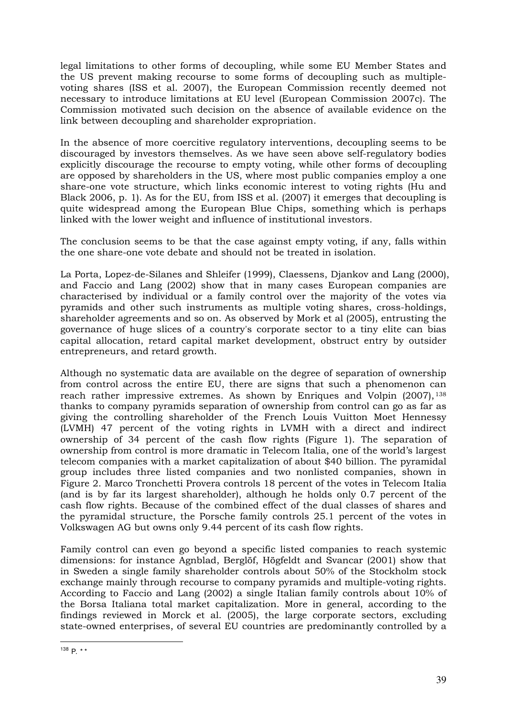legal limitations to other forms of decoupling, while some EU Member States and the US prevent making recourse to some forms of decoupling such as multiplevoting shares (ISS et al. 2007), the European Commission recently deemed not necessary to introduce limitations at EU level (European Commission 2007c). The Commission motivated such decision on the absence of available evidence on the link between decoupling and shareholder expropriation.

In the absence of more coercitive regulatory interventions, decoupling seems to be discouraged by investors themselves. As we have seen above self-regulatory bodies explicitly discourage the recourse to empty voting, while other forms of decoupling are opposed by shareholders in the US, where most public companies employ a one share-one vote structure, which links economic interest to voting rights (Hu and Black 2006, p. 1). As for the EU, from ISS et al. (2007) it emerges that decoupling is quite widespread among the European Blue Chips, something which is perhaps linked with the lower weight and influence of institutional investors.

The conclusion seems to be that the case against empty voting, if any, falls within the one share-one vote debate and should not be treated in isolation.

La Porta, Lopez-de-Silanes and Shleifer (1999), Claessens, Djankov and Lang (2000), and Faccio and Lang (2002) show that in many cases European companies are characterised by individual or a family control over the majority of the votes via pyramids and other such instruments as multiple voting shares, cross-holdings, shareholder agreements and so on. As observed by Mork et al (2005), entrusting the governance of huge slices of a country's corporate sector to a tiny elite can bias capital allocation, retard capital market development, obstruct entry by outsider entrepreneurs, and retard growth.

Although no systematic data are available on the degree of separation of ownership from control across the entire EU, there are signs that such a phenomenon can reach rather impressive extremes. As shown by Enriques and Volpin (2007), <sup>138</sup> thanks to company pyramids separation of ownership from control can go as far as giving the controlling shareholder of the French Louis Vuitton Moet Hennessy (LVMH) 47 percent of the voting rights in LVMH with a direct and indirect ownership of 34 percent of the cash flow rights (Figure 1). The separation of ownership from control is more dramatic in Telecom Italia, one of the world's largest telecom companies with a market capitalization of about \$40 billion. The pyramidal group includes three listed companies and two nonlisted companies, shown in Figure 2. Marco Tronchetti Provera controls 18 percent of the votes in Telecom Italia (and is by far its largest shareholder), although he holds only 0.7 percent of the cash flow rights. Because of the combined effect of the dual classes of shares and the pyramidal structure, the Porsche family controls 25.1 percent of the votes in Volkswagen AG but owns only 9.44 percent of its cash flow rights.

Family control can even go beyond a specific listed companies to reach systemic dimensions: for instance Agnblad, Berglöf, Högfeldt and Svancar (2001) show that in Sweden a single family shareholder controls about 50% of the Stockholm stock exchange mainly through recourse to company pyramids and multiple-voting rights. According to Faccio and Lang (2002) a single Italian family controls about 10% of the Borsa Italiana total market capitalization. More in general, according to the findings reviewed in Morck et al. (2005), the large corporate sectors, excluding state-owned enterprises, of several EU countries are predominantly controlled by a

<sup>&</sup>lt;u>.</u>  $138$  P.  $**$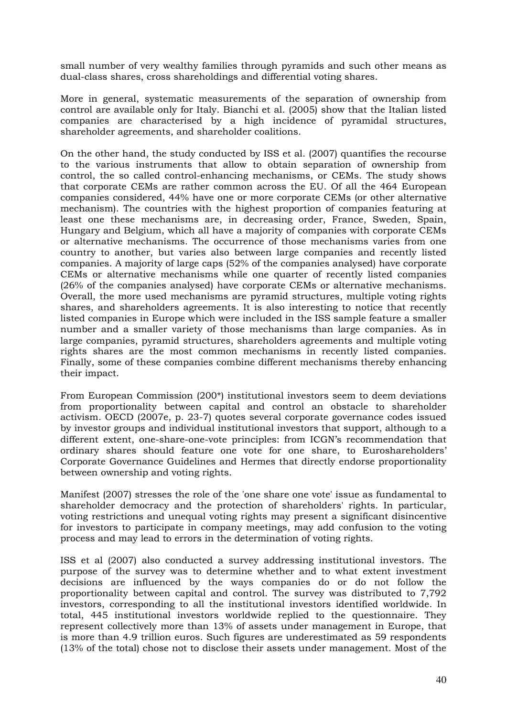small number of very wealthy families through pyramids and such other means as dual-class shares, cross shareholdings and differential voting shares.

More in general, systematic measurements of the separation of ownership from control are available only for Italy. Bianchi et al. (2005) show that the Italian listed companies are characterised by a high incidence of pyramidal structures, shareholder agreements, and shareholder coalitions.

On the other hand, the study conducted by ISS et al. (2007) quantifies the recourse to the various instruments that allow to obtain separation of ownership from control, the so called control-enhancing mechanisms, or CEMs. The study shows that corporate CEMs are rather common across the EU. Of all the 464 European companies considered, 44% have one or more corporate CEMs (or other alternative mechanism). The countries with the highest proportion of companies featuring at least one these mechanisms are, in decreasing order, France, Sweden, Spain, Hungary and Belgium, which all have a majority of companies with corporate CEMs or alternative mechanisms. The occurrence of those mechanisms varies from one country to another, but varies also between large companies and recently listed companies. A majority of large caps (52% of the companies analysed) have corporate CEMs or alternative mechanisms while one quarter of recently listed companies (26% of the companies analysed) have corporate CEMs or alternative mechanisms. Overall, the more used mechanisms are pyramid structures, multiple voting rights shares, and shareholders agreements. It is also interesting to notice that recently listed companies in Europe which were included in the ISS sample feature a smaller number and a smaller variety of those mechanisms than large companies. As in large companies, pyramid structures, shareholders agreements and multiple voting rights shares are the most common mechanisms in recently listed companies. Finally, some of these companies combine different mechanisms thereby enhancing their impact.

From European Commission (200\*) institutional investors seem to deem deviations from proportionality between capital and control an obstacle to shareholder activism. OECD (2007e, p. 23-7) quotes several corporate governance codes issued by investor groups and individual institutional investors that support, although to a different extent, one-share-one-vote principles: from ICGN's recommendation that ordinary shares should feature one vote for one share, to Euroshareholders' Corporate Governance Guidelines and Hermes that directly endorse proportionality between ownership and voting rights.

Manifest (2007) stresses the role of the 'one share one vote' issue as fundamental to shareholder democracy and the protection of shareholders' rights. In particular, voting restrictions and unequal voting rights may present a significant disincentive for investors to participate in company meetings, may add confusion to the voting process and may lead to errors in the determination of voting rights.

ISS et al (2007) also conducted a survey addressing institutional investors. The purpose of the survey was to determine whether and to what extent investment decisions are influenced by the ways companies do or do not follow the proportionality between capital and control. The survey was distributed to 7,792 investors, corresponding to all the institutional investors identified worldwide. In total, 445 institutional investors worldwide replied to the questionnaire. They represent collectively more than 13% of assets under management in Europe, that is more than 4.9 trillion euros. Such figures are underestimated as 59 respondents (13% of the total) chose not to disclose their assets under management. Most of the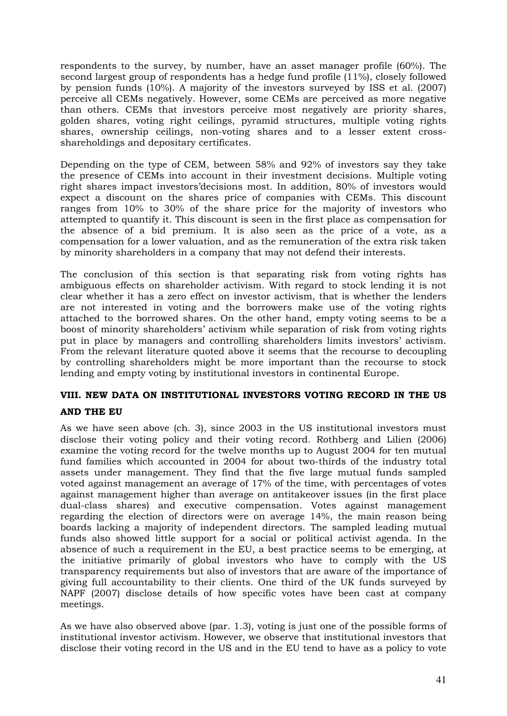respondents to the survey, by number, have an asset manager profile (60%). The second largest group of respondents has a hedge fund profile (11%), closely followed by pension funds (10%). A majority of the investors surveyed by ISS et al. (2007) perceive all CEMs negatively. However, some CEMs are perceived as more negative than others. CEMs that investors perceive most negatively are priority shares, golden shares, voting right ceilings, pyramid structures, multiple voting rights shares, ownership ceilings, non-voting shares and to a lesser extent crossshareholdings and depositary certificates.

Depending on the type of CEM, between 58% and 92% of investors say they take the presence of CEMs into account in their investment decisions. Multiple voting right shares impact investors'decisions most. In addition, 80% of investors would expect a discount on the shares price of companies with CEMs. This discount ranges from 10% to 30% of the share price for the majority of investors who attempted to quantify it. This discount is seen in the first place as compensation for the absence of a bid premium. It is also seen as the price of a vote, as a compensation for a lower valuation, and as the remuneration of the extra risk taken by minority shareholders in a company that may not defend their interests.

The conclusion of this section is that separating risk from voting rights has ambiguous effects on shareholder activism. With regard to stock lending it is not clear whether it has a zero effect on investor activism, that is whether the lenders are not interested in voting and the borrowers make use of the voting rights attached to the borrowed shares. On the other hand, empty voting seems to be a boost of minority shareholders' activism while separation of risk from voting rights put in place by managers and controlling shareholders limits investors' activism. From the relevant literature quoted above it seems that the recourse to decoupling by controlling shareholders might be more important than the recourse to stock lending and empty voting by institutional investors in continental Europe.

# **VIII. NEW DATA ON INSTITUTIONAL INVESTORS VOTING RECORD IN THE US**

# **AND THE EU**

As we have seen above (ch. 3), since 2003 in the US institutional investors must disclose their voting policy and their voting record. Rothberg and Lilien (2006) examine the voting record for the twelve months up to August 2004 for ten mutual fund families which accounted in 2004 for about two-thirds of the industry total assets under management. They find that the five large mutual funds sampled voted against management an average of 17% of the time, with percentages of votes against management higher than average on antitakeover issues (in the first place dual-class shares) and executive compensation. Votes against management regarding the election of directors were on average 14%, the main reason being boards lacking a majority of independent directors. The sampled leading mutual funds also showed little support for a social or political activist agenda. In the absence of such a requirement in the EU, a best practice seems to be emerging, at the initiative primarily of global investors who have to comply with the US transparency requirements but also of investors that are aware of the importance of giving full accountability to their clients. One third of the UK funds surveyed by NAPF (2007) disclose details of how specific votes have been cast at company meetings.

As we have also observed above (par. 1.3), voting is just one of the possible forms of institutional investor activism. However, we observe that institutional investors that disclose their voting record in the US and in the EU tend to have as a policy to vote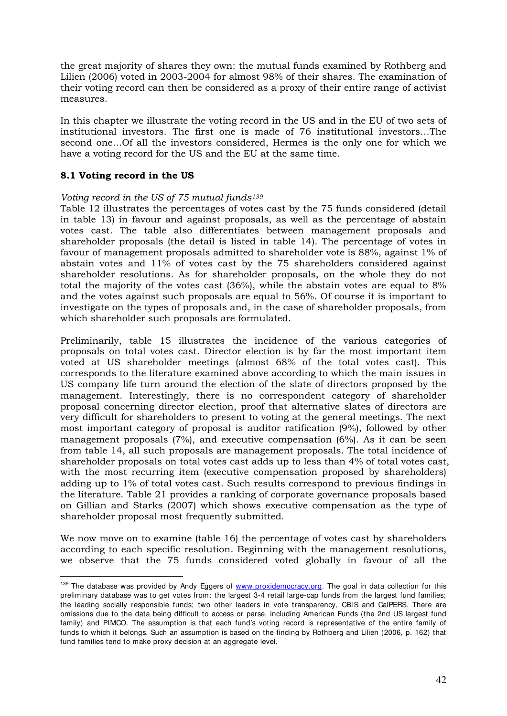the great majority of shares they own: the mutual funds examined by Rothberg and Lilien (2006) voted in 2003-2004 for almost 98% of their shares. The examination of their voting record can then be considered as a proxy of their entire range of activist measures.

In this chapter we illustrate the voting record in the US and in the EU of two sets of institutional investors. The first one is made of 76 institutional investors…The second one…Of all the investors considered, Hermes is the only one for which we have a voting record for the US and the EU at the same time.

# **8.1 Voting record in the US**

-

# *Voting record in the US of 75 mutual funds<sup>139</sup>*

Table 12 illustrates the percentages of votes cast by the 75 funds considered (detail in table 13) in favour and against proposals, as well as the percentage of abstain votes cast. The table also differentiates between management proposals and shareholder proposals (the detail is listed in table 14). The percentage of votes in favour of management proposals admitted to shareholder vote is 88%, against 1% of abstain votes and 11% of votes cast by the 75 shareholders considered against shareholder resolutions. As for shareholder proposals, on the whole they do not total the majority of the votes cast (36%), while the abstain votes are equal to 8% and the votes against such proposals are equal to 56%. Of course it is important to investigate on the types of proposals and, in the case of shareholder proposals, from which shareholder such proposals are formulated.

Preliminarily, table 15 illustrates the incidence of the various categories of proposals on total votes cast. Director election is by far the most important item voted at US shareholder meetings (almost 68% of the total votes cast). This corresponds to the literature examined above according to which the main issues in US company life turn around the election of the slate of directors proposed by the management. Interestingly, there is no correspondent category of shareholder proposal concerning director election, proof that alternative slates of directors are very difficult for shareholders to present to voting at the general meetings. The next most important category of proposal is auditor ratification (9%), followed by other management proposals (7%), and executive compensation (6%). As it can be seen from table 14, all such proposals are management proposals. The total incidence of shareholder proposals on total votes cast adds up to less than 4% of total votes cast, with the most recurring item (executive compensation proposed by shareholders) adding up to 1% of total votes cast. Such results correspond to previous findings in the literature. Table 21 provides a ranking of corporate governance proposals based on Gillian and Starks (2007) which shows executive compensation as the type of shareholder proposal most frequently submitted.

We now move on to examine (table 16) the percentage of votes cast by shareholders according to each specific resolution. Beginning with the management resolutions, we observe that the 75 funds considered voted globally in favour of all the

<sup>&</sup>lt;sup>139</sup> The database was provided by Andy Eggers of www.proxidemocracy.org. The goal in data collection for this preliminary database was to get votes from: the largest 3-4 retail large-cap funds from the largest fund families; the leading socially responsible funds; two other leaders in vote transparency, CBIS and CalPERS. There are omissions due to the data being difficult to access or parse, including American Funds (the 2nd US largest fund family) and PIMCO. The assumption is that each fund's voting record is representative of the entire family of funds to which it belongs. Such an assumption is based on the finding by Rothberg and Lilien (2006, p. 162) that fund families tend to make proxy decision at an aggregate level.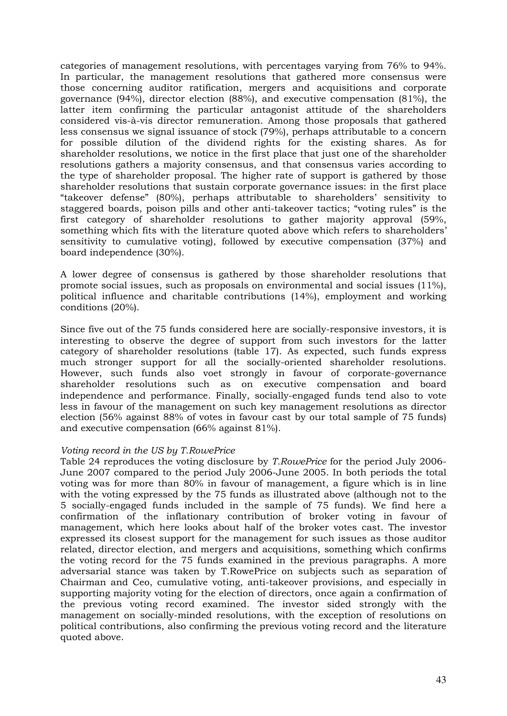categories of management resolutions, with percentages varying from 76% to 94%. In particular, the management resolutions that gathered more consensus were those concerning auditor ratification, mergers and acquisitions and corporate governance (94%), director election (88%), and executive compensation (81%), the latter item confirming the particular antagonist attitude of the shareholders considered vis-à-vis director remuneration. Among those proposals that gathered less consensus we signal issuance of stock (79%), perhaps attributable to a concern for possible dilution of the dividend rights for the existing shares. As for shareholder resolutions, we notice in the first place that just one of the shareholder resolutions gathers a majority consensus, and that consensus varies according to the type of shareholder proposal. The higher rate of support is gathered by those shareholder resolutions that sustain corporate governance issues: in the first place "takeover defense" (80%), perhaps attributable to shareholders' sensitivity to staggered boards, poison pills and other anti-takeover tactics; "voting rules" is the first category of shareholder resolutions to gather majority approval (59%, something which fits with the literature quoted above which refers to shareholders' sensitivity to cumulative voting), followed by executive compensation (37%) and board independence (30%).

A lower degree of consensus is gathered by those shareholder resolutions that promote social issues, such as proposals on environmental and social issues (11%), political influence and charitable contributions (14%), employment and working conditions (20%).

Since five out of the 75 funds considered here are socially-responsive investors, it is interesting to observe the degree of support from such investors for the latter category of shareholder resolutions (table 17). As expected, such funds express much stronger support for all the socially-oriented shareholder resolutions. However, such funds also voet strongly in favour of corporate-governance shareholder resolutions such as on executive compensation and board independence and performance. Finally, socially-engaged funds tend also to vote less in favour of the management on such key management resolutions as director election (56% against 88% of votes in favour cast by our total sample of 75 funds) and executive compensation (66% against 81%).

# *Voting record in the US by T.RowePrice*

Table 24 reproduces the voting disclosure by *T.RowePrice* for the period July 2006- June 2007 compared to the period July 2006-June 2005. In both periods the total voting was for more than 80% in favour of management, a figure which is in line with the voting expressed by the 75 funds as illustrated above (although not to the 5 socially-engaged funds included in the sample of 75 funds). We find here a confirmation of the inflationary contribution of broker voting in favour of management, which here looks about half of the broker votes cast. The investor expressed its closest support for the management for such issues as those auditor related, director election, and mergers and acquisitions, something which confirms the voting record for the 75 funds examined in the previous paragraphs. A more adversarial stance was taken by T.RowePrice on subjects such as separation of Chairman and Ceo, cumulative voting, anti-takeover provisions, and especially in supporting majority voting for the election of directors, once again a confirmation of the previous voting record examined. The investor sided strongly with the management on socially-minded resolutions, with the exception of resolutions on political contributions, also confirming the previous voting record and the literature quoted above.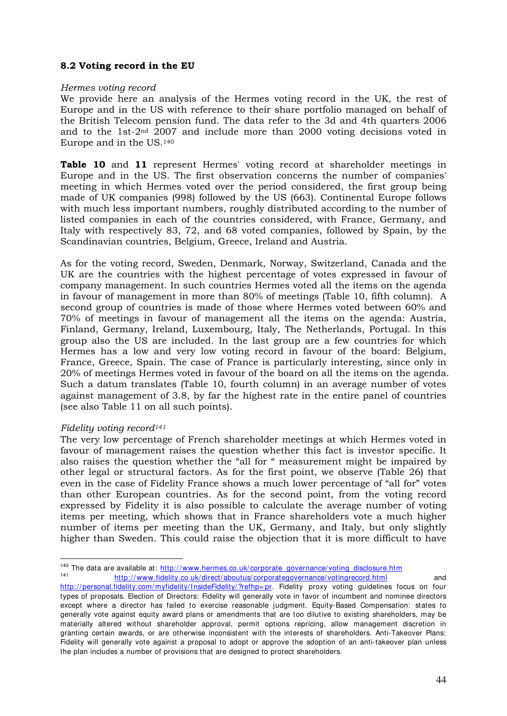# **8.2 Voting record in the EU**

## *Hermes voting record*

We provide here an analysis of the Hermes voting record in the UK, the rest of Europe and in the US with reference to their share portfolio managed on behalf of the British Telecom pension fund. The data refer to the 3d and 4th quarters 2006 and to the 1st-2nd 2007 and include more than 2000 voting decisions voted in Europe and in the US.<sup>140</sup>

**Table 10** and **11** represent Hermes' voting record at shareholder meetings in Europe and in the US. The first observation concerns the number of companies' meeting in which Hermes voted over the period considered, the first group being made of UK companies (998) followed by the US (663). Continental Europe follows with much less important numbers, roughly distributed according to the number of listed companies in each of the countries considered, with France, Germany, and Italy with respectively 83, 72, and 68 voted companies, followed by Spain, by the Scandinavian countries, Belgium, Greece, Ireland and Austria.

As for the voting record, Sweden, Denmark, Norway, Switzerland, Canada and the UK are the countries with the highest percentage of votes expressed in favour of company management. In such countries Hermes voted all the items on the agenda in favour of management in more than 80% of meetings (Table 10, fifth column). A second group of countries is made of those where Hermes voted between 60% and 70% of meetings in favour of management all the items on the agenda: Austria, Finland, Germany, Ireland, Luxembourg, Italy, The Netherlands, Portugal. In this group also the US are included. In the last group are a few countries for which Hermes has a low and very low voting record in favour of the board: Belgium, France, Greece, Spain. The case of France is particularly interesting, since only in 20% of meetings Hermes voted in favour of the board on all the items on the agenda. Such a datum translates (Table 10, fourth column) in an average number of votes against management of 3.8, by far the highest rate in the entire panel of countries (see also Table 11 on all such points).

# *Fidelity voting record<sup>141</sup>*

The very low percentage of French shareholder meetings at which Hermes voted in favour of management raises the question whether this fact is investor specific. It also raises the question whether the "all for " measurement might be impaired by other legal or structural factors. As for the first point, we observe (Table 26) that even in the case of Fidelity France shows a much lower percentage of "all for" votes than other European countries. As for the second point, from the voting record expressed by Fidelity it is also possible to calculate the average number of voting items per meeting, which shows that in France shareholders vote a much higher number of items per meeting than the UK, Germany, and Italy, but only slightly higher than Sweden. This could raise the objection that it is more difficult to have

<sup>-</sup><sup>140</sup> The data are available at: http://www.hermes.co.uk/corporate\_governance/voting\_disclosure.htm 141 http://www.fidelity.co.uk/direct/aboutus/corporategovernance/votingrecord.html and

http://personal.fidelity.com/myfidelity/InsideFidelity/?refhp= pr. Fidelity proxy voting guidelines focus on four types of proposals. Election of Directors: Fidelity will generally vote in favor of incumbent and nominee directors except where a director has failed to exercise reasonable judgment. Equity-Based Compensation: states to generally vote against equity award plans or amendments that are too dilutive to existing shareholders, may be materially altered without shareholder approval, permit options repricing, allow management discretion in granting certain awards, or are otherwise inconsistent with the interests of shareholders. Anti-Takeover Plans: Fidelity will generally vote against a proposal to adopt or approve the adoption of an anti-takeover plan unless the plan includes a number of provisions that are designed to protect shareholders.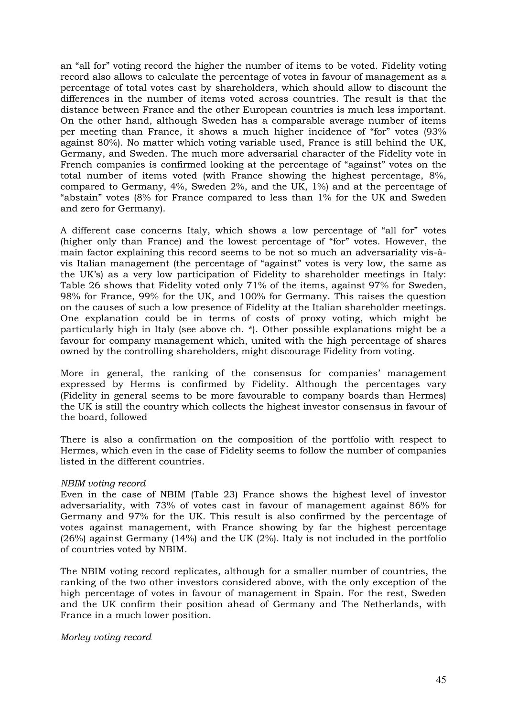an "all for" voting record the higher the number of items to be voted. Fidelity voting record also allows to calculate the percentage of votes in favour of management as a percentage of total votes cast by shareholders, which should allow to discount the differences in the number of items voted across countries. The result is that the distance between France and the other European countries is much less important. On the other hand, although Sweden has a comparable average number of items per meeting than France, it shows a much higher incidence of "for" votes (93% against 80%). No matter which voting variable used, France is still behind the UK, Germany, and Sweden. The much more adversarial character of the Fidelity vote in French companies is confirmed looking at the percentage of "against" votes on the total number of items voted (with France showing the highest percentage, 8%, compared to Germany, 4%, Sweden 2%, and the UK, 1%) and at the percentage of "abstain" votes (8% for France compared to less than 1% for the UK and Sweden and zero for Germany).

A different case concerns Italy, which shows a low percentage of "all for" votes (higher only than France) and the lowest percentage of "for" votes. However, the main factor explaining this record seems to be not so much an adversariality vis-àvis Italian management (the percentage of "against" votes is very low, the same as the UK's) as a very low participation of Fidelity to shareholder meetings in Italy: Table 26 shows that Fidelity voted only 71% of the items, against 97% for Sweden, 98% for France, 99% for the UK, and 100% for Germany. This raises the question on the causes of such a low presence of Fidelity at the Italian shareholder meetings. One explanation could be in terms of costs of proxy voting, which might be particularly high in Italy (see above ch. \*). Other possible explanations might be a favour for company management which, united with the high percentage of shares owned by the controlling shareholders, might discourage Fidelity from voting.

More in general, the ranking of the consensus for companies' management expressed by Herms is confirmed by Fidelity. Although the percentages vary (Fidelity in general seems to be more favourable to company boards than Hermes) the UK is still the country which collects the highest investor consensus in favour of the board, followed

There is also a confirmation on the composition of the portfolio with respect to Hermes, which even in the case of Fidelity seems to follow the number of companies listed in the different countries.

### *NBIM voting record*

Even in the case of NBIM (Table 23) France shows the highest level of investor adversariality, with 73% of votes cast in favour of management against 86% for Germany and 97% for the UK. This result is also confirmed by the percentage of votes against management, with France showing by far the highest percentage (26%) against Germany (14%) and the UK (2%). Italy is not included in the portfolio of countries voted by NBIM.

The NBIM voting record replicates, although for a smaller number of countries, the ranking of the two other investors considered above, with the only exception of the high percentage of votes in favour of management in Spain. For the rest, Sweden and the UK confirm their position ahead of Germany and The Netherlands, with France in a much lower position.

### *Morley voting record*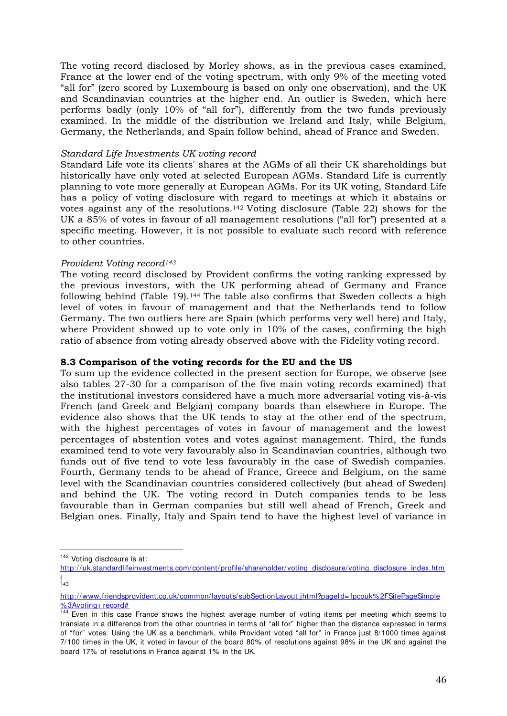The voting record disclosed by Morley shows, as in the previous cases examined, France at the lower end of the voting spectrum, with only 9% of the meeting voted "all for" (zero scored by Luxembourg is based on only one observation), and the UK and Scandinavian countries at the higher end. An outlier is Sweden, which here performs badly (only 10% of "all for"), differently from the two funds previously examined. In the middle of the distribution we Ireland and Italy, while Belgium, Germany, the Netherlands, and Spain follow behind, ahead of France and Sweden.

## *Standard Life Investments UK voting record*

Standard Life vote its clients' shares at the AGMs of all their UK shareholdings but historically have only voted at selected European AGMs. Standard Life is currently planning to vote more generally at European AGMs. For its UK voting, Standard Life has a policy of voting disclosure with regard to meetings at which it abstains or votes against any of the resolutions.142 Voting disclosure (Table 22) shows for the UK a 85% of votes in favour of all management resolutions ("all for") presented at a specific meeting. However, it is not possible to evaluate such record with reference to other countries.

## *Provident Voting record<sup>143</sup>*

The voting record disclosed by Provident confirms the voting ranking expressed by the previous investors, with the UK performing ahead of Germany and France following behind (Table 19).144 The table also confirms that Sweden collects a high level of votes in favour of management and that the Netherlands tend to follow Germany. The two outliers here are Spain (which performs very well here) and Italy, where Provident showed up to vote only in 10% of the cases, confirming the high ratio of absence from voting already observed above with the Fidelity voting record.

## **8.3 Comparison of the voting records for the EU and the US**

To sum up the evidence collected in the present section for Europe, we observe (see also tables 27-30 for a comparison of the five main voting records examined) that the institutional investors considered have a much more adversarial voting vis-à-vis French (and Greek and Belgian) company boards than elsewhere in Europe. The evidence also shows that the UK tends to stay at the other end of the spectrum, with the highest percentages of votes in favour of management and the lowest percentages of abstention votes and votes against management. Third, the funds examined tend to vote very favourably also in Scandinavian countries, although two funds out of five tend to vote less favourably in the case of Swedish companies. Fourth, Germany tends to be ahead of France, Greece and Belgium, on the same level with the Scandinavian countries considered collectively (but ahead of Sweden) and behind the UK. The voting record in Dutch companies tends to be less favourable than in German companies but still well ahead of French, Greek and Belgian ones. Finally, Italy and Spain tend to have the highest level of variance in

-

<sup>142</sup> Voting disclosure is at:

http://uk.standardlifeinvestments.com/content/profile/shareholder/voting\_disclosure/voting\_disclosure\_index.htm <mark>|</mark><br>143

http://www.friendsprovident.co.uk/ common/layouts/subSectionLayout.jhtml?pageId= fpcouk% 2FSitePageSimple % 3Avoting+ record#

<sup>&</sup>lt;sup>144</sup> Even in this case France shows the highest average number of voting items per meeting which seems to translate in a difference from the other countries in terms of "all for" higher than the distance expressed in terms of "for" votes. Using the UK as a benchmark, while Provident voted "all for" in France just 8/1000 times against 7/100 times in the UK, it voted in favour of the board 80% of resolutions against 98% in the UK and against the board 17% of resolutions in France against 1% in the UK.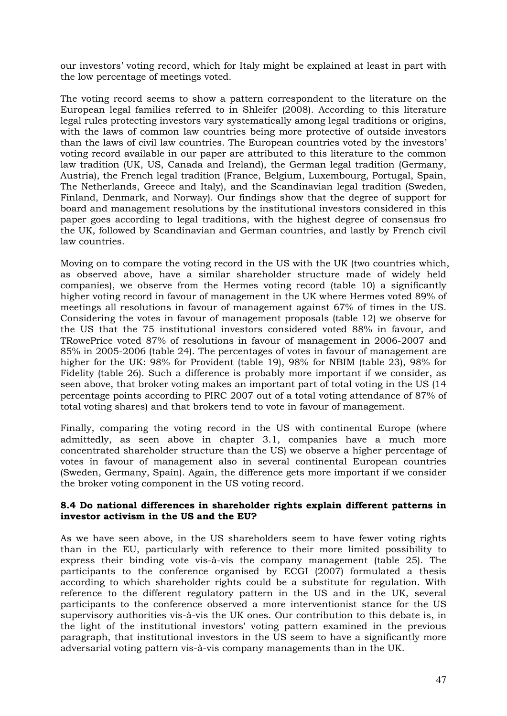our investors' voting record, which for Italy might be explained at least in part with the low percentage of meetings voted.

The voting record seems to show a pattern correspondent to the literature on the European legal families referred to in Shleifer (2008). According to this literature legal rules protecting investors vary systematically among legal traditions or origins, with the laws of common law countries being more protective of outside investors than the laws of civil law countries. The European countries voted by the investors' voting record available in our paper are attributed to this literature to the common law tradition (UK, US, Canada and Ireland), the German legal tradition (Germany, Austria), the French legal tradition (France, Belgium, Luxembourg, Portugal, Spain, The Netherlands, Greece and Italy), and the Scandinavian legal tradition (Sweden, Finland, Denmark, and Norway). Our findings show that the degree of support for board and management resolutions by the institutional investors considered in this paper goes according to legal traditions, with the highest degree of consensus fro the UK, followed by Scandinavian and German countries, and lastly by French civil law countries.

Moving on to compare the voting record in the US with the UK (two countries which, as observed above, have a similar shareholder structure made of widely held companies), we observe from the Hermes voting record (table 10) a significantly higher voting record in favour of management in the UK where Hermes voted 89% of meetings all resolutions in favour of management against 67% of times in the US. Considering the votes in favour of management proposals (table 12) we observe for the US that the 75 institutional investors considered voted 88% in favour, and TRowePrice voted 87% of resolutions in favour of management in 2006-2007 and 85% in 2005-2006 (table 24). The percentages of votes in favour of management are higher for the UK: 98% for Provident (table 19), 98% for NBIM (table 23), 98% for Fidelity (table 26). Such a difference is probably more important if we consider, as seen above, that broker voting makes an important part of total voting in the US (14 percentage points according to PIRC 2007 out of a total voting attendance of 87% of total voting shares) and that brokers tend to vote in favour of management.

Finally, comparing the voting record in the US with continental Europe (where admittedly, as seen above in chapter 3.1, companies have a much more concentrated shareholder structure than the US) we observe a higher percentage of votes in favour of management also in several continental European countries (Sweden, Germany, Spain). Again, the difference gets more important if we consider the broker voting component in the US voting record.

# **8.4 Do national differences in shareholder rights explain different patterns in investor activism in the US and the EU?**

As we have seen above, in the US shareholders seem to have fewer voting rights than in the EU, particularly with reference to their more limited possibility to express their binding vote vis-à-vis the company management (table 25). The participants to the conference organised by ECGI (2007) formulated a thesis according to which shareholder rights could be a substitute for regulation. With reference to the different regulatory pattern in the US and in the UK, several participants to the conference observed a more interventionist stance for the US supervisory authorities vis-à-vis the UK ones. Our contribution to this debate is, in the light of the institutional investors' voting pattern examined in the previous paragraph, that institutional investors in the US seem to have a significantly more adversarial voting pattern vis-à-vis company managements than in the UK.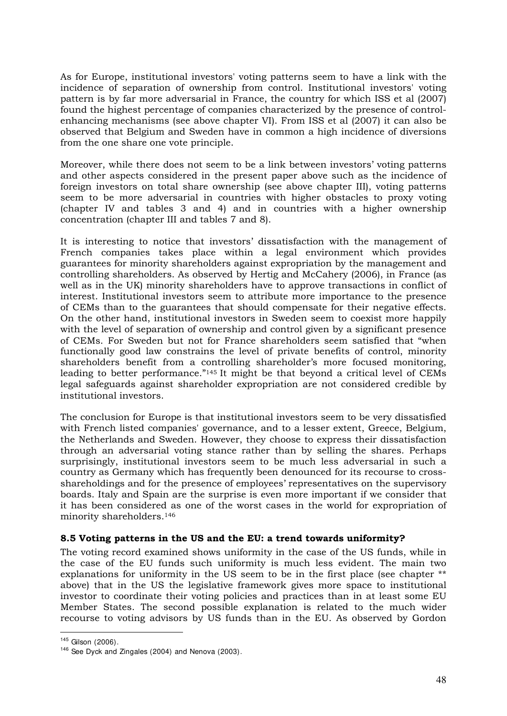As for Europe, institutional investors' voting patterns seem to have a link with the incidence of separation of ownership from control. Institutional investors' voting pattern is by far more adversarial in France, the country for which ISS et al (2007) found the highest percentage of companies characterized by the presence of controlenhancing mechanisms (see above chapter VI). From ISS et al (2007) it can also be observed that Belgium and Sweden have in common a high incidence of diversions from the one share one vote principle.

Moreover, while there does not seem to be a link between investors' voting patterns and other aspects considered in the present paper above such as the incidence of foreign investors on total share ownership (see above chapter III), voting patterns seem to be more adversarial in countries with higher obstacles to proxy voting (chapter IV and tables 3 and 4) and in countries with a higher ownership concentration (chapter III and tables 7 and 8).

It is interesting to notice that investors' dissatisfaction with the management of French companies takes place within a legal environment which provides guarantees for minority shareholders against expropriation by the management and controlling shareholders. As observed by Hertig and McCahery (2006), in France (as well as in the UK) minority shareholders have to approve transactions in conflict of interest. Institutional investors seem to attribute more importance to the presence of CEMs than to the guarantees that should compensate for their negative effects. On the other hand, institutional investors in Sweden seem to coexist more happily with the level of separation of ownership and control given by a significant presence of CEMs. For Sweden but not for France shareholders seem satisfied that "when functionally good law constrains the level of private benefits of control, minority shareholders benefit from a controlling shareholder's more focused monitoring, leading to better performance."145 It might be that beyond a critical level of CEMs legal safeguards against shareholder expropriation are not considered credible by institutional investors.

The conclusion for Europe is that institutional investors seem to be very dissatisfied with French listed companies' governance, and to a lesser extent, Greece, Belgium, the Netherlands and Sweden. However, they choose to express their dissatisfaction through an adversarial voting stance rather than by selling the shares. Perhaps surprisingly, institutional investors seem to be much less adversarial in such a country as Germany which has frequently been denounced for its recourse to crossshareholdings and for the presence of employees' representatives on the supervisory boards. Italy and Spain are the surprise is even more important if we consider that it has been considered as one of the worst cases in the world for expropriation of minority shareholders.<sup>146</sup>

# **8.5 Voting patterns in the US and the EU: a trend towards uniformity?**

The voting record examined shows uniformity in the case of the US funds, while in the case of the EU funds such uniformity is much less evident. The main two explanations for uniformity in the US seem to be in the first place (see chapter \*\* above) that in the US the legislative framework gives more space to institutional investor to coordinate their voting policies and practices than in at least some EU Member States. The second possible explanation is related to the much wider recourse to voting advisors by US funds than in the EU. As observed by Gordon

-

 $145$  Gilson (2006).

<sup>&</sup>lt;sup>146</sup> See Dyck and Zingales (2004) and Nenova (2003).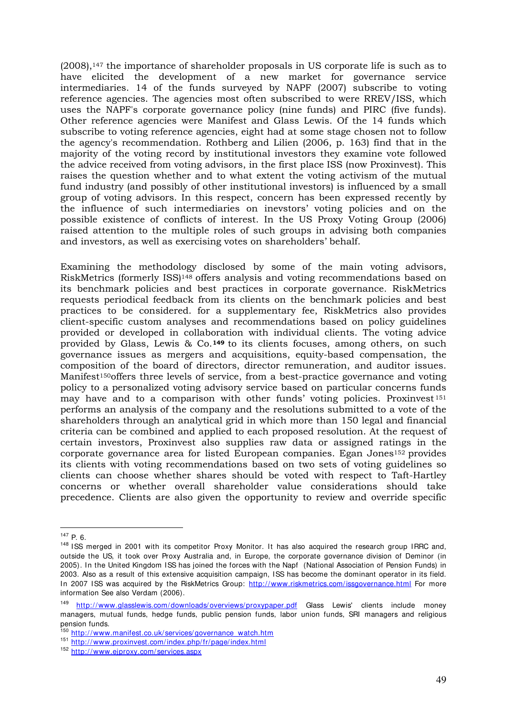(2008),147 the importance of shareholder proposals in US corporate life is such as to have elicited the development of a new market for governance service intermediaries. 14 of the funds surveyed by NAPF (2007) subscribe to voting reference agencies. The agencies most often subscribed to were RREV/ISS, which uses the NAPF's corporate governance policy (nine funds) and PIRC (five funds). Other reference agencies were Manifest and Glass Lewis. Of the 14 funds which subscribe to voting reference agencies, eight had at some stage chosen not to follow the agency's recommendation. Rothberg and Lilien (2006, p. 163) find that in the majority of the voting record by institutional investors they examine vote followed the advice received from voting advisors, in the first place ISS (now Proxinvest). This raises the question whether and to what extent the voting activism of the mutual fund industry (and possibly of other institutional investors) is influenced by a small group of voting advisors. In this respect, concern has been expressed recently by the influence of such intermediaries on inevstors' voting policies and on the possible existence of conflicts of interest. In the US Proxy Voting Group (2006) raised attention to the multiple roles of such groups in advising both companies and investors, as well as exercising votes on shareholders' behalf.

Examining the methodology disclosed by some of the main voting advisors, RiskMetrics (formerly ISS)148 offers analysis and voting recommendations based on its benchmark policies and best practices in corporate governance. RiskMetrics requests periodical feedback from its clients on the benchmark policies and best practices to be considered. for a supplementary fee, RiskMetrics also provides client-specific custom analyses and recommendations based on policy guidelines provided or developed in collaboration with individual clients. The voting advice provided by Glass, Lewis & Co.**149** to its clients focuses, among others, on such governance issues as mergers and acquisitions, equity-based compensation, the composition of the board of directors, director remuneration, and auditor issues. Manifest150offers three levels of service, from a best-practice governance and voting policy to a personalized voting advisory service based on particular concerns funds may have and to a comparison with other funds' voting policies. Proxinvest  $151$ performs an analysis of the company and the resolutions submitted to a vote of the shareholders through an analytical grid in which more than 150 legal and financial criteria can be combined and applied to each proposed resolution. At the request of certain investors, Proxinvest also supplies raw data or assigned ratings in the corporate governance area for listed European companies. Egan Jones152 provides its clients with voting recommendations based on two sets of voting guidelines so clients can choose whether shares should be voted with respect to Taft-Hartley concerns or whether overall shareholder value considerations should take precedence. Clients are also given the opportunity to review and override specific

<sup>-</sup> $147$  P. 6.

<sup>&</sup>lt;sup>148</sup> ISS merged in 2001 with its competitor Proxy Monitor. It has also acquired the research group IRRC and, outside the US, it took over Proxy Australia and, in Europe, the corporate governance division of Deminor (in 2005). In the United Kingdom ISS has joined the forces with the Napf (National Association of Pension Funds) in 2003. Also as a result of this extensive acquisition campaign, ISS has become the dominant operator in its field. In 2007 ISS was acquired by the RiskMetrics Group: http://www.riskmetrics.com/issgovernance.html For more information See also Verdam (2006).

<sup>149</sup> http://www.glasslewis.com/downloads/overviews/proxypaper.pdf Glass Lewis' clients include money managers, mutual funds, hedge funds, public pension funds, labor union funds, SRI managers and religious pension funds.

<sup>150</sup> http://www.manifest.co.uk/services/governance\_watch.htm

<sup>151</sup> http://www.proxinvest.com/index.php/fr/page/index.html

<sup>152</sup> http://www.ejproxy.com/services.aspx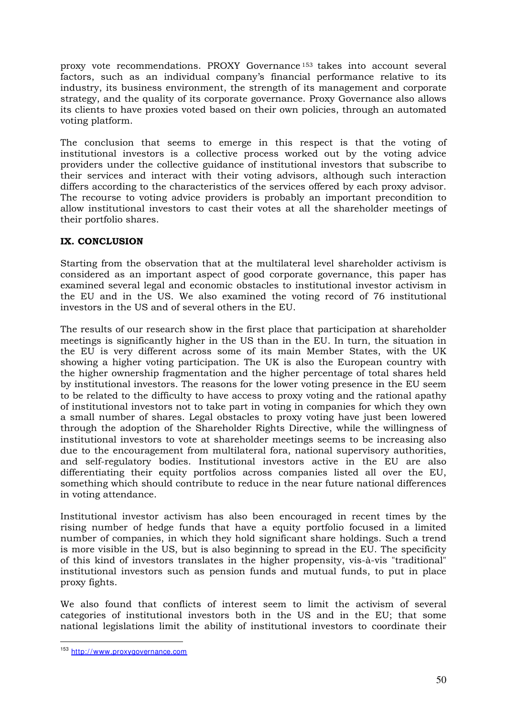proxy vote recommendations. PROXY Governance <sup>153</sup> takes into account several factors, such as an individual company's financial performance relative to its industry, its business environment, the strength of its management and corporate strategy, and the quality of its corporate governance. Proxy Governance also allows its clients to have proxies voted based on their own policies, through an automated voting platform.

The conclusion that seems to emerge in this respect is that the voting of institutional investors is a collective process worked out by the voting advice providers under the collective guidance of institutional investors that subscribe to their services and interact with their voting advisors, although such interaction differs according to the characteristics of the services offered by each proxy advisor. The recourse to voting advice providers is probably an important precondition to allow institutional investors to cast their votes at all the shareholder meetings of their portfolio shares.

# **IX. CONCLUSION**

Starting from the observation that at the multilateral level shareholder activism is considered as an important aspect of good corporate governance, this paper has examined several legal and economic obstacles to institutional investor activism in the EU and in the US. We also examined the voting record of 76 institutional investors in the US and of several others in the EU.

The results of our research show in the first place that participation at shareholder meetings is significantly higher in the US than in the EU. In turn, the situation in the EU is very different across some of its main Member States, with the UK showing a higher voting participation. The UK is also the European country with the higher ownership fragmentation and the higher percentage of total shares held by institutional investors. The reasons for the lower voting presence in the EU seem to be related to the difficulty to have access to proxy voting and the rational apathy of institutional investors not to take part in voting in companies for which they own a small number of shares. Legal obstacles to proxy voting have just been lowered through the adoption of the Shareholder Rights Directive, while the willingness of institutional investors to vote at shareholder meetings seems to be increasing also due to the encouragement from multilateral fora, national supervisory authorities, and self-regulatory bodies. Institutional investors active in the EU are also differentiating their equity portfolios across companies listed all over the EU, something which should contribute to reduce in the near future national differences in voting attendance.

Institutional investor activism has also been encouraged in recent times by the rising number of hedge funds that have a equity portfolio focused in a limited number of companies, in which they hold significant share holdings. Such a trend is more visible in the US, but is also beginning to spread in the EU. The specificity of this kind of investors translates in the higher propensity, vis-à-vis "traditional" institutional investors such as pension funds and mutual funds, to put in place proxy fights.

We also found that conflicts of interest seem to limit the activism of several categories of institutional investors both in the US and in the EU; that some national legislations limit the ability of institutional investors to coordinate their

<sup>&</sup>lt;u>.</u> <sup>153</sup> http://www.proxygovernance.com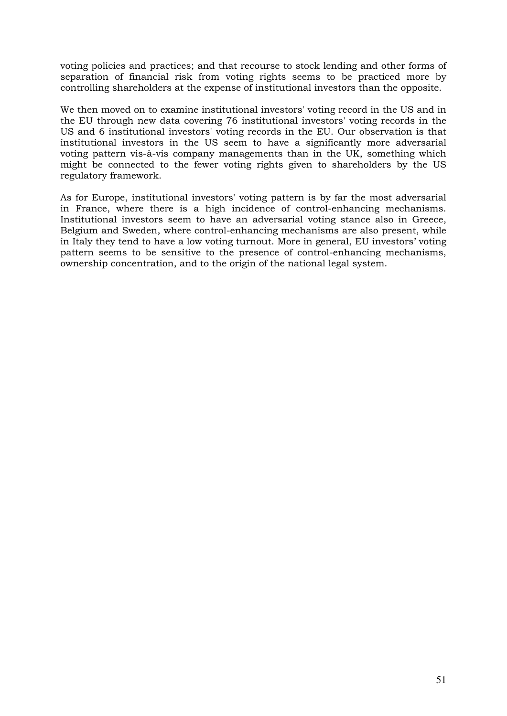voting policies and practices; and that recourse to stock lending and other forms of separation of financial risk from voting rights seems to be practiced more by controlling shareholders at the expense of institutional investors than the opposite.

We then moved on to examine institutional investors' voting record in the US and in the EU through new data covering 76 institutional investors' voting records in the US and 6 institutional investors' voting records in the EU. Our observation is that institutional investors in the US seem to have a significantly more adversarial voting pattern vis-à-vis company managements than in the UK, something which might be connected to the fewer voting rights given to shareholders by the US regulatory framework.

As for Europe, institutional investors' voting pattern is by far the most adversarial in France, where there is a high incidence of control-enhancing mechanisms. Institutional investors seem to have an adversarial voting stance also in Greece, Belgium and Sweden, where control-enhancing mechanisms are also present, while in Italy they tend to have a low voting turnout. More in general, EU investors' voting pattern seems to be sensitive to the presence of control-enhancing mechanisms, ownership concentration, and to the origin of the national legal system.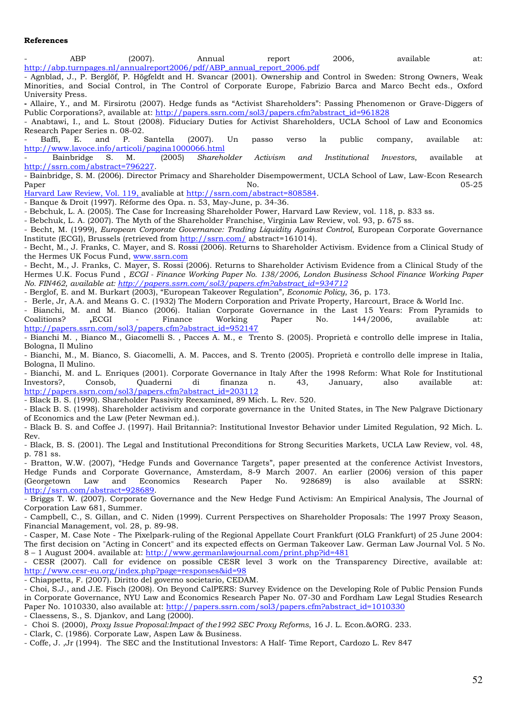### **References**

| ABP                                                                     | (2007). | Annual | report | 2006. | available | at: |
|-------------------------------------------------------------------------|---------|--------|--------|-------|-----------|-----|
| http://abp.turnpages.nl/annualreport2006/pdf/ABP annual report 2006.pdf |         |        |        |       |           |     |

- Agnblad, J., P. Berglöf, P. Högfeldt and H. Svancar (2001). Ownership and Control in Sweden: Strong Owners, Weak Minorities, and Social Control, in The Control of Corporate Europe, Fabrizio Barca and Marco Becht eds., Oxford University Press.

**-** Allaire, Y., and M. Firsirotu (2007). Hedge funds as "Activist Shareholders": Passing Phenomenon or Grave-Diggers of Public Corporations?, available at: http://papers.ssrn.com/sol3/papers.cfm?abstract\_id=961828

- Anabtawi, I., and L. Stout (2008). Fiduciary Duties for Activist Shareholders, UCLA School of Law and Economics Research Paper Series n. 08-02.<br>- Baffi, E. and P.

- Baffi, E. and P. Santella (2007). Un passo verso la public company, available at: http://www.lavoce.info/articoli/pagina1000066.html<br>- Bainbridge S. M. (2005) Shareholder

- Bainbridge S. M. (2005) *Shareholder Activism and Institutional Investors*, available at http://ssrn.com/abstract=796227.

- Bainbridge, S. M. (2006). Director Primacy and Shareholder Disempowerment, UCLA School of Law, Law-Econ Research Paper No. 05-25

Harvard Law Review, Vol. 119, avaliable at http://ssrn.com/abstract=808584.

- Banque & Droit (1997). Réforme des Opa. n. 53, May-June, p. 34-36.

- Bebchuk, L. A. (2005). The Case for Increasing Shareholder Power, Harvard Law Review, vol. 118, p. 833 ss.

- Bebchuk, L. A. (2007). The Myth of the Shareholder Franchise, Virginia Law Review, vol. 93, p. 675 ss.

- Becht, M. (1999), *European Corporate Governance: Trading Liquidity Against Control*, European Corporate Governance Institute (ECGI), Brussels (retrieved from http://ssrn.com/ abstract=161014).

- Becht, M., J. Franks, C. Mayer, and S. Rossi (2006). Returns to Shareholder Activism. Evidence from a Clinical Study of the Hermes UK Focus Fund, www.ssrn.com

- Becht, M., J. Franks, C. Mayer, S. Rossi (2006). Returns to Shareholder Activism Evidence from a Clinical Study of the Hermes U.K. Focus Fund , *ECGI - Finance Working Paper No. 138/2006, London Business School Finance Working Paper No. FIN462, available at: http://papers.ssrn.com/sol3/papers.cfm?abstract\_id=934712* 

- Berglof, E. and M. Burkart (2003), "European Takeover Regulation", *Economic Policy*, 36, p. 173.

- Berle, Jr, A.A. and Means G. C. (1932) The Modern Corporation and Private Property, Harcourt, Brace & World Inc.

- Bianchi, M. and M. Bianco (2006). Italian Corporate Governance in the Last 15 Years: From Pyramids to Coalitions? **,**ECGI - Finance Working Paper No. 144/2006, available at: http://papers.ssrn.com/sol3/papers.cfm?abstract\_id=952147

- Bianchi M. , Bianco M., Giacomelli S. , Pacces A. M., e Trento S. (2005). Proprietà e controllo delle imprese in Italia, Bologna, Il Mulino

- Bianchi, M., M. Bianco, S. Giacomelli, A. M. Pacces, and S. Trento (2005). Proprietà e controllo delle imprese in Italia, Bologna, Il Mulino.

- Bianchi, M. and L. Enriques (2001). Corporate Governance in Italy After the 1998 Reform: What Role for Institutional Investors?, Consob, Quaderni di finanza n. 43, January, also available at: Investors?, Consob, Quaderni di finanza n. 43, January, also available at: http://papers.ssrn.com/sol3/papers.cfm?abstract\_id=203112

- Black B. S. (1990). Shareholder Passivity Reexamined, 89 Mich. L. Rev. 520.

- Black B. S. (1998). Shareholder activism and corporate governance in the United States, in The New Palgrave Dictionary of Economics and the Law (Peter Newman ed.).

- Black B. S. and Coffee J. (1997). Hail Britannia?: Institutional Investor Behavior under Limited Regulation, 92 Mich. L. Rev.

- Black, B. S. (2001). The Legal and Institutional Preconditions for Strong Securities Markets, UCLA Law Review, vol. 48, p. 781 ss.

- Bratton, W.W. (2007), "Hedge Funds and Governance Targets", paper presented at the conference Activist Investors, Hedge Funds and Corporate Governance, Amsterdam, 8-9 March 2007. An earlier (2006) version of this paper (Georgetown Law and Economics Research Paper No. 928689) is also available at SSRN: http://ssrn.com/abstract=928689.

- Briggs T. W. (2007). Corporate Governance and the New Hedge Fund Activism: An Empirical Analysis, The Journal of Corporation Law 681, Summer.

- Campbell, C., S. Gillan, and C. Niden (1999). Current Perspectives on Shareholder Proposals: The 1997 Proxy Season, Financial Management, vol. 28, p. 89-98.

- Casper, M. Case Note - The Pixelpark-ruling of the Regional Appellate Court Frankfurt (OLG Frankfurt) of 25 June 2004: The first decision on "Acting in Concert" and its expected effects on German Takeover Law. German Law Journal Vol. 5 No. 8 – 1 August 2004. available at: http://www.germanlawjournal.com/print.php?id=481

- CESR (2007). Call for evidence on possible CESR level 3 work on the Transparency Directive, available at: http://www.cesr-eu.org/index.php?page=responses&id=98

- Chiappetta, F. (2007). Diritto del governo societario, CEDAM.

- Choi, S.J., and J.E. Fisch (2008). On Beyond CalPERS: Survey Evidence on the Developing Role of Public Pension Funds in Corporate Governance, NYU Law and Economics Research Paper No. 07-30 and Fordham Law Legal Studies Research Paper No. 1010330, also available at: http://papers.ssrn.com/sol3/papers.cfm?abstract\_id=1010330

- Claessens, S., S. Djankov, and Lang (2000).

- Choi S. (2000), *Proxy Issue Proposal:Impact of the1992 SEC Proxy Reforms*, 16 J. L. Econ.&ORG. 233.

- Clark, C. (1986). Corporate Law, Aspen Law & Business.

- Coffe, J. ,Jr (1994). The SEC and the Institutional Investors: A Half- Time Report, Cardozo L. Rev 847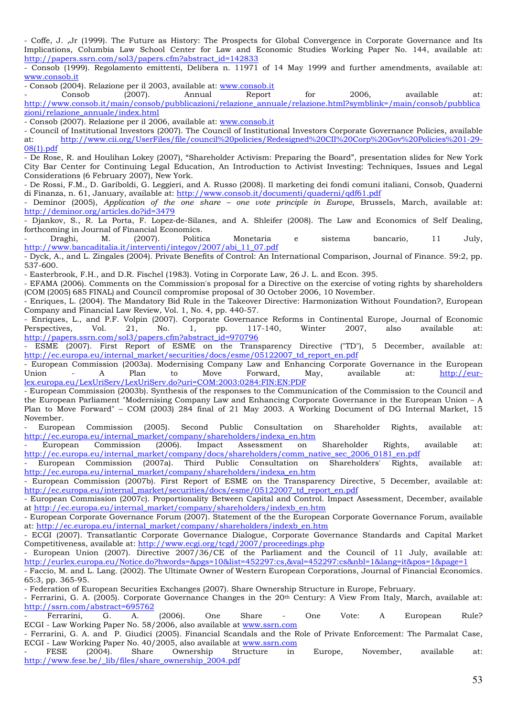- Coffe, J. ,Jr (1999). The Future as History: The Prospects for Global Convergence in Corporate Governance and Its Implications, Columbia Law School Center for Law and Economic Studies Working Paper No. 144, available at: http://papers.ssrn.com/sol3/papers.cfm?abstract\_id=142833

- Consob (1999). Regolamento emittenti, Delibera n. 11971 of 14 May 1999 and further amendments, available at: www.consob.it

- Consob (2004). Relazione per il 2003, available at: www.consob.it

- Consob (2007). Annual Report for 2006, available at: http://www.consob.it/main/consob/pubblicazioni/relazione\_annuale/relazione.html?symblink=/main/consob/pubblica zioni/relazione\_annuale/index.html

- Consob (2007). Relazione per il 2006, available at: www.consob.it

- Council of Institutional Investors (2007). The Council of Institutional Investors Corporate Governance Policies, available at: http://www.cii.org/UserFiles/file/council%20policies/Redesigned%20CII%20Corp%20Gov%20Policies%201-29- 08(1).pdf

- De Rose, R. and Houlihan Lokey (2007), "Shareholder Activism: Preparing the Board", presentation slides for New York City Bar Center for Continuing Legal Education, An Introduction to Activist Investing: Techniques, Issues and Legal Considerations (6 February 2007), New York.

- De Rossi, F.M., D. Gariboldi, G. Leggieri, and A. Russo (2008). Il marketing dei fondi comuni italiani, Consob, Quaderni di Finanza, n. 61, January, available at: http://www.consob.it/documenti/quaderni/qdf61.pdf

- Deminor (2005), *Application of the one share – one vote principle in Europe*, Brussels, March, available at: http://deminor.org/articles.do?id=3479

- Djankov, S., R. La Porta, F. Lopez-de-Silanes, and A. Shleifer (2008). The Law and Economics of Self Dealing, forthcoming in Journal of Financial Economics.

- Draghi, M. (2007). Politica Monetaria e sistema bancario, 11 July, http://www.bancaditalia.it/interventi/integov/2007/abi\_11\_07.pdf

- Dyck, A., and L. Zingales (2004). Private Benefits of Control: An International Comparison, Journal of Finance. 59:2, pp. 537-600.

- Easterbrook, F.H., and D.R. Fischel (1983). Voting in Corporate Law, 26 J. L. and Econ. 395.

- EFAMA (2006). Comments on the Commission's proposal for a Directive on the exercise of voting rights by shareholders (COM (2005) 685 FINAL) and Council compromise proposal of 30 October 2006, 10 November.

- Enriques, L. (2004). The Mandatory Bid Rule in the Takeover Directive: Harmonization Without Foundation?, European Company and Financial Law Review, Vol. 1, No. 4, pp. 440-57.

- Enriques, L., and P.F. Volpin (2007). Corporate Governance Reforms in Continental Europe, Journal of Economic Perspectives, Vol. 21, No. 1, pp. 117-140, Winter 2007, also available at: http://papers.ssrn.com/sol3/papers.cfm?abstract\_id=970796

ESME (2007). First Report of ESME on the Transparency Directive ("TD"), 5 December, available at: http://ec.europa.eu/internal\_market/securities/docs/esme/05122007\_td\_report\_en.pdf

- European Commission (2003a). Modernising Company Law and Enhancing Corporate Governance in the European<br>Union - A Plan to Move Forward. May, available at: http://eur-Union - A Plan to Move Forward, May, available at: <u>http://eur</u>lex.europa.eu/LexUriServ/LexUriServ.do?uri=COM:2003:0284:FIN:EN:PDF

- European Commission (2003b). Synthesis of the responses to the Communication of the Commission to the Council and the European Parliament "Modernising Company Law and Enhancing Corporate Governance in the European Union – A Plan to Move Forward" – COM (2003) 284 final of 21 May 2003. A Working Document of DG Internal Market, 15 November.

European Commission (2005). Second Public Consultation on Shareholder Rights, available at: http://ec.europa.eu/internal\_market/company/shareholders/indexa\_en.htm - European Commission (2006). Impact Assessment on

- European Commission (2006). Impact Assessment on Shareholder Rights, available at: http://ec.europa.eu/internal\_market/company/docs/shareholders/comm\_native\_sec\_2006\_0181\_en.pdf

European Commission (2007a). Third Public Consultation on Shareholders' Rights, available at: http://ec.europa.eu/internal\_market/company/shareholders/indexa\_en.htm

- European Commission (2007b). First Report of ESME on the Transparency Directive, 5 December, available at: http://ec.europa.eu/internal\_market/securities/docs/esme/05122007\_td\_report\_en.pdf

- European Commission (2007c). Proportionality Between Capital and Control. Impact Assessment, December, available at http://ec.europa.eu/internal\_market/company/shareholders/indexb\_en.htm

- European Corporate Governance Forum (2007). Statement of the the European Corporate Governance Forum, available at: http://ec.europa.eu/internal\_market/company/shareholders/indexb\_en.htm

- ECGI (2007). Transatlantic Corporate Governance Dialogue, Corporate Governance Standards and Capital Market Competitiveness, available at: http://www.ecgi.org/tcgd/2007/proceedings.php

European Union (2007). Directive 2007/36/CE of the Parliament and the Council of 11 July, available at: http://eurlex.europa.eu/Notice.do?hwords=&pgs=10&list=452297:cs,&val=452297:cs&nbl=1&lang=it&pos=1&page=1

- Faccio, M. and L. Lang. (2002). The Ultimate Owner of Western European Corporations, Journal of Financial Economics. 65:3, pp. 365-95.

- Federation of European Securities Exchanges (2007). Share Ownership Structure in Europe, February.

- Ferrarini, G. A. (2005). Corporate Governance Changes in the 20th Century: A View From Italy, March, available at: http://ssrn.com/abstract=695762

- Ferrarini, G. A. (2006). One Share - One Vote: A European Rule? ECGI - Law Working Paper No. 58/2006, also available at www.ssrn.com

- Ferrarini, G. A. and P. Giudici (2005). Financial Scandals and the Role of Private Enforcement: The Parmalat Case, ECGI - Law Working Paper No. 40/2005, also available at www.ssrn.com

- FESE (2004). Share Ownership Structure in Europe, November, available at: http://www.fese.be/\_lib/files/share\_ownership\_2004.pdf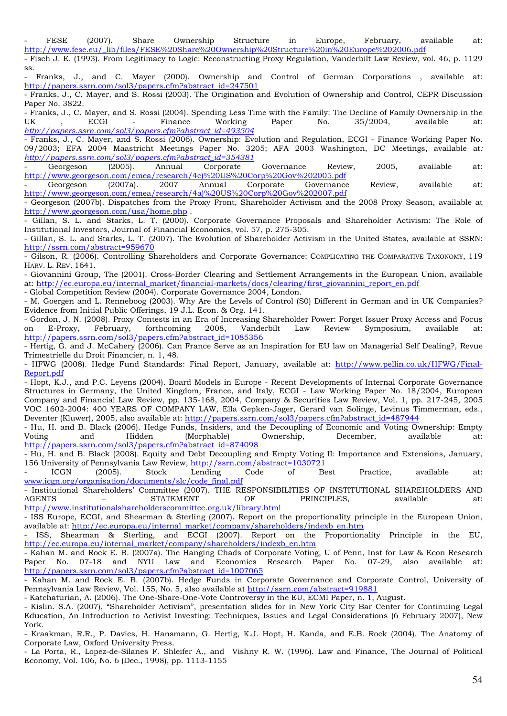- FESE (2007). Share Ownership Structure in Europe, February, available at: http://www.fese.eu/\_lib/files/FESE%20Share%20Ownership%20Structure%20in%20Europe%202006.pdf

- Fisch J. E. (1993). From Legitimacy to Logic: Reconstructing Proxy Regulation, Vanderbilt Law Review, vol. 46, p. 1129 ss.

- Franks, J., and C. Mayer (2000). Ownership and Control of German Corporations , available at: http://papers.ssrn.com/sol3/papers.cfm?abstract\_id=247501

- Franks, J., C. Mayer, and S. Rossi (2003). The Origination and Evolution of Ownership and Control, CEPR Discussion Paper No. 3822.

- Franks, J., C. Mayer, and S. Rossi (2004). Spending Less Time with the Family: The Decline of Family Ownership in the UK , ECGI - Finance Working Paper No. 35/2004, available at: *http://papers.ssrn.com/sol3/papers.cfm?abstract\_id=493504* 

- Franks, J., C. Mayer, and S. Rossi (2006). Ownership: Evolution and Regulation, ECGI - Finance Working Paper No. 09/2003; EFA 2004 Maastricht Meetings Paper No. 3205; AFA 2003 Washington, DC Meetings, available at*: http://papers.ssrn.com/sol3/papers.cfm?abstract\_id=354381* 

- Georgeson (2005). Annual Corporate Governance Review, 2005, available at: http://www.georgeson.com/emea/research/4c)%20US%20Corp%20Gov%202005.pdf

- Georgeson (2007a). 2007 Annual Corporate Governance Review, available at: http://www.georgeson.com/emea/research/4a)%20US%20Corp%20Gov%202007.pdf

- Georgeson (2007b). Dispatches from the Proxy Front, Shareholder Activism and the 2008 Proxy Season, available at http://www.georgeson.com/usa/home.php .

- Gillan, S. L. and Starks, L. T. (2000). Corporate Governance Proposals and Shareholder Activism: The Role of Institutional Investors, Journal of Financial Economics, vol. 57, p. 275-305.

- Gillan, S. L. and Starks, L. T. (2007). The Evolution of Shareholder Activism in the United States, available at SSRN: http://ssrn.com/abstract=959670

- Gilson, R. (2006). Controlling Shareholders and Corporate Governance: COMPLICATING THE COMPARATIVE TAXONOMY, 119 HARV. L. REV. 1641.

- Giovannini Group, The (2001). Cross-Border Clearing and Settlement Arrangements in the European Union, available at: http://ec.europa.eu/internal\_market/financial-markets/docs/clearing/first\_giovannini\_report\_en.pdf - Global Competition Review (2004). Corporate Governance 2004, London.

- M. Goergen and L. Renneboog (2003). Why Are the Levels of Control (S0) Different in German and in UK Companies? Evidence from Initial Public Offerings, 19 J.L. Econ. & Org. 141.

- Gordon, J. N. (2008). Proxy Contests in an Era of Increasing Shareholder Power: Forget Issuer Proxy Access and Focus on E-Proxy, February, forthcoming 2008, Vanderbilt Law Review Symposium, available at: http://papers.ssrn.com/sol3/papers.cfm?abstract\_id=1085356

- Hertig, G. and J. McCahery (2006). Can France Serve as an Inspiration for EU law on Managerial Self Dealing?, Revue Trimestrielle du Droit Financier, n. 1, 48.

- HFWG (2008). Hedge Fund Standards: Final Report, January, available at: http://www.pellin.co.uk/HFWG/Final-Report.pdf

- Hopt, K.J., and P.C. Leyens (2004). Board Models in Europe - Recent Developments of Internal Corporate Governance Structures in Germany, the United Kingdom, France, and Italy, ECGI - Law Working Paper No. 18/2004, European Company and Financial Law Review, pp. 135-168, 2004, Company & Securities Law Review, Vol. 1, pp. 217-245, 2005 VOC 1602-2004: 400 YEARS OF COMPANY LAW, Ella Gepken-Jager, Gerard van Solinge, Levinus Timmerman, eds., Deventer (Kluwer), 2005, also available at: http://papers.ssrn.com/sol3/papers.cfm?abstract\_id=487944

- Hu, H. and B. Black (2006). Hedge Funds, Insiders, and the Decoupling of Economic and Voting Ownership: Empty Voting and Hidden (Morphable) Ownership, December, available at: http://papers.ssrn.com/sol3/papers.cfm?abstract\_id=874098

- Hu, H. and B. Black (2008). Equity and Debt Decoupling and Empty Voting II: Importance and Extensions, January, 156 University of Pennsylvania Law Review, http://ssrn.com/abstract=1030721

- ICGN (2005). Stock Lending Code of Best Practice, available at: www.icgn.org/organisation/documents/slc/code\_final.pdf

Institutional Shareholders' Committee (2007). THE RESPONSIBILITIES OF INSTITUTIONAL SHAREHOLDERS AND AGENTS – STATEMENT OF PRINCIPLES, available at: http://www.institutionalshareholderscommittee.org.uk/library.html

- ISS Europe, ECGI, and Shearman & Sterling (2007). Report on the proportionality principle in the European Union, available at: http://ec.europa.eu/internal\_market/company/shareholders/indexb\_en.htm

- ISS, Shearman & Sterling, and ECGI (2007). Report on the Proportionality Principle in the EU, http://ec.europa.eu/internal\_market/company/shareholders/indexb\_en.htm

- Kahan M. and Rock E. B. (2007a). The Hanging Chads of Corporate Voting, U of Penn, Inst for Law & Econ Research Paper No. 07-18 and NYU Law and Economics Research Paper No. 07-29, also available at: http://papers.ssrn.com/sol3/papers.cfm?abstract\_id=1007065

- Kahan M. and Rock E. B. (2007b). Hedge Funds in Corporate Governance and Corporate Control, University of Pennsylvania Law Review, Vol. 155, No. 5, also available at http://ssrn.com/abstract=919881

- Katchaturian, A. (2006). The One-Share-One-Vote Controversy in the EU, ECMI Paper, n. 1, August.

- Kislin. S.A. (2007), "Shareholder Activism", presentation slides for in New York City Bar Center for Continuing Legal Education, An Introduction to Activist Investing: Techniques, Issues and Legal Considerations (6 February 2007), New York.

- Kraakman, R.R., P. Davies, H. Hansmann, G. Hertig, K.J. Hopt, H. Kanda, and E.B. Rock (2004). The Anatomy of Corporate Law, Oxford University Press.

- La Porta, R., Lopez-de-Silanes F. Shleifer A., and Vishny R. W. (1996). Law and Finance, The Journal of Political Economy*,* Vol. 106, No. 6 (Dec., 1998), pp. 1113-1155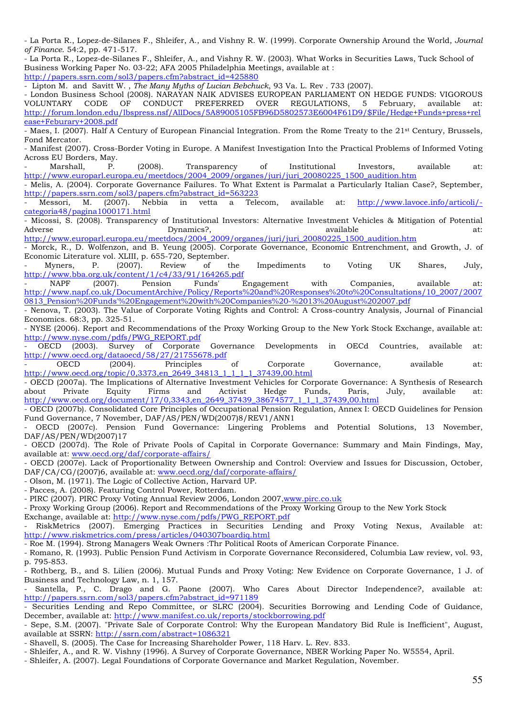- La Porta R., Lopez-de-Silanes F., Shleifer, A., and Vishny R. W. (1999). Corporate Ownership Around the World, *Journal of Finance*. 54:2, pp. 471-517.

- La Porta R., Lopez-de-Silanes F., Shleifer, A., and Vishny R. W. (2003). What Works in Securities Laws, Tuck School of Business Working Paper No. 03-22; AFA 2005 Philadelphia Meetings, available at : http://papers.ssrn.com/sol3/papers.cfm?abstract\_id=425880

- Lipton M. and Savitt W. , *The Many Myths of Lucian Bebchuck*, 93 Va. L. Rev . 733 (2007).

- London Business School (2008). NARAYAN NAIK ADVISES EUROPEAN PARLIAMENT ON HEDGE FUNDS: VIGOROUS VOLUNTARY CODE OF CONDUCT PREFERRED OVER REGULATIONS, 5 February, available at: http://forum.london.edu/lbspress.nsf/AllDocs/5A89005105FB96D5802573E6004F61D9/\$File/Hedge+Funds+press+rel ease+Feburary+2008.pdf

- Maes, I. (2007). Half A Century of European Financial Integration. From the Rome Treaty to the 21st Century, Brussels, Fond Mercator.

- Manifest (2007). Cross-Border Voting in Europe. A Manifest Investigation Into the Practical Problems of Informed Voting Across EU Borders, May.

Marshall, P. (2008). Transparency of Institutional Investors, available at: http://www.europarl.europa.eu/meetdocs/2004\_2009/organes/juri/juri\_20080225\_1500\_audition.htm

- Melis, A. (2004). Corporate Governance Failures. To What Extent is Parmalat a Particularly Italian Case?, September, http://papers.ssrn.com/sol3/papers.cfm?abstract\_id=563223

- Messori, M. (2007). Nebbia in vetta a Telecom, available at: http://www.lavoce.info/articoli/ categoria48/pagina1000171.html

- Micossi, S. (2008). Transparency of Institutional Investors: Alternative Investment Vehicles & Mitigation of Potential Adverse Dynamics?, available at: http://www.europarl.europa.eu/meetdocs/2004\_2009/organes/juri/juri\_20080225\_1500\_audition.htm

Morck, R., D. Wolfenzon, and B. Yeung (2005). Corporate Governance, Economic Entrenchment, and Growth, J. of Economic Literature vol. XLIII, p. 655-720, September.

- Myners, P. (2007). Review of the Impediments to Voting UK Shares, July, http://www.bba.org.uk/content/1/c4/33/91/164265.pdf

NAPF (2007). Pension Funds' Engagement with Companies, available at: http://www.napf.co.uk/DocumentArchive/Policy/Reports%20and%20Responses%20to%20Consultations/10\_2007/2007 0813\_Pension%20Funds'%20Engagement%20with%20Companies%20-%2013%20August%202007.pdf

- Nenova, T. (2003). The Value of Corporate Voting Rights and Control: A Cross-country Analysis, Journal of Financial Economics. 68:3, pp. 325-51.

- NYSE (2006). Report and Recommendations of the Proxy Working Group to the New York Stock Exchange, available at: http://www.nyse.com/pdfs/PWG\_REPORT.pdf

- OECD (2003). Survey of Corporate Governance Developments in OECd Countries, available at: http://www.oecd.org/dataoecd/58/27/21755678.pdf<br>- OECD (2004). Principles

- OECD (2004). Principles of Corporate Governance, available at: http://www.oecd.org/topic/0,3373,en\_2649\_34813\_1\_1\_1\_1\_37439,00.html

- OECD (2007a). The Implications of Alternative Investment Vehicles for Corporate Governance: A Synthesis of Research about Private Equity Firms and Activist Hedge Funds, Paris, July, available at: http://www.oecd.org/document/17/0,3343,en\_2649\_37439\_38674577\_1\_1\_1\_37439,00.html

- OECD (2007b). Consolidated Core Principles of Occupational Pension Regulation, Annex I: OECD Guidelines for Pension Fund Governance, 7 November, DAF/AS/PEN/WD(2007)8/REV1/ANN1

- OECD (2007c). Pension Fund Governance: Lingering Problems and Potential Solutions, 13 November, DAF/AS/PEN/WD(2007)17

- OECD (2007d). The Role of Private Pools of Capital in Corporate Governance: Summary and Main Findings, May, available at: www.oecd.org/daf/corporate-affairs/

- OECD (2007e). Lack of Proportionality Between Ownership and Control: Overview and Issues for Discussion, October, DAF/CA/CG/(2007)6, available at: www.oecd.org/daf/corporate-affairs/

- Olson, M. (1971). The Logic of Collective Action, Harvard UP.

- Pacces, A. (2008). Featuring Control Power, Rotterdam.

- PIRC (2007). PIRC Proxy Voting Annual Review 2006, London 2007,www.pirc.co.uk

- Proxy Working Group (2006). Report and Recommendations of the Proxy Working Group to the New York Stock

Exchange, available at: http://www.nyse.com/pdfs/PWG\_REPORT.pdf

RiskMetrics (2007). Emerging Practices in Securities Lending and Proxy Voting Nexus, Available at: http://www.riskmetrics.com/press/articles/040307boardiq.html

- Roe M. (1994). Strong Managers Weak Owners :Thr Political Roots of American Corporate Finance.

- Romano, R. (1993). Public Pension Fund Activism in Corporate Governance Reconsidered, Columbia Law review, vol. 93, p. 795-853.

- Rothberg, B., and S. Lilien (2006). Mutual Funds and Proxy Voting: New Evidence on Corporate Governance, 1 J. of Business and Technology Law, n. 1, 157.

Santella, P., C. Drago and G. Paone (2007). Who Cares About Director Independence?, available at: http://papers.ssrn.com/sol3/papers.cfm?abstract\_id=971189

- Securities Lending and Repo Committee, or SLRC (2004). Securities Borrowing and Lending Code of Guidance, December, available at: http://www.manifest.co.uk/reports/stockborrowing.pdf

- Sepe, S.M. (2007). "Private Sale of Corporate Control: Why the European Mandatory Bid Rule is Inefficient", August, available at SSRN: http://ssrn.com/abstract=1086321

- Shavell, S. (2005). The Case for Increasing Shareholder Power, 118 Harv. L. Rev. 833.

- Shleifer, A., and R. W. Vishny (1996). A Survey of Corporate Governance, NBER Working Paper No. W5554, April.

- Shleifer, A. (2007). Legal Foundations of Corporate Governance and Market Regulation, November.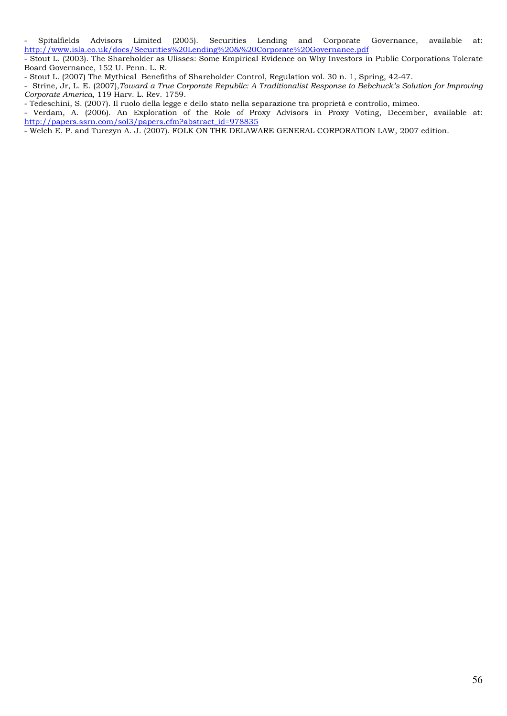Spitalfields Advisors Limited (2005). Securities Lending and Corporate Governance, available at: http://www.isla.co.uk/docs/Securities%20Lending%20&%20Corporate%20Governance.pdf

- Stout L. (2003). The Shareholder as Ulisses: Some Empirical Evidence on Why Investors in Public Corporations Tolerate Board Governance, 152 U. Penn. L. R.

- Stout L. (2007) The Mythical Benefiths of Shareholder Control, Regulation vol. 30 n. 1, Spring, 42-47.

- Strine, Jr, L. E. (2007),*Toward a True Corporate Republic: A Traditionalist Response to Bebchuck's Solution for Improving Corporate America*, 119 Harv. L. Rev. 1759.

- Tedeschini, S. (2007). Il ruolo della legge e dello stato nella separazione tra proprietà e controllo, mimeo.

- Verdam, A. (2006). An Exploration of the Role of Proxy Advisors in Proxy Voting, December, available at: http://papers.ssrn.com/sol3/papers.cfm?abstract\_id=978835

- Welch E. P. and Turezyn A. J. (2007). FOLK ON THE DELAWARE GENERAL CORPORATION LAW, 2007 edition.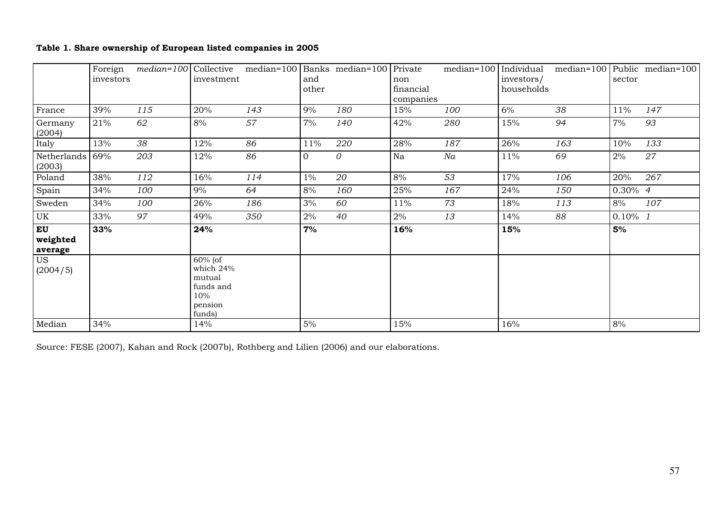## **Table 1. Share ownership of European listed companies in 2005**

|                                  | Foreign<br>investors |     | investment                                                                 | $median=100$ Collective median=100 Banks median=100 Private | and      |     | non                    | median=100 Individual | investors/ |     | sector     | median=100 Public median=100 |
|----------------------------------|----------------------|-----|----------------------------------------------------------------------------|-------------------------------------------------------------|----------|-----|------------------------|-----------------------|------------|-----|------------|------------------------------|
|                                  |                      |     |                                                                            |                                                             | other    |     | financial<br>companies |                       | households |     |            |                              |
| France                           | 39%                  | 115 | 20%                                                                        | 143                                                         | $9\%$    | 180 | 15%                    | 100                   | $6\%$      | 38  | 11%        | 147                          |
| Germany<br>(2004)                | 21%                  | 62  | 8%                                                                         | 57                                                          | 7%       | 140 | 42%                    | 280                   | 15%        | 94  | 7%         | 93                           |
| Italy                            | 13%                  | 38  | 12%                                                                        | 86                                                          | 11%      | 220 | 28%                    | 187                   | 26%        | 163 | 10%        | 133                          |
| Netherlands<br>(2003)            | 69%                  | 203 | 12%                                                                        | 86                                                          | $\Omega$ | 0   | Na                     | Na                    | 11%        | 69  | 2%         | 27                           |
| Poland                           | 38%                  | 112 | 16%                                                                        | 114                                                         | $1\%$    | 20  | 8%                     | 53                    | 17%        | 106 | 20%        | 267                          |
| Spain                            | 34%                  | 100 | $9\%$                                                                      | 64                                                          | 8%       | 160 | 25%                    | 167                   | 24%        | 150 | $0.30\%$ 4 |                              |
| Sweden                           | 34%                  | 100 | 26%                                                                        | 186                                                         | 3%       | 60  | 11%                    | 73                    | 18%        | 113 | 8%         | 107                          |
| UK                               | 33%                  | 97  | 49%                                                                        | 350                                                         | 2%       | 40  | 2%                     | 13                    | 14%        | 88  | $0.10\%$ 1 |                              |
| <b>EU</b><br>weighted<br>average | 33%                  |     | 24%                                                                        |                                                             | 7%       |     | 16%                    |                       | 15%        |     | 5%         |                              |
| <b>US</b><br>(2004/5)            |                      |     | $60\%$ (of<br>which 24%<br>mutual<br>funds and<br>10%<br>pension<br>funds) |                                                             |          |     |                        |                       |            |     |            |                              |
| Median                           | 34%                  |     | 14%                                                                        |                                                             | 5%       |     | 15%                    |                       | 16%        |     | 8%         |                              |

Source: FESE (2007), Kahan and Rock (2007b), Rothberg and Lilien (2006) and our elaborations.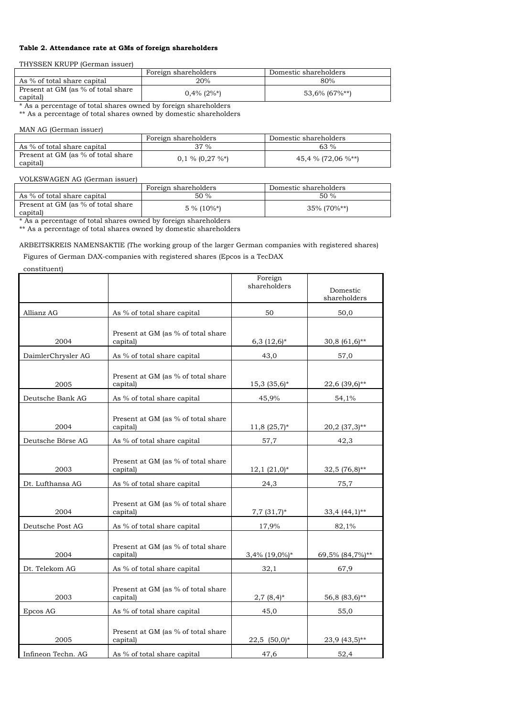#### **Table 2. Attendance rate at GMs of foreign shareholders**

THYSSEN KRUPP (German issuer)

| 20%<br>80%<br>As % of total share capital<br>Present at GM (as % of total share | Domestic shareholders | Foreign shareholders |          |
|---------------------------------------------------------------------------------|-----------------------|----------------------|----------|
|                                                                                 |                       |                      |          |
|                                                                                 | $53,6\%$ (67%**)      | $0.4\%$ (2%*)        | capital) |

\* As a percentage of total shares owned by foreign shareholders \*\* As a percentage of total shares owned by domestic shareholders

### MAN AG (German issuer)

|                                                | Foreign shareholders | Domestic shareholders |
|------------------------------------------------|----------------------|-----------------------|
| As % of total share capital                    | 37 %                 | 63 $%$                |
| Present at GM (as % of total share<br>capital) | $0,1\%$ (0,27 %*)    | 45,4 % (72,06 %**)    |

#### VOLKSWAGEN AG (German issuer)

|                                                | Foreign shareholders | Domestic shareholders |
|------------------------------------------------|----------------------|-----------------------|
| As % of total share capital                    | $50\%$               | 50%                   |
| Present at GM (as % of total share<br>capital) | $5\%$ (10%*)         | $35\%$ (70%**)        |

\* As a percentage of total shares owned by foreign shareholders

\*\* As a percentage of total shares owned by domestic shareholders

ARBEITSKREIS NAMENSAKTIE (The working group of the larger German companies with registered shares)

Figures of German DAX-companies with registered shares (Epcos is a TecDAX

constituent)

|                    |                                                | Foreign<br>shareholders | Domestic<br>shareholders |
|--------------------|------------------------------------------------|-------------------------|--------------------------|
| Allianz AG         | As % of total share capital                    | 50                      | 50,0                     |
| 2004               | Present at GM (as % of total share<br>capital) | $6,3$ $(12,6)*$         | $30,8(61,6)*$            |
| DaimlerChrysler AG | As % of total share capital                    | 43,0                    | 57,0                     |
| 2005               | Present at GM (as % of total share<br>capital) | $15,3(35,6)*$           | 22,6 (39,6)**            |
| Deutsche Bank AG   | As % of total share capital                    | 45,9%                   | 54,1%                    |
| 2004               | Present at GM (as % of total share<br>capital) | $11,8(25,7)*$           | 20,2 (37,3)**            |
| Deutsche Börse AG  | As % of total share capital                    | 57,7                    | 42,3                     |
| 2003               | Present at GM (as % of total share<br>capital) | $12,1(21,0)*$           | $32,5(76,8)$ **          |
| Dt. Lufthansa AG   | As % of total share capital                    | 24,3                    | 75,7                     |
| 2004               | Present at GM (as % of total share<br>capital) | $7,7(31,7)$ *           | $33,4$ $(44,1)$ **       |
| Deutsche Post AG   | As % of total share capital                    | 17,9%                   | 82,1%                    |
| 2004               | Present at GM (as % of total share<br>capital) | $3,4\%$ (19,0%)*        | 69,5% (84,7%)**          |
| Dt. Telekom AG     | As % of total share capital                    | 32,1                    | 67,9                     |
| 2003               | Present at GM (as % of total share<br>capital) | $2,7(8,4)^{*}$          | 56,8 (83,6)**            |
| Epcos AG           | As % of total share capital                    | 45,0                    | 55,0                     |
| 2005               | Present at GM (as % of total share<br>capital) | $22,5$ $(50,0)*$        | 23,9 (43,5)**            |
| Infineon Techn. AG | As % of total share capital                    | 47,6                    | 52,4                     |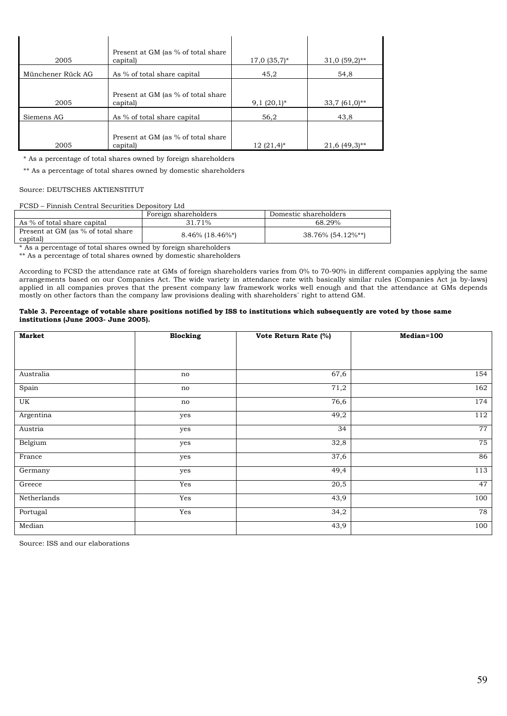| 2005              | Present at GM (as % of total share<br>capital) | $17,0$ $(35,7)^{*}$ | $31,0(59,2)$ ** |
|-------------------|------------------------------------------------|---------------------|-----------------|
| Münchener Rück AG | As % of total share capital                    | 45,2                | 54.8            |
| 2005              | Present at GM (as % of total share<br>capital) | $9,1(20,1)^*$       | $33,7(61,0)*$   |
| Siemens AG        | As % of total share capital                    | 56,2                | 43,8            |
| 2005              | Present at GM (as % of total share<br>capital) | $12(21,4)$ *        | $21.6(49.3)$ ** |

\* As a percentage of total shares owned by foreign shareholders

\*\* As a percentage of total shares owned by domestic shareholders

#### Source: DEUTSCHES AKTIENSTITUT

#### FCSD – Finnish Central Securities Depository Ltd

|                                                | Foreign shareholders | Domestic shareholders |
|------------------------------------------------|----------------------|-----------------------|
| As % of total share capital                    | 31.71%               | 68.29%                |
| Present at GM (as % of total share<br>capital) | $8.46\%$ (18.46%*)   | 38.76% (54.12%**)     |

\* As a percentage of total shares owned by foreign shareholders

\*\* As a percentage of total shares owned by domestic shareholders

According to FCSD the attendance rate at GMs of foreign shareholders varies from 0% to 70-90% in different companies applying the same arrangements based on our Companies Act. The wide variety in attendance rate with basically similar rules (Companies Act ja by-laws) applied in all companies proves that the present company law framework works well enough and that the attendance at GMs depends mostly on other factors than the company law provisions dealing with shareholders´ right to attend GM.

#### **Table 3. Percentage of votable share positions notified by ISS to institutions which subsequently are voted by those same institutions (June 2003- June 2005).**

| <b>Market</b> | <b>Blocking</b> | Vote Return Rate (%) | Median=100 |
|---------------|-----------------|----------------------|------------|
|               |                 |                      |            |
|               |                 |                      |            |
| Australia     | no              | 67,6                 | 154        |
| Spain         | no              | 71,2                 | 162        |
| UK            | no              | 76,6                 | 174        |
| Argentina     | yes             | 49,2                 | 112        |
| Austria       | yes             | 34                   | 77         |
| Belgium       | yes             | 32,8                 | 75         |
| France        | yes             | 37,6                 | 86         |
| Germany       | yes             | 49,4                 | 113        |
| Greece        | Yes             | 20,5                 | 47         |
| Netherlands   | Yes             | 43,9                 | 100        |
| Portugal      | Yes             | 34,2                 | 78         |
| Median        |                 | 43,9                 | 100        |

Source: ISS and our elaborations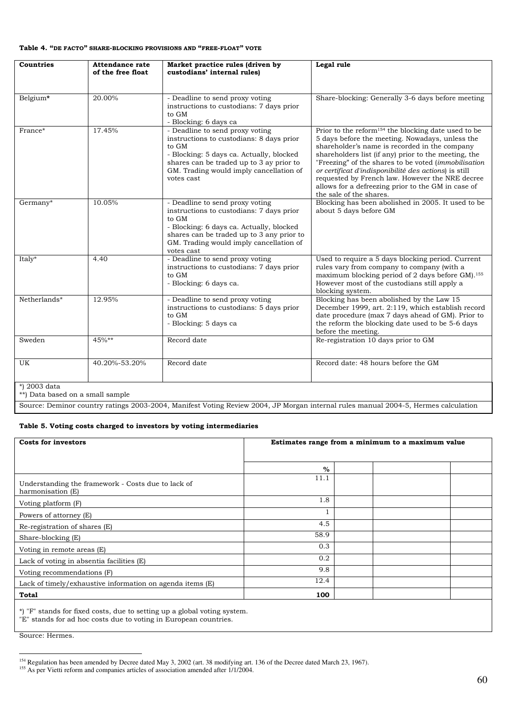#### **Table 4. "DE FACTO" SHARE-BLOCKING PROVISIONS AND "FREE-FLOAT" VOTE**

| <b>Countries</b>                                 | <b>Attendance rate</b><br>of the free float | Market practice rules (driven by<br>custodians' internal rules)                                                                                                                                                                        | Legal rule                                                                                                                                                                                                                                                                                                                                                                                                                                                                       |
|--------------------------------------------------|---------------------------------------------|----------------------------------------------------------------------------------------------------------------------------------------------------------------------------------------------------------------------------------------|----------------------------------------------------------------------------------------------------------------------------------------------------------------------------------------------------------------------------------------------------------------------------------------------------------------------------------------------------------------------------------------------------------------------------------------------------------------------------------|
| Belgium*                                         | 20.00%                                      | - Deadline to send proxy voting<br>instructions to custodians: 7 days prior<br>to GM<br>- Blocking: 6 days ca                                                                                                                          | Share-blocking: Generally 3-6 days before meeting                                                                                                                                                                                                                                                                                                                                                                                                                                |
| France*                                          | 17.45%                                      | - Deadline to send proxy voting<br>instructions to custodians: 8 days prior<br>to GM<br>- Blocking: 5 days ca. Actually, blocked<br>shares can be traded up to 3 ay prior to<br>GM. Trading would imply cancellation of<br>votes cast  | Prior to the reform <sup>154</sup> the blocking date used to be<br>5 days before the meeting. Nowadays, unless the<br>shareholder's name is recorded in the company<br>shareholders list (if any) prior to the meeting, the<br>"Freezing" of the shares to be voted (immobilisation<br>or certificat d'indisponibilité des actions) is still<br>requested by French law. However the NRE decree<br>allows for a defreezing prior to the GM in case of<br>the sale of the shares. |
| $Germany^*$                                      | 10.05%                                      | - Deadline to send proxy voting<br>instructions to custodians: 7 days prior<br>to GM<br>- Blocking: 6 days ca. Actually, blocked<br>shares can be traded up to 3 any prior to<br>GM. Trading would imply cancellation of<br>votes cast | Blocking has been abolished in 2005. It used to be<br>about 5 days before GM                                                                                                                                                                                                                                                                                                                                                                                                     |
| Italy*                                           | 4.40                                        | - Deadline to send proxy voting<br>instructions to custodians: 7 days prior<br>to GM<br>- Blocking: 6 days ca.                                                                                                                         | Used to require a 5 days blocking period. Current<br>rules vary from company to company (with a<br>maximum blocking period of 2 days before GM). <sup>155</sup><br>However most of the custodians still apply a<br>blocking system.                                                                                                                                                                                                                                              |
| Netherlands*                                     | 12.95%                                      | - Deadline to send proxy voting<br>instructions to custodians: 5 days prior<br>to GM<br>- Blocking: 5 days ca                                                                                                                          | Blocking has been abolished by the Law 15<br>December 1999, art. 2:119, which establish record<br>date procedure (max 7 days ahead of GM). Prior to<br>the reform the blocking date used to be 5-6 days<br>before the meeting.                                                                                                                                                                                                                                                   |
| Sweden                                           | 45%**                                       | Record date                                                                                                                                                                                                                            | Re-registration 10 days prior to GM                                                                                                                                                                                                                                                                                                                                                                                                                                              |
| UK                                               | 40.20%-53.20%                               | Record date                                                                                                                                                                                                                            | Record date: 48 hours before the GM                                                                                                                                                                                                                                                                                                                                                                                                                                              |
| *) 2003 data<br>**) Data based on a small sample |                                             |                                                                                                                                                                                                                                        |                                                                                                                                                                                                                                                                                                                                                                                                                                                                                  |
|                                                  |                                             |                                                                                                                                                                                                                                        | Source: Deminor country ratings 2003-2004, Manifest Voting Review 2004, JP Morgan internal rules manual 2004-5, Hermes calculation                                                                                                                                                                                                                                                                                                                                               |

### **Table 5. Voting costs charged to investors by voting intermediaries**

| Costs for investors                                                     | Estimates range from a minimum to a maximum value |  |  |
|-------------------------------------------------------------------------|---------------------------------------------------|--|--|
|                                                                         | $\%$                                              |  |  |
| Understanding the framework - Costs due to lack of<br>harmonisation (E) | 11.1                                              |  |  |
| Voting platform (F)                                                     | 1.8                                               |  |  |
| Powers of attorney (E)                                                  |                                                   |  |  |
| Re-registration of shares (E)                                           | 4.5                                               |  |  |
| Share-blocking (E)                                                      | 58.9                                              |  |  |
| Voting in remote areas (E)                                              | 0.3                                               |  |  |
| Lack of voting in absentia facilities (E)                               | 0.2                                               |  |  |
| Voting recommendations (F)                                              | 9.8                                               |  |  |
| Lack of timely/exhaustive information on agenda items (E)               | 12.4                                              |  |  |
| Total                                                                   | 100                                               |  |  |

\*) "F" stands for fixed costs, due to setting up a global voting system.

"E" stands for ad hoc costs due to voting in European countries.

Source: Hermes.

 $\overline{a}$ 

<sup>&</sup>lt;sup>154</sup> Regulation has been amended by Decree dated May 3, 2002 (art. 38 modifying art. 136 of the Decree dated March 23, 1967).

<sup>&</sup>lt;sup>155</sup> As per Vietti reform and companies articles of association amended after 1/1/2004.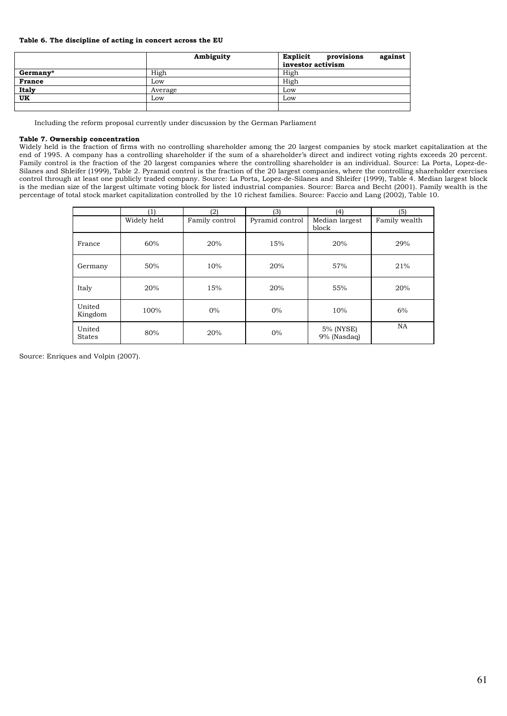#### **Table 6. The discipline of acting in concert across the EU**

|               | Ambiguity | Explicit<br>provisions<br>against |
|---------------|-----------|-----------------------------------|
|               |           | investor activism                 |
| Germany*      | High      | High                              |
| <b>France</b> | Low       | High                              |
| Italy         | Average   | Low                               |
| UK            | Low       | Low                               |
|               |           |                                   |

Including the reform proposal currently under discussion by the German Parliament

#### **Table 7. Ownership concentration**

Widely held is the fraction of firms with no controlling shareholder among the 20 largest companies by stock market capitalization at the end of 1995. A company has a controlling shareholder if the sum of a shareholder's direct and indirect voting rights exceeds 20 percent. Family control is the fraction of the 20 largest companies where the controlling shareholder is an individual. Source: La Porta, Lopez-de-Silanes and Shleifer (1999), Table 2. Pyramid control is the fraction of the 20 largest companies, where the controlling shareholder exercises control through at least one publicly traded company. Source: La Porta, Lopez-de-Silanes and Shleifer (1999), Table 4. Median largest block is the median size of the largest ultimate voting block for listed industrial companies. Source: Barca and Becht (2001). Family wealth is the percentage of total stock market capitalization controlled by the 10 richest families. Source: Faccio and Lang (2002), Table 10.

|                         | $\left( 1\right)$ | (2)            | (3)             | (4)                      | (5)           |
|-------------------------|-------------------|----------------|-----------------|--------------------------|---------------|
|                         | Widely held       | Family control | Pyramid control | Median largest<br>block  | Family wealth |
| France                  | 60%               | 20%            | 15%             | 20%                      | 29%           |
| Germany                 | 50%               | 10%            | 20%             | 57%                      | 21%           |
| Italy                   | 20%               | 15%            | 20%             | 55%                      | 20%           |
| United<br>Kingdom       | 100%              | $0\%$          | $0\%$           | 10%                      | 6%            |
| United<br><b>States</b> | 80%               | 20%            | $0\%$           | 5% (NYSE)<br>9% (Nasdaq) | NA            |

Source: Enriques and Volpin (2007).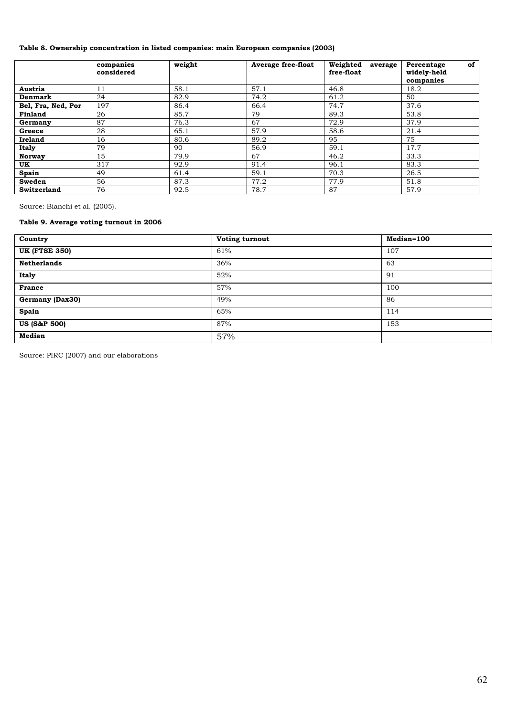### **Table 8. Ownership concentration in listed companies: main European companies (2003)**

|                    | companies<br>considered | weight | <b>Average free-float</b> | Weighted<br>average<br>free-float | of<br>Percentage<br>widely-held<br>companies |  |
|--------------------|-------------------------|--------|---------------------------|-----------------------------------|----------------------------------------------|--|
| Austria            | 11                      | 58.1   | 57.1                      | 46.8                              | 18.2                                         |  |
| Denmark            | 24                      | 82.9   | 74.2                      | 61.2                              | 50                                           |  |
| Bel, Fra, Ned, Por | 197                     | 86.4   | 66.4                      | 74.7                              | 37.6                                         |  |
| Finland            | 26                      | 85.7   | 79                        | 89.3                              | 53.8<br>37.9                                 |  |
| Germany            | 87                      | 76.3   | 67                        | 72.9                              |                                              |  |
| Greece             | 28                      | 65.1   | 57.9                      | 58.6                              | 21.4                                         |  |
| <b>Ireland</b>     | 16                      | 80.6   | 89.2                      | 95                                | 75                                           |  |
| Italy              | 79                      | 90     | 56.9                      | 59.1                              | 17.7                                         |  |
| <b>Norway</b>      | 15                      | 79.9   | 67                        | 46.2                              | 33.3                                         |  |
| UK                 | 317                     | 92.9   | 91.4                      | 96.1                              | 83.3                                         |  |
| Spain              | 49                      | 61.4   | 59.1                      | 70.3                              | 26.5                                         |  |
| Sweden             | 56                      | 87.3   | 77.2                      | 77.9                              | 51.8                                         |  |
| Switzerland        | 76                      | 92.5   | 78.7                      | 87                                | 57.9                                         |  |

Source: Bianchi et al. (2005).

### **Table 9. Average voting turnout in 2006**

| Country                 | Voting turnout | Median=100 |
|-------------------------|----------------|------------|
| <b>UK (FTSE 350)</b>    | 61%            | 107        |
| <b>Netherlands</b>      | 36%            | 63         |
| <b>Italy</b>            | 52%            | 91         |
| <b>France</b>           | 57%            | 100        |
| Germany (Dax30)         | 49%            | 86         |
| Spain                   | 65%            | 114        |
| <b>US (S&amp;P 500)</b> | 87%            | 153        |
| <b>Median</b>           | 57%            |            |

Source: PIRC (2007) and our elaborations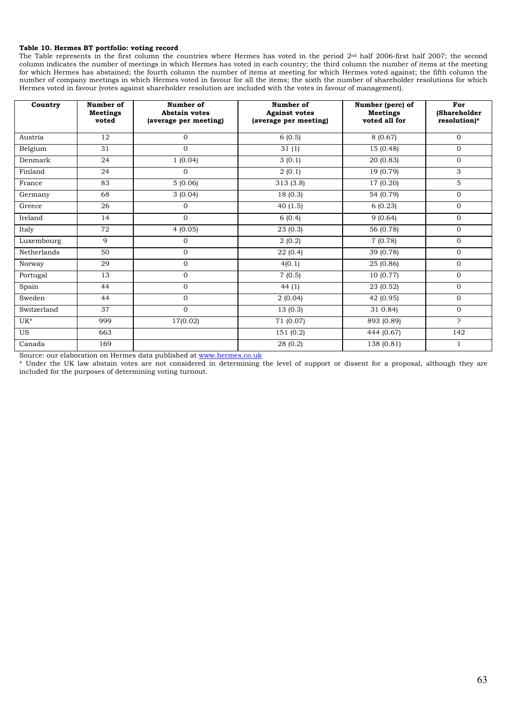#### **Table 10. Hermes BT portfolio: voting record**

The Table represents in the first column the countries where Hermes has voted in the period 2nd half 2006-first half 2007; the second column indicates the number of meetings in which Hermes has voted in each country; the third column the number of items at the meeting for which Hermes has abstained; the fourth column the number of items at meeting for which Hermes voted against; the fifth column the number of company meetings in which Hermes voted in favour for all the items; the sixth the number of shareholder resolutions for which Hermes voted in favour (votes against shareholder resolution are included with the votes in favour of management).

| Country     | Number of<br><b>Meetings</b><br>voted | Number of<br><b>Abstain votes</b><br>(average per meeting) | Number of<br><b>Against votes</b><br>(average per meeting) | Number (perc) of<br><b>Meetings</b><br>voted all for | For<br>(Shareholder<br>resolution)* |
|-------------|---------------------------------------|------------------------------------------------------------|------------------------------------------------------------|------------------------------------------------------|-------------------------------------|
| Austria     | 12                                    | $\mathbf{0}$                                               | 6(0.5)                                                     | 8(0.67)                                              | $\Omega$                            |
| Belgium     | 31                                    | $\Omega$                                                   | 31(1)                                                      | 15 (0.48)                                            | $\Omega$                            |
| Denmark     | 24                                    | 1(0.04)                                                    | 3(0.1)                                                     | 20 (0.83)                                            | $\mathbf{0}$                        |
| Finland     | 24                                    | $\Omega$                                                   | 2(0.1)                                                     | 19(0.79)                                             | 3                                   |
| France      | 83                                    | 5(0.06)                                                    | $\overline{31}3(3.8)$                                      | 17 (0.20)                                            | 5                                   |
| Germany     | 68                                    | 3(0.04)                                                    | 18(0.3)                                                    | 54 (0.79)                                            | $\mathbf{0}$                        |
| Greece      | 26                                    | $\mathbf{0}$                                               | 40(1.5)                                                    | 6(0.23)                                              | $\overline{0}$                      |
| Ireland     | 14                                    | $\mathbf{0}$                                               | 6(0.4)                                                     | 9(0.64)                                              | $\mathbf{0}$                        |
| Italy       | 72                                    | 4(0.05)                                                    | 23(0.3)                                                    | 56 (0.78)                                            | $\mathbf{0}$                        |
| Luxembourg  | 9                                     | $\overline{0}$                                             | 2(0.2)                                                     | 7(0.78)                                              | $\overline{0}$                      |
| Netherlands | 50                                    | $\mathbf{O}$                                               | 22(0.4)                                                    | 39 (0.78)                                            | $\mathbf{0}$                        |
| Norway      | 29                                    | $\overline{0}$                                             | 4(0.1)                                                     | 25(0.86)                                             | $\mathbf{0}$                        |
| Portugal    | 13                                    | $\mathbf{O}$                                               | 7(0.5)                                                     | 10(0.77)                                             | $\mathbf{0}$                        |
| Spain       | 44                                    | $\mathbf 0$                                                | 44(1)                                                      | 23(0.52)                                             | $\mathbf{0}$                        |
| Sweden      | 44                                    | $\mathbf{0}$                                               | 2(0.04)                                                    | 42 (0.95)                                            | $\mathbf{0}$                        |
| Switzerland | 37                                    | $\mathbf{O}$                                               | 13(0.3)                                                    | 31 0.84)                                             | $\Omega$                            |
| $UK^*$      | 999                                   | 17(0.02)                                                   | 71 (0.07)                                                  | 893 (0.89)                                           | S.                                  |
| <b>US</b>   | 663                                   |                                                            | 151 (0.2)                                                  | 444 (0.67)                                           | 142                                 |
| Canada      | 169                                   |                                                            | 28 (0.2)                                                   | 138 (0.81)                                           | 1                                   |

Source: our elaboration on Hermes data published at www.hermes.co.uk

\* Under the UK law abstain votes are not considered in determining the level of support or dissent for a proposal, although they are included for the purposes of determining voting turnout.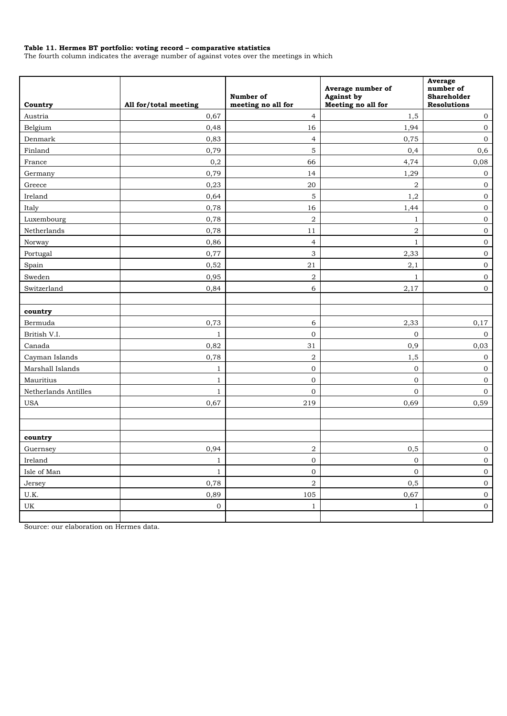#### **Table 11. Hermes BT portfolio: voting record – comparative statistics**

The fourth column indicates the average number of against votes over the meetings in which

| Country              | All for/total meeting | Number of<br>meeting no all for | Average number of<br><b>Against by</b><br>Meeting no all for | Average<br>number of<br><b>Shareholder</b><br><b>Resolutions</b> |
|----------------------|-----------------------|---------------------------------|--------------------------------------------------------------|------------------------------------------------------------------|
| Austria              | 0,67                  | $\overline{4}$                  | 1,5                                                          | $\bf{0}$                                                         |
| Belgium              | 0,48                  | 16                              | 1,94                                                         | $\mathbf 0$                                                      |
| Denmark              | 0,83                  | $\overline{4}$                  | 0,75                                                         | $\mathbf 0$                                                      |
| Finland              | 0,79                  | 5                               | 0,4                                                          | 0,6                                                              |
| France               | $_{0,2}$              | 66                              | 4,74                                                         | 0,08                                                             |
| Germany              | 0,79                  | 14                              | 1,29                                                         | $\mathbf 0$                                                      |
| Greece               | 0,23                  | 20                              | $\,2$                                                        | $\mathbf 0$                                                      |
| Ireland              | 0,64                  | 5                               | 1,2                                                          | $\mathbf 0$                                                      |
| Italy                | 0,78                  | 16                              | 1,44                                                         | $\mathbf 0$                                                      |
| Luxembourg           | 0,78                  | $\,2$                           | $\mathbf{1}$                                                 | $\mathbf 0$                                                      |
| Netherlands          | 0,78                  | 11                              | $\,2$                                                        | $\mathbf 0$                                                      |
| Norway               | 0,86                  | $\overline{4}$                  | $\mathbf{1}$                                                 | $\mathbf 0$                                                      |
| Portugal             | 0,77                  | 3                               | 2,33                                                         | $\mathbf 0$                                                      |
| Spain                | 0,52                  | 21                              | 2,1                                                          | $\boldsymbol{0}$                                                 |
| Sweden               | 0,95                  | $\overline{2}$                  | $\mathbf{1}$                                                 | $\mathbf 0$                                                      |
| Switzerland          | 0,84                  | 6                               | 2,17                                                         | $\mathbf 0$                                                      |
|                      |                       |                                 |                                                              |                                                                  |
| country              |                       |                                 |                                                              |                                                                  |
| Bermuda              | 0,73                  | 6                               | 2,33                                                         | 0,17                                                             |
| British V.I.         | $\mathbf{1}$          | $\mathbf{0}$                    | $\overline{0}$                                               | $\boldsymbol{0}$                                                 |
| Canada               | 0,82                  | 31                              | $_{0,9}$                                                     | 0,03                                                             |
| Cayman Islands       | 0,78                  | $\,2$                           | 1,5                                                          | $\mathbf 0$                                                      |
| Marshall Islands     | 1                     | $\mathbf{0}$                    | $\mathbf 0$                                                  | $\mathbf 0$                                                      |
| Mauritius            | $\mathbf{1}$          | $\mathbf{0}$                    | $\overline{0}$                                               | $\mathbf 0$                                                      |
| Netherlands Antilles | 1                     | 0                               | $\mathbf{0}$                                                 | $\overline{0}$                                                   |
| <b>USA</b>           | 0,67                  | 219                             | 0,69                                                         | 0,59                                                             |
|                      |                       |                                 |                                                              |                                                                  |
| country              |                       |                                 |                                                              |                                                                  |
| Guernsey             | 0,94                  | $\boldsymbol{2}$                | 0, 5                                                         | $\boldsymbol{0}$                                                 |
| Ireland              | $\mathbf{1}$          | $\boldsymbol{0}$                | $\boldsymbol{0}$                                             | $\boldsymbol{0}$                                                 |
| Isle of Man          | $\mathbf{1}$          | $\boldsymbol{0}$                | $\mathbf 0$                                                  | $\boldsymbol{0}$                                                 |
| Jersey               | 0,78                  | $\,2$                           | 0,5                                                          | $\boldsymbol{0}$                                                 |
| U.K.                 | 0,89                  | 105                             | 0,67                                                         | $\boldsymbol{0}$                                                 |
| UK                   | $\boldsymbol{0}$      | $\mathbf{1}$                    | $\mathbf{1}$                                                 | $\overline{0}$                                                   |
|                      |                       |                                 |                                                              |                                                                  |

Source: our elaboration on Hermes data.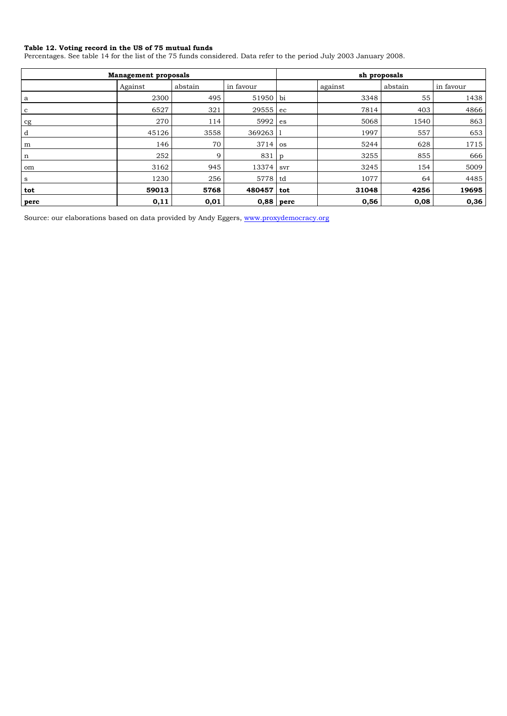#### **Table 12. Voting record in the US of 75 mutual funds**

Percentages. See table 14 for the list of the 75 funds considered. Data refer to the period July 2003 January 2008.

|      | <b>Management proposals</b> |         | sh proposals |              |         |         |           |  |
|------|-----------------------------|---------|--------------|--------------|---------|---------|-----------|--|
|      | Against                     | abstain | in favour    |              | against | abstain | in favour |  |
| a    | 2300                        | 495     | 51950 bi     |              | 3348    | 55      | 1438      |  |
| c    | 6527                        | 321     | 29555 ec     |              | 7814    | 403     | 4866      |  |
| cg   | 270                         | 114     | 5992         | es           | 5068    | 1540    | 863       |  |
| d    | 45126                       | 3558    | 369263   1   |              | 1997    | 557     | 653       |  |
| m    | 146                         | 70      | $3714$ os    |              | 5244    | 628     | 1715      |  |
| n    | 252                         | 9       | 831          | $\mathbf{p}$ | 3255    | 855     | 666       |  |
| om   | 3162                        | 945     | 13374        | svr          | 3245    | 154     | 5009      |  |
| s    | 1230                        | 256     | 5778 td      |              | 1077    | 64      | 4485      |  |
| tot  | 59013                       | 5768    | 480457       | tot          | 31048   | 4256    | 19695     |  |
| perc | 0,11                        | 0,01    | $0,88$ perc  |              | 0,56    | 0,08    | 0,36      |  |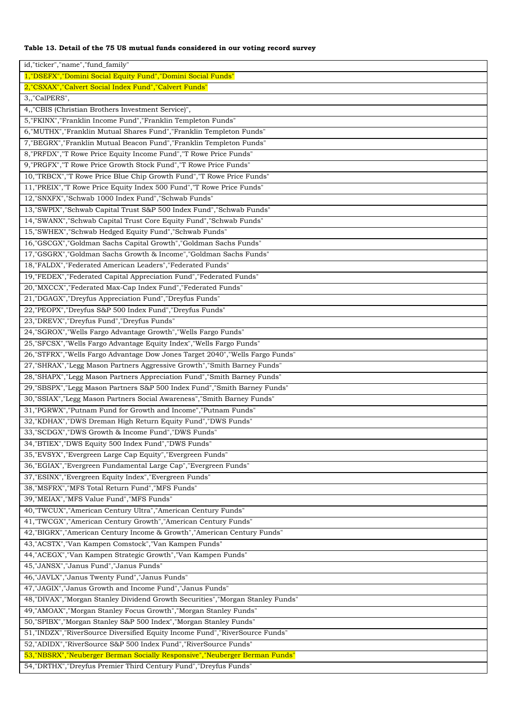### **Table 13. Detail of the 75 US mutual funds considered in our voting record survey**

| id,"ticker","name","fund_family"                                                                                                              |
|-----------------------------------------------------------------------------------------------------------------------------------------------|
| 1,"DSEFX","Domini Social Equity Fund","Domini Social Funds"                                                                                   |
| 2, "CSXAX", "Calvert Social Index Fund", "Calvert Funds"                                                                                      |
| 3,,"CalPERS",                                                                                                                                 |
| 4, "CBIS (Christian Brothers Investment Service)",                                                                                            |
| 5, "FKINX", "Franklin Income Fund", "Franklin Templeton Funds"                                                                                |
| 6, "MUTHX", "Franklin Mutual Shares Fund", "Franklin Templeton Funds"                                                                         |
| 7, "BEGRX", "Franklin Mutual Beacon Fund", "Franklin Templeton Funds"                                                                         |
| 8, "PRFDX", "T Rowe Price Equity Income Fund", "T Rowe Price Funds"                                                                           |
| 9, "PRGFX", "T Rowe Price Growth Stock Fund", "T Rowe Price Funds"                                                                            |
| 10,"TRBCX","T Rowe Price Blue Chip Growth Fund","T Rowe Price Funds"                                                                          |
| 11,"PREIX","T Rowe Price Equity Index 500 Fund","T Rowe Price Funds"                                                                          |
| 12,"SNXFX","Schwab 1000 Index Fund","Schwab Funds"                                                                                            |
| 13,"SWPIX","Schwab Capital Trust S&P 500 Index Fund","Schwab Funds"                                                                           |
| 14, "SWANX", "Schwab Capital Trust Core Equity Fund", "Schwab Funds"                                                                          |
| 15, "SWHEX", "Schwab Hedged Equity Fund", "Schwab Funds"                                                                                      |
| 16,"GSCGX","Goldman Sachs Capital Growth","Goldman Sachs Funds"                                                                               |
| 17,"GSGRX","Goldman Sachs Growth & Income","Goldman Sachs Funds"                                                                              |
| 18, "FALDX", "Federated American Leaders", "Federated Funds"                                                                                  |
| 19, "FEDEX", "Federated Capital Appreciation Fund", "Federated Funds"                                                                         |
| 20, "MXCCX", "Federated Max-Cap Index Fund", "Federated Funds"                                                                                |
| 21, "DGAGX", "Dreyfus Appreciation Fund", "Dreyfus Funds"                                                                                     |
| 22, "PEOPX", "Dreyfus S&P 500 Index Fund", "Dreyfus Funds"                                                                                    |
| 23, "DREVX", "Dreyfus Fund", "Dreyfus Funds"                                                                                                  |
| 24, "SGROX", "Wells Fargo Advantage Growth", "Wells Fargo Funds"                                                                              |
| 25, "SFCSX", "Wells Fargo Advantage Equity Index", "Wells Fargo Funds"                                                                        |
| 26,"STFRX","Wells Fargo Advantage Dow Jones Target 2040","Wells Fargo Funds"                                                                  |
| 27, "SHRAX", "Legg Mason Partners Aggressive Growth", "Smith Barney Funds"                                                                    |
|                                                                                                                                               |
| 28, "SHAPX", "Legg Mason Partners Appreciation Fund", "Smith Barney Funds"                                                                    |
| 29, "SBSPX", "Legg Mason Partners S&P 500 Index Fund", "Smith Barney Funds"                                                                   |
| 30, "SSIAX", "Legg Mason Partners Social Awareness", "Smith Barney Funds"<br>31, "PGRWX", "Putnam Fund for Growth and Income", "Putnam Funds" |
|                                                                                                                                               |
| 32, "KDHAX", "DWS Dreman High Return Equity Fund", "DWS Funds"                                                                                |
| 33, "SCDGX", "DWS Growth & Income Fund", "DWS Funds"                                                                                          |
| 34, "BTIEX", "DWS Equity 500 Index Fund", "DWS Funds"                                                                                         |
| 35, "EVSYX", "Evergreen Large Cap Equity", "Evergreen Funds"                                                                                  |
| 36, "EGIAX", "Evergreen Fundamental Large Cap", "Evergreen Funds"                                                                             |
| 37, "ESINX", "Evergreen Equity Index", "Evergreen Funds"                                                                                      |
| 38, "MSFRX", "MFS Total Return Fund", "MFS Funds"                                                                                             |
| 39, "MEIAX", "MFS Value Fund", "MFS Funds"                                                                                                    |
| 40, "TWCUX", "American Century Ultra", "American Century Funds"                                                                               |
| 41, "TWCGX", "American Century Growth", "American Century Funds"                                                                              |
| 42, "BIGRX", "American Century Income & Growth", "American Century Funds"                                                                     |
| 43,"ACSTX","Van Kampen Comstock","Van Kampen Funds"                                                                                           |
| 44,"ACEGX","Van Kampen Strategic Growth","Van Kampen Funds"                                                                                   |
| 45, "JANSX", "Janus Fund", "Janus Funds"                                                                                                      |
| 46,"JAVLX","Janus Twenty Fund","Janus Funds"                                                                                                  |
| 47,"JAGIX","Janus Growth and Income Fund","Janus Funds"                                                                                       |
| 48,"DIVAX","Morgan Stanley Dividend Growth Securities","Morgan Stanley Funds"                                                                 |
| 49,"AMOAX","Morgan Stanley Focus Growth","Morgan Stanley Funds"                                                                               |
| 50,"SPIBX","Morgan Stanley S&P 500 Index","Morgan Stanley Funds"                                                                              |
| 51, "INDZX", "RiverSource Diversified Equity Income Fund", "RiverSource Funds"                                                                |
| 52, "ADIDX", "RiverSource S&P 500 Index Fund", "RiverSource Funds"                                                                            |
| 53, "NBSRX", "Neuberger Berman Socially Responsive", "Neuberger Berman Funds"                                                                 |
| 54, "DRTHX", "Dreyfus Premier Third Century Fund", "Dreyfus Funds"                                                                            |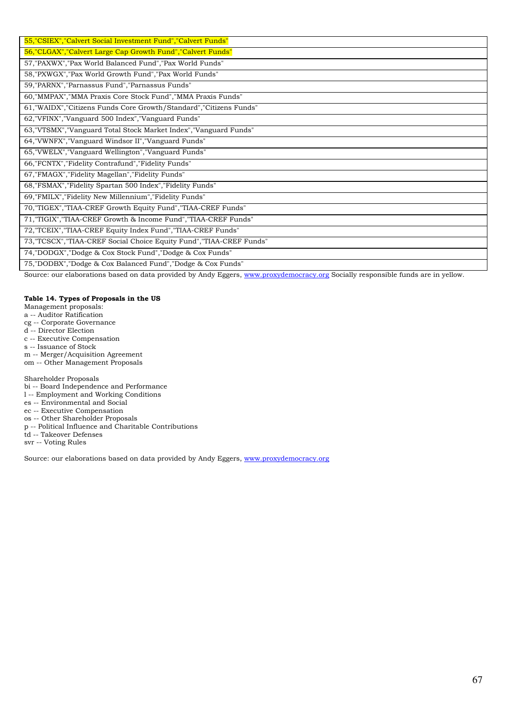| 55, "CSIEX", "Calvert Social Investment Fund", "Calvert Funds"        |
|-----------------------------------------------------------------------|
| 56, "CLGAX", "Calvert Large Cap Growth Fund", "Calvert Funds"         |
| 57, "PAXWX", "Pax World Balanced Fund", "Pax World Funds"             |
| 58, "PXWGX", "Pax World Growth Fund", "Pax World Funds"               |
| 59, "PARNX", "Parnassus Fund", "Parnassus Funds"                      |
| 60, "MMPAX", "MMA Praxis Core Stock Fund", "MMA Praxis Funds"         |
| 61, "WAIDX", "Citizens Funds Core Growth/Standard", "Citizens Funds"  |
| 62, "VFINX", "Vanguard 500 Index", "Vanguard Funds"                   |
| 63, "VTSMX", "Vanguard Total Stock Market Index", "Vanguard Funds"    |
| 64, "VWNFX", "Vanguard Windsor II", "Vanguard Funds"                  |
| 65, "VWELX", "Vanguard Wellington", "Vanguard Funds"                  |
| 66, "FCNTX", "Fidelity Contrafund", "Fidelity Funds"                  |
| 67, "FMAGX", "Fidelity Magellan", "Fidelity Funds"                    |
| 68, "FSMAX", "Fidelity Spartan 500 Index", "Fidelity Funds"           |
| 69,"FMILX","Fidelity New Millennium","Fidelity Funds"                 |
| 70, "TIGEX", "TIAA-CREF Growth Equity Fund", "TIAA-CREF Funds"        |
| 71, "TIGIX", "TIAA-CREF Growth & Income Fund", "TIAA-CREF Funds"      |
| 72, "TCEIX", "TIAA-CREF Equity Index Fund", "TIAA-CREF Funds"         |
| 73, "TCSCX", "TIAA-CREF Social Choice Equity Fund", "TIAA-CREF Funds" |
| 74, "DODGX", "Dodge & Cox Stock Fund", "Dodge & Cox Funds"            |
| 75, "DODBX", "Dodge & Cox Balanced Fund", "Dodge & Cox Funds"         |

Source: our elaborations based on data provided by Andy Eggers, www.proxydemocracy.org Socially responsible funds are in yellow.

#### **Table 14. Types of Proposals in the US**

Management proposals:

a -- Auditor Ratification

- cg -- Corporate Governance
- d -- Director Election

c -- Executive Compensation

s -- Issuance of Stock

m -- Merger/Acquisition Agreement

om -- Other Management Proposals

Shareholder Proposals

bi -- Board Independence and Performance

l -- Employment and Working Conditions

es -- Environmental and Social

ec -- Executive Compensation

os -- Other Shareholder Proposals

p -- Political Influence and Charitable Contributions

td -- Takeover Defenses

svr -- Voting Rules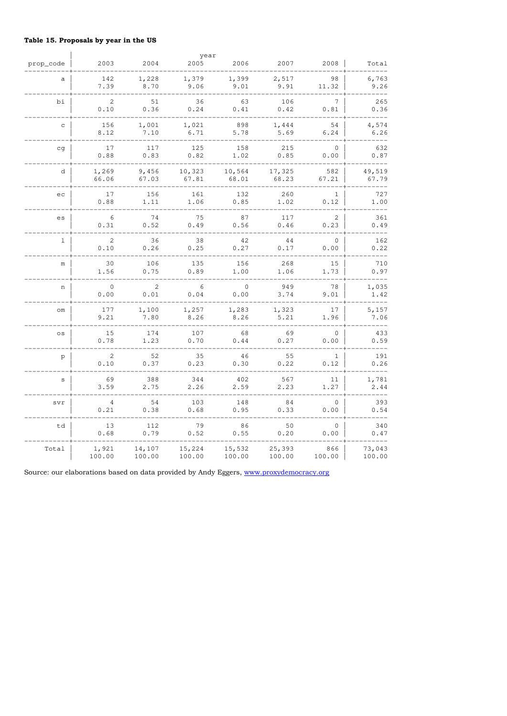## **Table 15. Proposals by year in the US**

|              |                |        | year     |             |        |                |        |
|--------------|----------------|--------|----------|-------------|--------|----------------|--------|
| prop_code    | 2003           | 2004   | 2005     | 2006        | 2007   | 2008           | Total  |
| a            | 142            | 1,228  | 1,379    | 1,399       | 2,517  | 98             | 6,763  |
|              | 7.39           | 8.70   | 9.06     | 9.01        | 9.91   | 11.32          | 9.26   |
| bi           | $\overline{c}$ | 51     | 36       | 63          | 106    | $\overline{7}$ | 265    |
|              | 0.10           | 0.36   | 0.24     | 0.41        | 0.42   | 0.81           | 0.36   |
| $\mathtt{C}$ | 156            | 1,001  | 1,021    | 898         | 1,444  | 54             | 4,574  |
|              | 8.12           | 7.10   | 6.71     | 5.78        | 5.69   | 6.24           | 6.26   |
| cq           | 17             | 117    | 125      | 158         | 215    | $\circ$        | 632    |
|              | 0.88           | 0.83   | 0.82     | 1.02        | 0.85   | 0.00           | 0.87   |
| d            | 1,269          | 9,456  | 10,323   | 10,564      | 17,325 | 582            | 49,519 |
|              | 66.06          | 67.03  | 67.81    | 68.01       | 68.23  | 67.21          | 67.79  |
| ec           | 17             | 156    | 161      | 132         | 260    | $\mathbf{1}$   | 727    |
|              | 0.88           | 1.11   | 1.06     | 0.85        | 1.02   | 0.12           | 1.00   |
| es           | 6              | 74     | 75       | 87          | 117    | 2              | 361    |
|              | 0.31           | 0.52   | $0.49\,$ | 0.56        | 0.46   | 0.23           | 0.49   |
| $\mathbf{1}$ | $\overline{c}$ | 36     | 38       | 42          | 44     | $\circ$        | 162    |
|              | 0.10           | 0.26   | 0.25     | 0.27        | 0.17   | 0.00           | 0.22   |
| m            | 30             | 106    | 135      | 156         | 268    | 15             | 710    |
|              | 1.56           | 0.75   | 0.89     | 1.00        | 1.06   | 1.73           | 0.97   |
| n            | $\circ$        | 2      | 6        | $\mathbf 0$ | 949    | 78             | 1,035  |
|              | 0.00           | 0.01   | 0.04     | 0.00        | 3.74   | 9.01           | 1.42   |
| om           | 177            | 1,100  | 1,257    | 1,283       | 1,323  | 17             | 5,157  |
|              | 9.21           | 7.80   | 8.26     | 8.26        | 5.21   | 1.96           | 7.06   |
| os           | 15             | 174    | 107      | 68          | 69     | $\circ$        | 433    |
|              | 0.78           | 1.23   | 0.70     | 0.44        | 0.27   | 0.00           | 0.59   |
| p            | $\mathbf{2}$   | 52     | 35       | 46          | 55     | $\mathbf{1}$   | 191    |
|              | 0.10           | 0.37   | 0.23     | 0.30        | 0.22   | 0.12           | 0.26   |
| $\mathtt{s}$ | 69             | 388    | 344      | 402         | 567    | 11             | 1,781  |
|              | 3.59           | 2.75   | 2.26     | 2.59        | 2.23   | 1.27           | 2.44   |
| svr          | 4              | 54     | 103      | 148         | 84     | 0              | 393    |
|              | 0.21           | 0.38   | 0.68     | 0.95        | 0.33   | 0.00           | 0.54   |
| td           | 13             | 112    | 79       | 86          | 50     | $\mathbf{0}$   | 340    |
|              | 0.68           | 0.79   | 0.52     | 0.55        | 0.20   | 0.00           | 0.47   |
| Total        | 1,921          | 14,107 | 15,224   | 15,532      | 25,393 | 866            | 73,043 |
|              | 100.00         | 100.00 | 100.00   | 100.00      | 100.00 | 100.00         | 100.00 |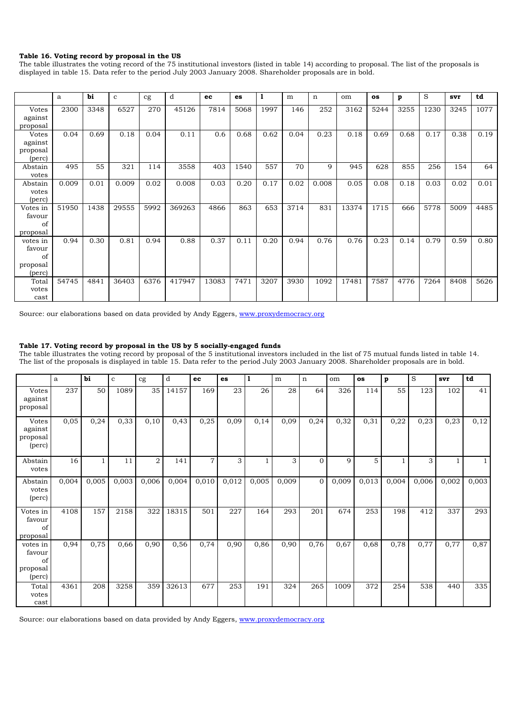### **Table 16. Voting record by proposal in the US**

The table illustrates the voting record of the 75 institutional investors (listed in table 14) according to proposal. The list of the proposals is displayed in table 15. Data refer to the period July 2003 January 2008. Shareholder proposals are in bold.

|                    | a     | bi   | $\mathbf{c}$ | cg   | d      | ec    | es   | 1    | m    | n     | om    | <b>OS</b> | p    | S    | svr  | td   |
|--------------------|-------|------|--------------|------|--------|-------|------|------|------|-------|-------|-----------|------|------|------|------|
| Votes<br>against   | 2300  | 3348 | 6527         | 270  | 45126  | 7814  | 5068 | 1997 | 146  | 252   | 3162  | 5244      | 3255 | 1230 | 3245 | 1077 |
| proposal           |       |      |              |      |        |       |      |      |      |       |       |           |      |      |      |      |
| <b>Votes</b>       | 0.04  | 0.69 | 0.18         | 0.04 | 0.11   | 0.6   | 0.68 | 0.62 | 0.04 | 0.23  | 0.18  | 0.69      | 0.68 | 0.17 | 0.38 | 0.19 |
| against            |       |      |              |      |        |       |      |      |      |       |       |           |      |      |      |      |
| proposal<br>(perc) |       |      |              |      |        |       |      |      |      |       |       |           |      |      |      |      |
| Abstain<br>votes   | 495   | 55   | 321          | 114  | 3558   | 403   | 1540 | 557  | 70   | 9     | 945   | 628       | 855  | 256  | 154  | 64   |
| Abstain            | 0.009 | 0.01 | 0.009        | 0.02 | 0.008  | 0.03  | 0.20 | 0.17 | 0.02 | 0.008 | 0.05  | 0.08      | 0.18 | 0.03 | 0.02 | 0.01 |
| votes<br>(perc)    |       |      |              |      |        |       |      |      |      |       |       |           |      |      |      |      |
| Votes in           | 51950 | 1438 | 29555        | 5992 | 369263 | 4866  | 863  | 653  | 3714 | 831   | 13374 | 1715      | 666  | 5778 | 5009 | 4485 |
| favour             |       |      |              |      |        |       |      |      |      |       |       |           |      |      |      |      |
| of<br>proposal     |       |      |              |      |        |       |      |      |      |       |       |           |      |      |      |      |
| votes in           | 0.94  | 0.30 | 0.81         | 0.94 | 0.88   | 0.37  | 0.11 | 0.20 | 0.94 | 0.76  | 0.76  | 0.23      | 0.14 | 0.79 | 0.59 | 0.80 |
| favour             |       |      |              |      |        |       |      |      |      |       |       |           |      |      |      |      |
| of                 |       |      |              |      |        |       |      |      |      |       |       |           |      |      |      |      |
| proposal<br>(perc) |       |      |              |      |        |       |      |      |      |       |       |           |      |      |      |      |
| Total              | 54745 | 4841 | 36403        | 6376 | 417947 | 13083 | 7471 | 3207 | 3930 | 1092  | 17481 | 7587      | 4776 | 7264 | 8408 | 5626 |
| votes              |       |      |              |      |        |       |      |      |      |       |       |           |      |      |      |      |
| cast               |       |      |              |      |        |       |      |      |      |       |       |           |      |      |      |      |

Source: our elaborations based on data provided by Andy Eggers, www.proxydemocracy.org

### **Table 17. Voting record by proposal in the US by 5 socially-engaged funds**

The table illustrates the voting record by proposal of the 5 institutional investors included in the list of 75 mutual funds listed in table 14. The list of the proposals is displayed in table 15. Data refer to the period July 2003 January 2008. Shareholder proposals are in bold.

|                                                      | a     | bi    | $\mathbf c$ | cg             | d     | ec             | es    | 11    | m     | n              | om    | os    | $\mathbf{p}$ | <sub>S</sub> | svr   | td    |
|------------------------------------------------------|-------|-------|-------------|----------------|-------|----------------|-------|-------|-------|----------------|-------|-------|--------------|--------------|-------|-------|
| Votes<br>against<br>proposal                         | 237   | 50    | 1089        | 35             | 14157 | 169            | 23    | 26    | 28    | 64             | 326   | 114   | 55           | 123          | 102   | 41    |
| <b>Votes</b><br>against<br>proposal<br>(perc)        | 0,05  | 0,24  | 0,33        | 0,10           | 0,43  | 0,25           | 0,09  | 0,14  | 0,09  | 0,24           | 0,32  | 0,31  | 0,22         | 0,23         | 0,23  | 0,12  |
| Abstain<br>votes                                     | 16    |       | 11          | $\overline{2}$ | 141   | $\overline{7}$ | 3     |       | 3     | $\overline{0}$ | 9     | 5     |              | 3            |       | 1     |
| Abstain<br>votes<br>(perc)                           | 0,004 | 0,005 | 0,003       | 0,006          | 0,004 | 0,010          | 0,012 | 0,005 | 0,009 | $\overline{0}$ | 0,009 | 0,013 | 0,004        | 0,006        | 0,002 | 0,003 |
| Votes in<br>favour<br>of<br>proposal                 | 4108  | 157   | 2158        | 322            | 18315 | 501            | 227   | 164   | 293   | 201            | 674   | 253   | 198          | 412          | 337   | 293   |
| $\rm votes$ in<br>favour<br>of<br>proposal<br>(perc) | 0,94  | 0,75  | 0,66        | 0,90           | 0,56  | 0,74           | 0,90  | 0,86  | 0,90  | 0,76           | 0,67  | 0,68  | 0,78         | 0,77         | 0,77  | 0,87  |
| Total<br>votes<br>cast                               | 4361  | 208   | 3258        | 359            | 32613 | 677            | 253   | 191   | 324   | 265            | 1009  | 372   | 254          | 538          | 440   | 335   |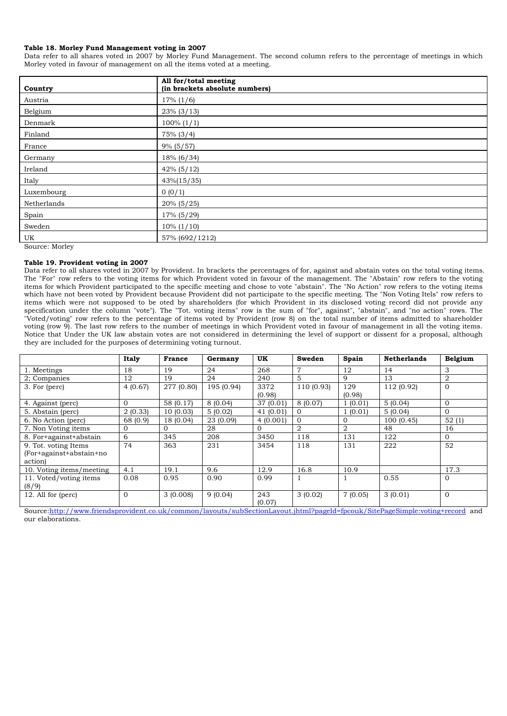#### **Table 18. Morley Fund Management voting in 2007**

Data refer to all shares voted in 2007 by Morley Fund Management. The second column refers to the percentage of meetings in which Morley voted in favour of management on all the items voted at a meeting.

| Country               | All for/total meeting<br>(in brackets absolute numbers) |
|-----------------------|---------------------------------------------------------|
| Austria               | $17\%$ (1/6)                                            |
| Belgium               | $23\%$ (3/13)                                           |
| Denmark               | $100\% (1/1)$                                           |
| Finland               | $75\%$ (3/4)                                            |
| France                | $9\%$ (5/57)                                            |
| Germany               | $18\% (6/34)$                                           |
| Ireland               | $42\%$ (5/12)                                           |
| Italy                 | $43\%(15/35)$                                           |
| Luxembourg            | 0(0/1)                                                  |
| Netherlands           | $20\%$ (5/25)                                           |
| Spain                 | 17% (5/29)                                              |
| Sweden                | $10\% (1/10)$                                           |
| UK<br>$\sim$<br>$  -$ | 57% (692/1212)                                          |

Source: Morley

#### **Table 19. Provident voting in 2007**

Data refer to all shares voted in 2007 by Provident. In brackets the percentages of for, against and abstain votes on the total voting items. The "For" row refers to the voting items for which Provident voted in favour of the management. The "Abstain" row refers to the voting items for which Provident participated to the specific meeting and chose to vote "abstain". The "No Action" row refers to the voting items which have not been voted by Provident because Provident did not participate to the specific meeting. The "Non Voting Itels" row refers to items which were not supposed to be oted by shareholders (for which Provident in its disclosed voting record did not provide any specification under the column "vote"). The "Tot. voting items" row is the sum of "for", against", "abstain", and "no action" rows. The "Voted/voting" row refers to the percentage of items voted by Provident (row 8) on the total number of items admitted to shareholder voting (row 9). The last row refers to the number of meetings in which Provident voted in favour of management in all the voting items. Notice that Under the UK law abstain votes are not considered in determining the level of support or dissent for a proposal, although they are included for the purposes of determining voting turnout.

|                          | <b>Italy</b> | <b>France</b> | Germany    | <b>UK</b> | Sweden         | Spain    | <b>Netherlands</b> | Belgium        |
|--------------------------|--------------|---------------|------------|-----------|----------------|----------|--------------------|----------------|
| 1. Meetings              | 18           | 19            | 24         | 268       | 7              | 12       | 14                 | 3              |
| 2; Companies             | 12           | 19            | 24         | 240       | 5              | 9        | 13                 | $\overline{2}$ |
| 3. For (perc)            | 4(0.67)      | 277 (0.80)    | 195 (0.94) | 3372      | 110 (0.93)     | 129      | 112 (0.92)         | $\overline{0}$ |
|                          |              |               |            | (0.98)    |                | (0.98)   |                    |                |
| 4. Against (perc)        | $\Omega$     | 58 (0.17)     | 8(0.04)    | 37 (0.01) | 8(0.07)        | 1(0.01)  | 5(0.04)            | $\overline{0}$ |
| 5. Abstain (perc)        | 2(0.33)      | 10(0.03)      | 5(0.02)    | 41(0.01)  | $\Omega$       | 1(0.01)  | 5(0.04)            | $\Omega$       |
| 6. No Action (perc)      | 68 (0.9)     | 18(0.04)      | 23 (0.09)  | 4(0.001)  | $\mathbf{0}$   | $\Omega$ | 100(0.45)          | 52(1)          |
| 7. Non Voting items      | $\Omega$     | $\Omega$      | 28         | $\Omega$  | $\overline{2}$ | 2        | 48                 | 16             |
| 8. For+against+abstain   | 6            | 345           | 208        | 3450      | 118            | 131      | 122                | $\Omega$       |
| 9. Tot. voting Items     | 74           | 363           | 231        | 3454      | 118            | 131      | 222                | 52             |
| (For+against+abstain+no  |              |               |            |           |                |          |                    |                |
| action                   |              |               |            |           |                |          |                    |                |
| 10. Voting items/meeting | 4.1          | 19.1          | 9.6        | 12.9      | 16.8           | 10.9     |                    | 17.3           |
| 11. Voted/voting items   | 0.08         | 0.95          | 0.90       | 0.99      |                |          | 0.55               | $\Omega$       |
| (8/9)                    |              |               |            |           |                |          |                    |                |
| 12. All for (perc)       | $\Omega$     | 3(0.008)      | 9(0.04)    | 243       | 3(0.02)        | 7(0.05)  | 3(0.01)            | $\Omega$       |
|                          |              |               |            | (0.07)    |                |          |                    |                |

Source:http://www.friendsprovident.co.uk/common/layouts/subSectionLayout.jhtml?pageId=fpcouk/SitePageSimple:voting+record and our elaborations.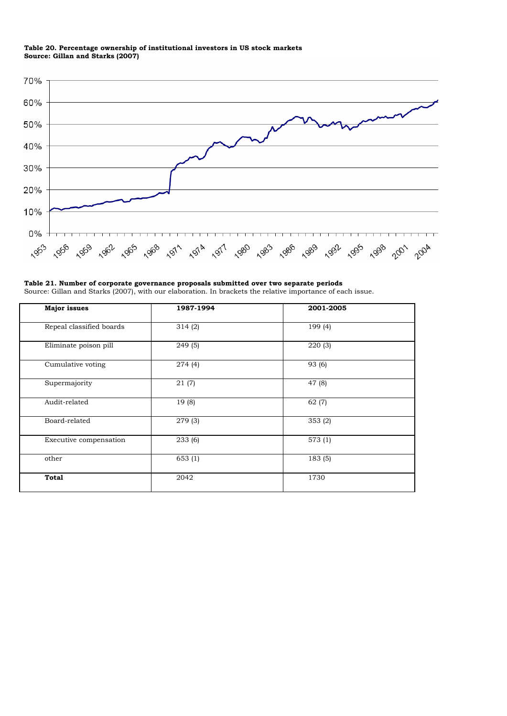#### **Table 20. Percentage ownership of institutional investors in US stock markets Source: Gillan and Starks (2007)**



**Table 21. Number of corporate governance proposals submitted over two separate periods**  Source: Gillan and Starks (2007), with our elaboration. In brackets the relative importance of each issue.

| 1987-1994            | 2001-2005 |  |  |
|----------------------|-----------|--|--|
| 314(2)               | 199 (4)   |  |  |
| 249(5)               | 220(3)    |  |  |
| 274(4)               | 93 (6)    |  |  |
| 21(7)                | 47(8)     |  |  |
| 19(8)                | 62(7)     |  |  |
| $\overline{279}$ (3) | 353(2)    |  |  |
| 233 (6)              | 573(1)    |  |  |
| 653(1)               | 183 (5)   |  |  |
| 2042                 | 1730      |  |  |
|                      |           |  |  |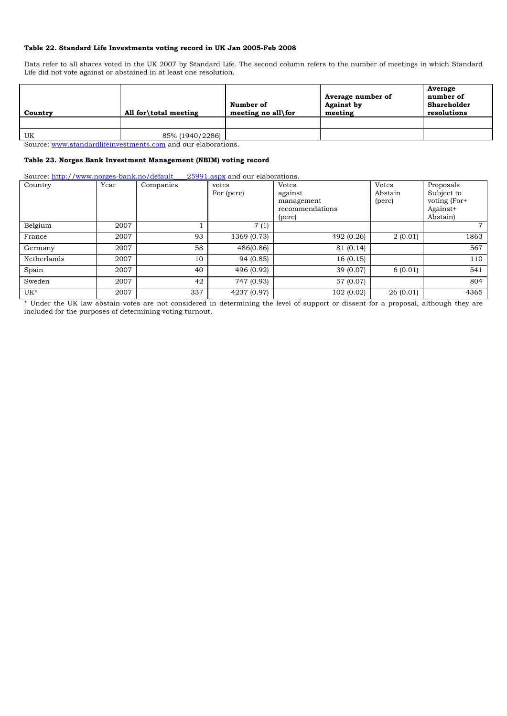## **Table 22. Standard Life Investments voting record in UK Jan 2005-Feb 2008**

Data refer to all shares voted in the UK 2007 by Standard Life. The second column refers to the number of meetings in which Standard Life did not vote against or abstained in at least one resolution.

| Country | All for \total meeting | Number of<br>meeting no all for | Average number of<br><b>Against by</b><br>meeting | Average<br>number of<br>Shareholder<br>resolutions |
|---------|------------------------|---------------------------------|---------------------------------------------------|----------------------------------------------------|
| UK      | 85% (1940/2286)        |                                 |                                                   |                                                    |

Source: www.standardlifeinvestments.com and our elaborations.

## **Table 23. Norges Bank Investment Management (NBIM) voting record**

Source: http://www.norges-bank.no/default\_\_\_\_25991.aspx and our elaborations.

| Source: $\mu$ up.//www.norges-bank.no/default_<br>Country | Year | Companies | 23991.aspx and our elaborations.<br>votes | <b>Votes</b>    | <b>Votes</b> | Proposals    |
|-----------------------------------------------------------|------|-----------|-------------------------------------------|-----------------|--------------|--------------|
|                                                           |      |           | For (perc)                                | against         | Abstain      | Subject to   |
|                                                           |      |           |                                           | management      | (perc)       | voting (For+ |
|                                                           |      |           |                                           | recommendations |              | Against+     |
|                                                           |      |           |                                           | (perc)          |              | Abstain)     |
| Belgium                                                   | 2007 |           | 7(1)                                      |                 |              | $7^{\circ}$  |
| France                                                    | 2007 | 93        | 1369 (0.73)                               | 492 (0.26)      | 2(0.01)      | 1863         |
| Germany                                                   | 2007 | 58        | 486(0.86)                                 | 81 (0.14)       |              | 567          |
| Netherlands                                               | 2007 | 10        | 94 (0.85)                                 | 16(0.15)        |              | 110          |
| Spain                                                     | 2007 | 40        | 496 (0.92)                                | 39 (0.07)       | 6(0.01)      | 541          |
| Sweden                                                    | 2007 | 42        | 747 (0.93)                                | 57 (0.07)       |              | 804          |
| UK*                                                       | 2007 | 337       | 4237 (0.97)                               | 102(0.02)       | 26(0.01)     | 4365         |

\* Under the UK law abstain votes are not considered in determining the level of support or dissent for a proposal, although they are included for the purposes of determining voting turnout.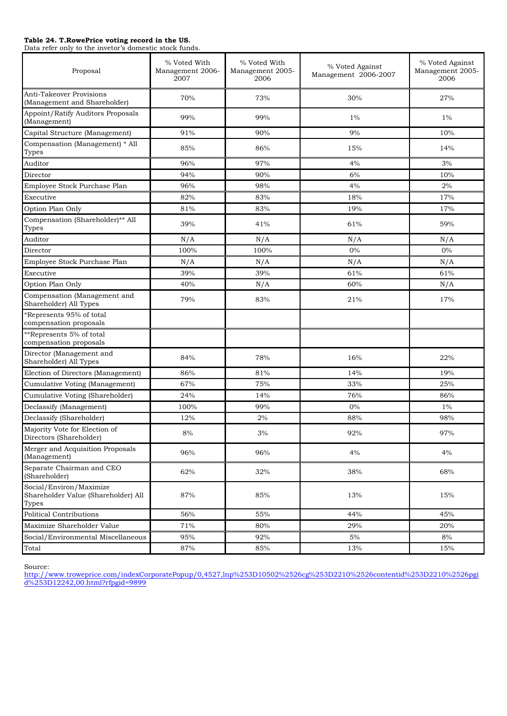#### **Table 24. T.RowePrice voting record in the US.**

Data refer only to the invetor's domestic stock funds.

| Proposal                                                                | % Voted With<br>Management 2006-<br>2007 | % Voted With<br>Management 2005-<br>2006 | % Voted Against<br>Management 2006-2007 | % Voted Against<br>Management 2005-<br>2006 |
|-------------------------------------------------------------------------|------------------------------------------|------------------------------------------|-----------------------------------------|---------------------------------------------|
| Anti-Takeover Provisions<br>(Management and Shareholder)                | 70%                                      | 73%                                      | 30%                                     | 27%                                         |
| Appoint/Ratify Auditors Proposals<br>(Management)                       | 99%                                      | 99%                                      | $1\%$                                   | $1\%$                                       |
| Capital Structure (Management)                                          | 91%                                      | 90%                                      | 9%                                      | 10%                                         |
| Compensation (Management) * All<br>Types                                | 85%                                      | 86%                                      | 15%                                     | 14%                                         |
| Auditor                                                                 | 96%                                      | 97%                                      | 4%                                      | 3%                                          |
| Director                                                                | 94%                                      | 90%                                      | 6%                                      | 10%                                         |
| Employee Stock Purchase Plan                                            | 96%                                      | 98%                                      | 4%                                      | 2%                                          |
| Executive                                                               | 82%                                      | 83%                                      | 18%                                     | 17%                                         |
| Option Plan Only                                                        | 81%                                      | 83%                                      | 19%                                     | 17%                                         |
| Compensation (Shareholder)** All<br>Types                               | 39%                                      | 41%                                      | 61%                                     | 59%                                         |
| Auditor                                                                 | N/A                                      | N/A                                      | N/A                                     | N/A                                         |
| Director                                                                | 100%                                     | 100%                                     | $0\%$                                   | $0\%$                                       |
| Employee Stock Purchase Plan                                            | N/A                                      | N/A                                      | N/A                                     | N/A                                         |
| Executive                                                               | 39%                                      | 39%                                      | 61%                                     | 61%                                         |
| Option Plan Only                                                        | 40%                                      | N/A                                      | 60%                                     | N/A                                         |
| Compensation (Management and<br>Shareholder) All Types                  | 79%                                      | 83%                                      | 21%                                     | 17%                                         |
| Represents 95% of total<br>compensation proposals                       |                                          |                                          |                                         |                                             |
| **Represents 5% of total<br>compensation proposals                      |                                          |                                          |                                         |                                             |
| Director (Management and<br>Shareholder) All Types                      | 84%                                      | 78%                                      | 16%                                     | 22%                                         |
| Election of Directors (Management)                                      | 86%                                      | 81%                                      | 14%                                     | 19%                                         |
| Cumulative Voting (Management)                                          | 67%                                      | 75%                                      | 33%                                     | 25%                                         |
| Cumulative Voting (Shareholder)                                         | 24%                                      | 14%                                      | 76%                                     | 86%                                         |
| Declassify (Management)                                                 | 100%                                     | 99%                                      | $0\%$                                   | $1\%$                                       |
| Declassify (Shareholder)                                                | 12%                                      | 2%                                       | 88%                                     | 98%                                         |
| Majority Vote for Election of<br>Directors (Shareholder)                | $8\%$                                    | $3\%$                                    | 92%                                     | $97\%$                                      |
| Merger and Acquisition Proposals<br>(Management)                        | 96%                                      | 96%                                      | 4%                                      | 4%                                          |
| Separate Chairman and CEO<br>(Shareholder)                              | 62%                                      | 32%                                      | 38%                                     | 68%                                         |
| Social/Environ/Maximize<br>Shareholder Value (Shareholder) All<br>Types | 87%                                      | 85%                                      | 13%                                     | 15%                                         |
| <b>Political Contributions</b>                                          | 56%                                      | 55%                                      | 44%                                     | 45%                                         |
| Maximize Shareholder Value                                              | 71%                                      | 80%                                      | 29%                                     | 20%                                         |
| Social/Environmental Miscellaneous                                      | 95%                                      | 92%                                      | $5\%$                                   | 8%                                          |
| Total                                                                   | 87%                                      | 85%                                      | 13%                                     | 15%                                         |

Source:

http://www.troweprice.com/indexCorporatePopup/0,4527,lnp%253D10502%2526cg%253D2210%2526contentid%253D2210%2526pgi d%253D12242,00.html?rfpgid=9899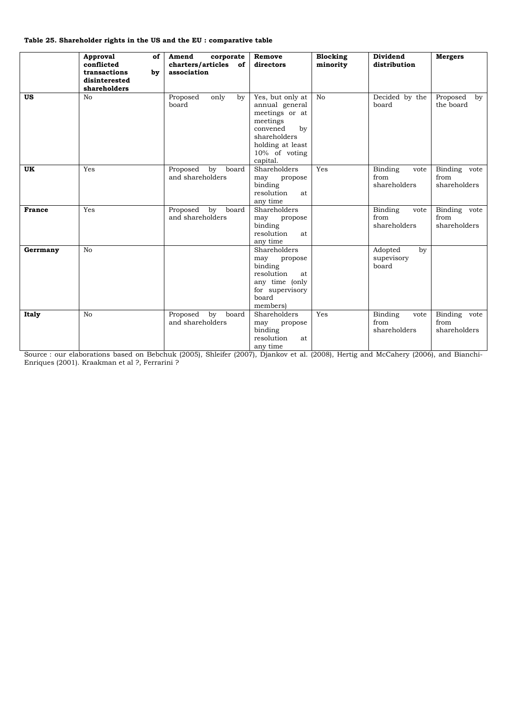## **Table 25. Shareholder rights in the US and the EU : comparative table**

|               | Approval<br>of<br>conflicted<br>transactions<br>by<br>disinterested<br>shareholders | Amend<br>corporate<br>charters/articles of<br>association        | Remove<br>directors                                                                                                                                 | Blocking<br>minority | Dividend<br>distribution                | <b>Mergers</b>                        |
|---------------|-------------------------------------------------------------------------------------|------------------------------------------------------------------|-----------------------------------------------------------------------------------------------------------------------------------------------------|----------------------|-----------------------------------------|---------------------------------------|
| <b>US</b>     | N <sub>o</sub>                                                                      | Proposed<br>only<br>by<br>board                                  | Yes, but only at<br>annual general<br>meetings or at<br>meetings<br>by<br>convened<br>shareholders<br>holding at least<br>10% of voting<br>capital. | N <sub>0</sub>       | Decided by the<br>board                 | Proposed<br>$\mathbf{b}$<br>the board |
| <b>UK</b>     | Yes                                                                                 | Proposed<br>$\mathbf{b} \mathbf{v}$<br>board<br>and shareholders | Shareholders<br>may<br>propose<br>binding<br>resolution<br>at<br>any time                                                                           | Yes                  | Binding<br>vote<br>from<br>shareholders | Binding vote<br>from<br>shareholders  |
| <b>France</b> | Yes                                                                                 | Proposed<br>bv<br>board<br>and shareholders                      | Shareholders<br>may<br>propose<br>binding<br>resolution<br>at<br>any time                                                                           |                      | Binding<br>vote<br>from<br>shareholders | Binding vote<br>from<br>shareholders  |
| Gerrmany      | No                                                                                  |                                                                  | Shareholders<br>may<br>propose<br>binding<br>resolution<br>at.<br>any time (only<br>for supervisory<br>board<br>members)                            |                      | Adopted<br>by<br>supevisory<br>board    |                                       |
| <b>Italy</b>  | N <sub>o</sub>                                                                      | Proposed<br>bv<br>board<br>and shareholders                      | Shareholders<br>may<br>propose<br>binding<br>resolution<br>at<br>any time                                                                           | Yes                  | Binding<br>vote<br>from<br>shareholders | Binding vote<br>from<br>shareholders  |

Source : our elaborations based on Bebchuk (2005), Shleifer (2007), Djankov et al. (2008), Hertig and McCahery (2006), and Bianchi-Enriques (2001). Kraakman et al ?, Ferrarini ?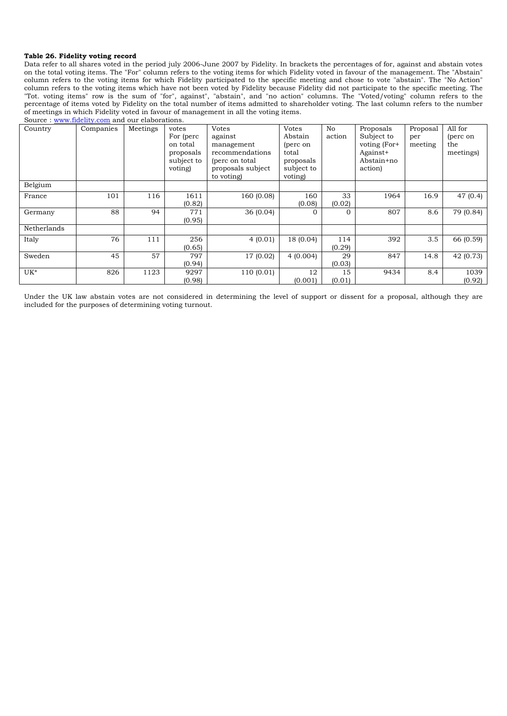#### **Table 26. Fidelity voting record**

Data refer to all shares voted in the period july 2006-June 2007 by Fidelity. In brackets the percentages of for, against and abstain votes on the total voting items. The "For" column refers to the voting items for which Fidelity voted in favour of the management. The "Abstain" column refers to the voting items for which Fidelity participated to the specific meeting and chose to vote "abstain". The "No Action" column refers to the voting items which have not been voted by Fidelity because Fidelity did not participate to the specific meeting. The "Tot. voting items" row is the sum of "for", against", "abstain", and "no action" columns. The "Voted/voting" column refers to the percentage of items voted by Fidelity on the total number of items admitted to shareholder voting. The last column refers to the number of meetings in which Fidelity voted in favour of management in all the voting items.

| Source: www.fidelity.com and our elaborations. |           |          |                                                                       |                                                                                                         |                                                                                    |               |                                                                              |                            |                                         |
|------------------------------------------------|-----------|----------|-----------------------------------------------------------------------|---------------------------------------------------------------------------------------------------------|------------------------------------------------------------------------------------|---------------|------------------------------------------------------------------------------|----------------------------|-----------------------------------------|
| Country                                        | Companies | Meetings | votes<br>For (perc)<br>on total<br>proposals<br>subject to<br>voting) | Votes<br>against<br>management<br>recommendations<br>(perc on total)<br>proposals subject<br>to voting) | <b>Votes</b><br>Abstain<br>(perc on<br>total<br>proposals<br>subject to<br>voting) | No<br>action  | Proposals<br>Subject to<br>voting (For+<br>Against+<br>Abstain+no<br>action) | Proposal<br>per<br>meeting | All for<br>(perc on<br>the<br>meetings) |
| Belgium                                        |           |          |                                                                       |                                                                                                         |                                                                                    |               |                                                                              |                            |                                         |
| France                                         | 101       | 116      | 1611<br>(0.82)                                                        | 160 (0.08)                                                                                              | 160<br>(0.08)                                                                      | 33<br>(0.02)  | 1964                                                                         | 16.9                       | 47 (0.4)                                |
| Germany                                        | 88        | 94       | 771<br>(0.95)                                                         | 36(0.04)                                                                                                | $\Omega$                                                                           | $\Omega$      | 807                                                                          | 8.6                        | 79 (0.84)                               |
| Netherlands                                    |           |          |                                                                       |                                                                                                         |                                                                                    |               |                                                                              |                            |                                         |
| Italy                                          | 76        | 111      | 256<br>(0.65)                                                         | 4(0.01)                                                                                                 | 18 (0.04)                                                                          | 114<br>(0.29) | 392                                                                          | 3.5                        | 66 (0.59)                               |
| Sweden                                         | 45        | 57       | 797<br>(0.94)                                                         | 17 (0.02)                                                                                               | 4(0.004)                                                                           | 29<br>(0.03)  | 847                                                                          | 14.8                       | 42 (0.73)                               |
| $UK^*$                                         | 826       | 1123     | 9297<br>(0.98)                                                        | 110(0.01)                                                                                               | 12<br>(0.001)                                                                      | 15<br>(0.01)  | 9434                                                                         | 8.4                        | 1039<br>(0.92)                          |

Under the UK law abstain votes are not considered in determining the level of support or dissent for a proposal, although they are included for the purposes of determining voting turnout.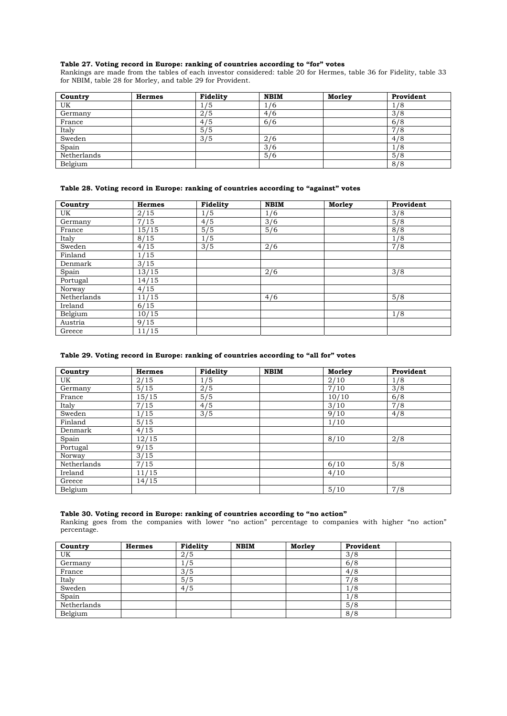### **Table 27. Voting record in Europe: ranking of countries according to "for" votes**

Rankings are made from the tables of each investor considered: table 20 for Hermes, table 36 for Fidelity, table 33 for NBIM, table 28 for Morley, and table 29 for Provident.

| Country     | <b>Hermes</b> | Fidelity | <b>NBIM</b> | Morley | Provident |
|-------------|---------------|----------|-------------|--------|-----------|
| UK          |               | 1/5      | 1/6         |        | 1/8       |
| Germany     |               | 2/5      | 4/6         |        | 3/8       |
| France      |               | 4/5      | 6/6         |        | 6/8       |
| Italy       |               | 5/5      |             |        | 7/8       |
| Sweden      |               | 3/5      | 2/6         |        | 4/8       |
| Spain       |               |          | 3/6         |        | 1/8       |
| Netherlands |               |          | 5/6         |        | 5/8       |
| Belgium     |               |          |             |        | 8/8       |

## **Table 28. Voting record in Europe: ranking of countries according to "against" votes**

| Country     | <b>Hermes</b> | Fidelity | <b>NBIM</b> | Morley | Provident |
|-------------|---------------|----------|-------------|--------|-----------|
| UK          | 2/15          | 1/5      | 1/6         |        | 3/8       |
| Germany     | 7/15          | 4/5      | 3/6         |        | 5/8       |
| France      | 15/15         | 5/5      | 5/6         |        | 8/8       |
| Italy       | 8/15          | 1/5      |             |        | 1/8       |
| Sweden      | 4/15          | 3/5      | 2/6         |        | 7/8       |
| Finland     | 1/15          |          |             |        |           |
| Denmark     | 3/15          |          |             |        |           |
| Spain       | 13/15         |          | 2/6         |        | 3/8       |
| Portugal    | 14/15         |          |             |        |           |
| Norway      | 4/15          |          |             |        |           |
| Netherlands | 11/15         |          | 4/6         |        | 5/8       |
| Ireland     | 6/15          |          |             |        |           |
| Belgium     | 10/15         |          |             |        | 1/8       |
| Austria     | 9/15          |          |             |        |           |
| Greece      | 11/15         |          |             |        |           |

## **Table 29. Voting record in Europe: ranking of countries according to "all for" votes**

| Country     | <b>Hermes</b> | Fidelity | <b>NBIM</b> | Morley | Provident |
|-------------|---------------|----------|-------------|--------|-----------|
| UK          | 2/15          | 1/5      |             | 2/10   | 1/8       |
| Germany     | 5/15          | 2/5      |             | 7/10   | 3/8       |
| France      | 15/15         | 5/5      |             | 10/10  | 6/8       |
| Italy       | 7/15          | 4/5      |             | 3/10   | 7/8       |
| Sweden      | 1/15          | 3/5      |             | 9/10   | 4/8       |
| Finland     | 5/15          |          |             | 1/10   |           |
| Denmark     | 4/15          |          |             |        |           |
| Spain       | 12/15         |          |             | 8/10   | 2/8       |
| Portugal    | 9/15          |          |             |        |           |
| Norway      | 3/15          |          |             |        |           |
| Netherlands | 7/15          |          |             | 6/10   | 5/8       |
| Ireland     | 11/15         |          |             | 4/10   |           |
| Greece      | 14/15         |          |             |        |           |
| Belgium     |               |          |             | 5/10   | 7/8       |

# **Table 30. Voting record in Europe: ranking of countries according to "no action"**

Ranking goes from the companies with lower "no action" percentage to companies with higher "no action" percentage.

| Country     | <b>Hermes</b> | Fidelity | <b>NBIM</b> | Morley | Provident |  |
|-------------|---------------|----------|-------------|--------|-----------|--|
| UK          |               | 2/5      |             |        | 3/8       |  |
| Germany     |               | 1/5      |             |        | 6/8       |  |
| France      |               | 3/5      |             |        | 4/8       |  |
| Italy       |               | 5/5      |             |        | 7/8       |  |
| Sweden      |               | 4/5      |             |        | 1/8       |  |
| Spain       |               |          |             |        | 1/8       |  |
| Netherlands |               |          |             |        | 5/8       |  |
| Belgium     |               |          |             |        | 8/8       |  |